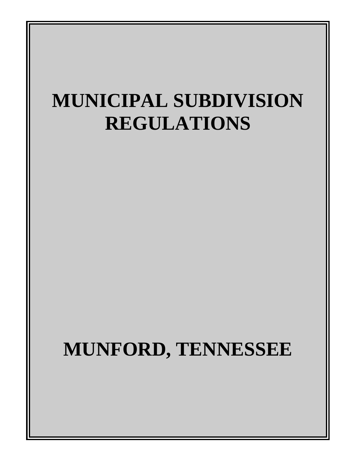# **MUNICIPAL SUBDIVISION REGULATIONS**

# **MUNFORD, TENNESSEE**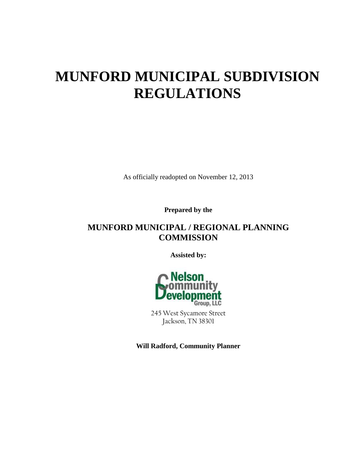# **MUNFORD MUNICIPAL SUBDIVISION REGULATIONS**

As officially readopted on November 12, 2013

**Prepared by the**

# **MUNFORD MUNICIPAL / REGIONAL PLANNING COMMISSION**

**Assisted by:** 



245 West Sycamore Street Jackson, TN 38301

**Will Radford, Community Planner**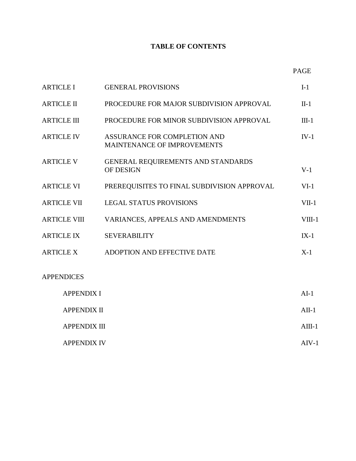# **TABLE OF CONTENTS**

| v |
|---|
|   |

| <b>ARTICLE I</b>  |                     | <b>GENERAL PROVISIONS</b>                                          | $I-1$    |
|-------------------|---------------------|--------------------------------------------------------------------|----------|
| <b>ARTICLE II</b> |                     | PROCEDURE FOR MAJOR SUBDIVISION APPROVAL                           | $\Pi-1$  |
|                   | <b>ARTICLE III</b>  | PROCEDURE FOR MINOR SUBDIVISION APPROVAL                           | $III-1$  |
|                   | <b>ARTICLE IV</b>   | ASSURANCE FOR COMPLETION AND<br><b>MAINTENANCE OF IMPROVEMENTS</b> | $IV-1$   |
| <b>ARTICLE V</b>  |                     | GENERAL REQUIREMENTS AND STANDARDS<br><b>OF DESIGN</b>             | $V-1$    |
|                   | <b>ARTICLE VI</b>   | PREREQUISITES TO FINAL SUBDIVISION APPROVAL                        | $VI-1$   |
|                   | <b>ARTICLE VII</b>  | <b>LEGAL STATUS PROVISIONS</b>                                     | $VII-1$  |
|                   | <b>ARTICLE VIII</b> | VARIANCES, APPEALS AND AMENDMENTS                                  | $VIII-1$ |
|                   | <b>ARTICLE IX</b>   | <b>SEVERABILITY</b>                                                | $IX-1$   |
|                   | <b>ARTICLE X</b>    | ADOPTION AND EFFECTIVE DATE                                        | $X-1$    |
|                   | <b>APPENDICES</b>   |                                                                    |          |
|                   | <b>APPENDIX I</b>   |                                                                    | $AI-1$   |
|                   | <b>APPENDIX II</b>  |                                                                    | $AII-1$  |
|                   | <b>APPENDIX III</b> |                                                                    | $AIII-1$ |
|                   |                     |                                                                    |          |

APPENDIX IV AIV-1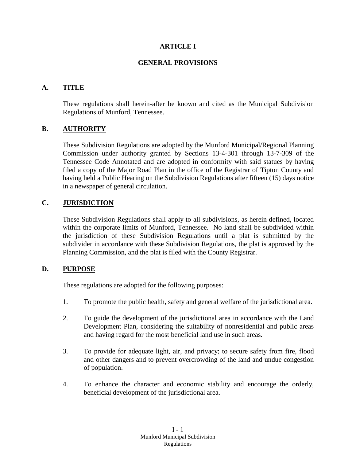#### **ARTICLE I**

#### **GENERAL PROVISIONS**

# **A. TITLE**

These regulations shall herein-after be known and cited as the Municipal Subdivision Regulations of Munford, Tennessee.

# **B. AUTHORITY**

These Subdivision Regulations are adopted by the Munford Municipal/Regional Planning Commission under authority granted by Sections 13-4-301 through 13-7-309 of the Tennessee Code Annotated and are adopted in conformity with said statues by having filed a copy of the Major Road Plan in the office of the Registrar of Tipton County and having held a Public Hearing on the Subdivision Regulations after fifteen (15) days notice in a newspaper of general circulation.

# **C. JURISDICTION**

These Subdivision Regulations shall apply to all subdivisions, as herein defined, located within the corporate limits of Munford, Tennessee. No land shall be subdivided within the jurisdiction of these Subdivision Regulations until a plat is submitted by the subdivider in accordance with these Subdivision Regulations, the plat is approved by the Planning Commission, and the plat is filed with the County Registrar.

# **D. PURPOSE**

These regulations are adopted for the following purposes:

- 1. To promote the public health, safety and general welfare of the jurisdictional area.
- 2. To guide the development of the jurisdictional area in accordance with the Land Development Plan, considering the suitability of nonresidential and public areas and having regard for the most beneficial land use in such areas.
- 3. To provide for adequate light, air, and privacy; to secure safety from fire, flood and other dangers and to prevent overcrowding of the land and undue congestion of population.
- 4. To enhance the character and economic stability and encourage the orderly, beneficial development of the jurisdictional area.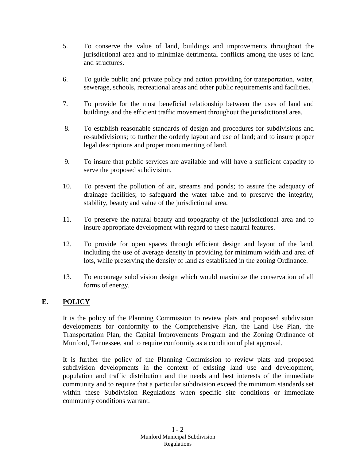- 5. To conserve the value of land, buildings and improvements throughout the jurisdictional area and to minimize detrimental conflicts among the uses of land and structures.
- 6. To guide public and private policy and action providing for transportation, water, sewerage, schools, recreational areas and other public requirements and facilities.
- 7. To provide for the most beneficial relationship between the uses of land and buildings and the efficient traffic movement throughout the jurisdictional area.
- 8. To establish reasonable standards of design and procedures for subdivisions and re-subdivisions; to further the orderly layout and use of land; and to insure proper legal descriptions and proper monumenting of land.
- 9. To insure that public services are available and will have a sufficient capacity to serve the proposed subdivision.
- 10. To prevent the pollution of air, streams and ponds; to assure the adequacy of drainage facilities; to safeguard the water table and to preserve the integrity, stability, beauty and value of the jurisdictional area.
- 11. To preserve the natural beauty and topography of the jurisdictional area and to insure appropriate development with regard to these natural features.
- 12. To provide for open spaces through efficient design and layout of the land, including the use of average density in providing for minimum width and area of lots, while preserving the density of land as established in the zoning Ordinance.
- 13. To encourage subdivision design which would maximize the conservation of all forms of energy.

# **E. POLICY**

It is the policy of the Planning Commission to review plats and proposed subdivision developments for conformity to the Comprehensive Plan, the Land Use Plan, the Transportation Plan, the Capital Improvements Program and the Zoning Ordinance of Munford, Tennessee, and to require conformity as a condition of plat approval.

It is further the policy of the Planning Commission to review plats and proposed subdivision developments in the context of existing land use and development, population and traffic distribution and the needs and best interests of the immediate community and to require that a particular subdivision exceed the minimum standards set within these Subdivision Regulations when specific site conditions or immediate community conditions warrant.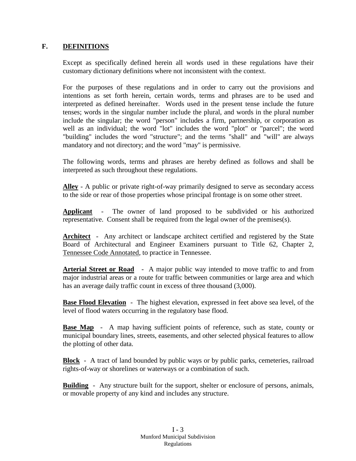#### **F. DEFINITIONS**

Except as specifically defined herein all words used in these regulations have their customary dictionary definitions where not inconsistent with the context.

For the purposes of these regulations and in order to carry out the provisions and intentions as set forth herein, certain words, terms and phrases are to be used and interpreted as defined hereinafter. Words used in the present tense include the future tenses; words in the singular number include the plural, and words in the plural number include the singular; the word "person" includes a firm, partnership, or corporation as well as an individual; the word "lot" includes the word "plot" or "parcel"; the word "building" includes the word "structure"; and the terms "shall" and "will" are always mandatory and not directory; and the word "may" is permissive.

The following words, terms and phrases are hereby defined as follows and shall be interpreted as such throughout these regulations.

**Alley** - A public or private right-of-way primarily designed to serve as secondary access to the side or rear of those properties whose principal frontage is on some other street.

**Applicant** - The owner of land proposed to be subdivided or his authorized representative. Consent shall be required from the legal owner of the premises(s).

Architect - Any architect or landscape architect certified and registered by the State Board of Architectural and Engineer Examiners pursuant to Title 62, Chapter 2, Tennessee Code Annotated, to practice in Tennessee.

**Arterial Street or Road** - A major public way intended to move traffic to and from major industrial areas or a route for traffic between communities or large area and which has an average daily traffic count in excess of three thousand (3,000).

**Base Flood Elevation** - The highest elevation, expressed in feet above sea level, of the level of flood waters occurring in the regulatory base flood.

**Base Map** - A map having sufficient points of reference, such as state, county or municipal boundary lines, streets, easements, and other selected physical features to allow the plotting of other data.

**Block** - A tract of land bounded by public ways or by public parks, cemeteries, railroad rights-of-way or shorelines or waterways or a combination of such.

**Building** - Any structure built for the support, shelter or enclosure of persons, animals, or movable property of any kind and includes any structure.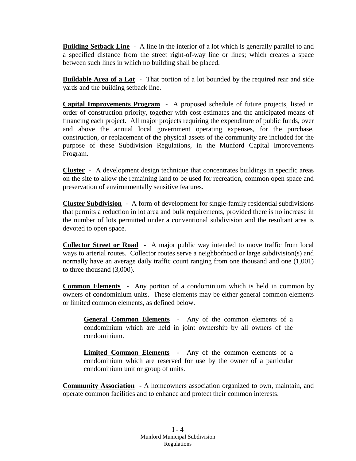**Building Setback Line** - A line in the interior of a lot which is generally parallel to and a specified distance from the street right-of-way line or lines; which creates a space between such lines in which no building shall be placed.

**Buildable Area of a Lot** - That portion of a lot bounded by the required rear and side yards and the building setback line.

**Capital Improvements Program** - A proposed schedule of future projects, listed in order of construction priority, together with cost estimates and the anticipated means of financing each project. All major projects requiring the expenditure of public funds, over and above the annual local government operating expenses, for the purchase, construction, or replacement of the physical assets of the community are included for the purpose of these Subdivision Regulations, in the Munford Capital Improvements Program.

**Cluster** - A development design technique that concentrates buildings in specific areas on the site to allow the remaining land to be used for recreation, common open space and preservation of environmentally sensitive features.

**Cluster Subdivision** - A form of development for single-family residential subdivisions that permits a reduction in lot area and bulk requirements, provided there is no increase in the number of lots permitted under a conventional subdivision and the resultant area is devoted to open space.

**Collector Street or Road** - A major public way intended to move traffic from local ways to arterial routes. Collector routes serve a neighborhood or large subdivision(s) and normally have an average daily traffic count ranging from one thousand and one  $(1,001)$ to three thousand (3,000).

**Common Elements** - Any portion of a condominium which is held in common by owners of condominium units. These elements may be either general common elements or limited common elements, as defined below.

**General Common Elements** - Any of the common elements of a condominium which are held in joint ownership by all owners of the condominium.

**Limited Common Elements** - Any of the common elements of a condominium which are reserved for use by the owner of a particular condominium unit or group of units.

**Community Association** - A homeowners association organized to own, maintain, and operate common facilities and to enhance and protect their common interests.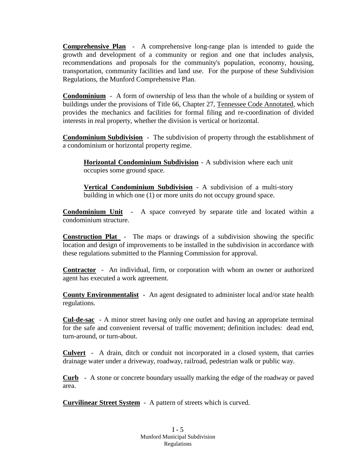**Comprehensive Plan** - A comprehensive long-range plan is intended to guide the growth and development of a community or region and one that includes analysis, recommendations and proposals for the community's population, economy, housing, transportation, community facilities and land use. For the purpose of these Subdivision Regulations, the Munford Comprehensive Plan.

**Condominium** - A form of ownership of less than the whole of a building or system of buildings under the provisions of Title 66, Chapter 27, Tennessee Code Annotated, which provides the mechanics and facilities for formal filing and re-coordination of divided interests in real property, whether the division is vertical or horizontal.

**Condominium Subdivision** - The subdivision of property through the establishment of a condominium or horizontal property regime.

**Horizontal Condominium Subdivision** - A subdivision where each unit occupies some ground space.

**Vertical Condominium Subdivision** - A subdivision of a multi-story building in which one (1) or more units do not occupy ground space.

**Condominium Unit** - A space conveyed by separate title and located within a condominium structure.

**Construction Plat** - The maps or drawings of a subdivision showing the specific location and design of improvements to be installed in the subdivision in accordance with these regulations submitted to the Planning Commission for approval.

**Contractor** - An individual, firm, or corporation with whom an owner or authorized agent has executed a work agreement.

**County Environmentalist** - An agent designated to administer local and/or state health regulations.

**Cul-de-sac** - A minor street having only one outlet and having an appropriate terminal for the safe and convenient reversal of traffic movement; definition includes: dead end, turn-around, or turn-about.

**Culvert** - A drain, ditch or conduit not incorporated in a closed system, that carries drainage water under a driveway, roadway, railroad, pedestrian walk or public way.

**Curb** - A stone or concrete boundary usually marking the edge of the roadway or paved area.

**Curvilinear Street System** - A pattern of streets which is curved.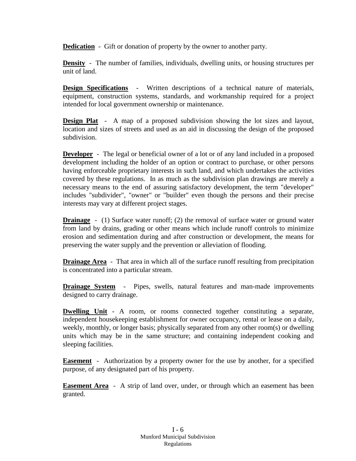**Dedication** - Gift or donation of property by the owner to another party.

**Density** - The number of families, individuals, dwelling units, or housing structures per unit of land.

**Design Specifications** - Written descriptions of a technical nature of materials, equipment, construction systems, standards, and workmanship required for a project intended for local government ownership or maintenance.

**Design Plat** - A map of a proposed subdivision showing the lot sizes and layout, location and sizes of streets and used as an aid in discussing the design of the proposed subdivision.

**Developer** - The legal or beneficial owner of a lot or of any land included in a proposed development including the holder of an option or contract to purchase, or other persons having enforceable proprietary interests in such land, and which undertakes the activities covered by these regulations. In as much as the subdivision plan drawings are merely a necessary means to the end of assuring satisfactory development, the term "developer" includes "subdivider", "owner" or "builder" even though the persons and their precise interests may vary at different project stages.

**Drainage** - (1) Surface water runoff; (2) the removal of surface water or ground water from land by drains, grading or other means which include runoff controls to minimize erosion and sedimentation during and after construction or development, the means for preserving the water supply and the prevention or alleviation of flooding.

**Drainage Area** - That area in which all of the surface runoff resulting from precipitation is concentrated into a particular stream.

**Drainage System** - Pipes, swells, natural features and man-made improvements designed to carry drainage.

**Dwelling Unit** - A room, or rooms connected together constituting a separate, independent housekeeping establishment for owner occupancy, rental or lease on a daily, weekly, monthly, or longer basis; physically separated from any other room(s) or dwelling units which may be in the same structure; and containing independent cooking and sleeping facilities.

**Easement** - Authorization by a property owner for the use by another, for a specified purpose, of any designated part of his property.

**Easement Area** - A strip of land over, under, or through which an easement has been granted.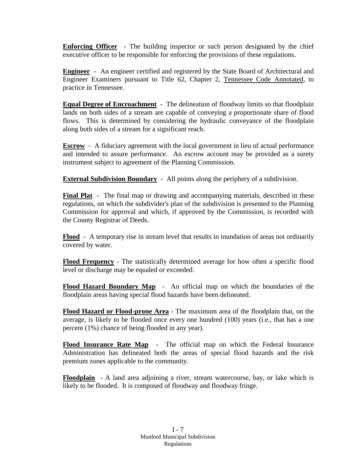**Enforcing Officer** - The building inspector or such person designated by the chief executive officer to be responsible for enforcing the provisions of these regulations.

**Engineer** - An engineer certified and registered by the State Board of Architectural and Engineer Examiners pursuant to Title 62, Chapter 2, Tennessee Code Annotated, to practice in Tennessee.

**Equal Degree of Encroachment** - The delineation of floodway limits so that floodplain lands on both sides of a stream are capable of conveying a proportionate share of flood flows. This is determined by considering the hydraulic conveyance of the floodplain along both sides of a stream for a significant reach.

**Escrow** - A fiduciary agreement with the local government in lieu of actual performance and intended to assure performance. An escrow account may be provided as a surety instrument subject to agreement of the Planning Commission.

**External Subdivision Boundary** - All points along the periphery of a subdivision.

**Final Plat** - The final map or drawing and accompanying materials, described in these regulations, on which the subdivider's plan of the subdivision is presented to the Planning Commission for approval and which, if approved by the Commission, is recorded with the County Registrar of Deeds.

**Flood** - A temporary rise in stream level that results in inundation of areas not ordinarily covered by water.

**Flood Frequency** - The statistically determined average for how often a specific flood level or discharge may be equaled or exceeded.

**Flood Hazard Boundary Map** - An official map on which the boundaries of the floodplain areas having special flood hazards have been delineated.

**Flood Hazard or Flood-prone Area** - The maximum area of the floodplain that, on the average, is likely to be flooded once every one hundred (100) years (i.e., that has a one percent (1%) chance of being flooded in any year).

**Flood Insurance Rate Map** - The official map on which the Federal Insurance Administration has delineated both the areas of special flood hazards and the risk premium zones applicable to the community.

**Floodplain** - A land area adjoining a river, stream watercourse, bay, or lake which is likely to be flooded. It is composed of floodway and floodway fringe.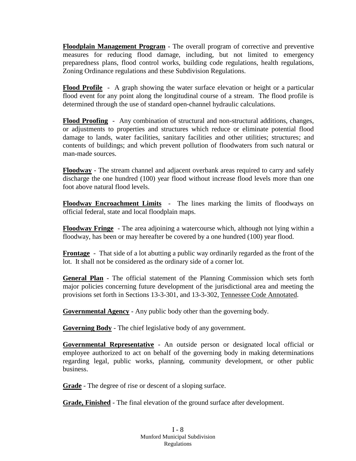**Floodplain Management Program** - The overall program of corrective and preventive measures for reducing flood damage, including, but not limited to emergency preparedness plans, flood control works, building code regulations, health regulations, Zoning Ordinance regulations and these Subdivision Regulations.

**Flood Profile** - A graph showing the water surface elevation or height or a particular flood event for any point along the longitudinal course of a stream. The flood profile is determined through the use of standard open-channel hydraulic calculations.

**Flood Proofing** - Any combination of structural and non-structural additions, changes, or adjustments to properties and structures which reduce or eliminate potential flood damage to lands, water facilities, sanitary facilities and other utilities; structures; and contents of buildings; and which prevent pollution of floodwaters from such natural or man-made sources.

**Floodway** - The stream channel and adjacent overbank areas required to carry and safely discharge the one hundred (100) year flood without increase flood levels more than one foot above natural flood levels.

**Floodway Encroachment Limits** - The lines marking the limits of floodways on official federal, state and local floodplain maps.

**Floodway Fringe** - The area adjoining a watercourse which, although not lying within a floodway, has been or may hereafter be covered by a one hundred (100) year flood.

**Frontage** - That side of a lot abutting a public way ordinarily regarded as the front of the lot. It shall not be considered as the ordinary side of a corner lot.

**General Plan** - The official statement of the Planning Commission which sets forth major policies concerning future development of the jurisdictional area and meeting the provisions set forth in Sections 13-3-301, and 13-3-302, Tennessee Code Annotated.

**Governmental Agency** - Any public body other than the governing body.

**Governing Body** - The chief legislative body of any government.

**Governmental Representative** - An outside person or designated local official or employee authorized to act on behalf of the governing body in making determinations regarding legal, public works, planning, community development, or other public business.

**Grade** - The degree of rise or descent of a sloping surface.

**Grade, Finished** - The final elevation of the ground surface after development.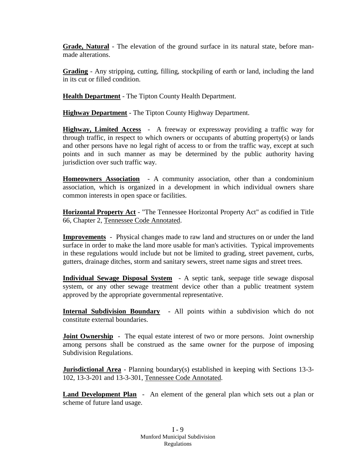**Grade, Natural** - The elevation of the ground surface in its natural state, before manmade alterations.

**Grading** - Any stripping, cutting, filling, stockpiling of earth or land, including the land in its cut or filled condition.

**Health Department** - The Tipton County Health Department.

**Highway Department** - The Tipton County Highway Department.

**Highway, Limited Access** - A freeway or expressway providing a traffic way for through traffic, in respect to which owners or occupants of abutting property(s) or lands and other persons have no legal right of access to or from the traffic way, except at such points and in such manner as may be determined by the public authority having jurisdiction over such traffic way.

**Homeowners Association** - A community association, other than a condominium association, which is organized in a development in which individual owners share common interests in open space or facilities.

**Horizontal Property Act** - "The Tennessee Horizontal Property Act" as codified in Title 66, Chapter 2, Tennessee Code Annotated.

**Improvements** - Physical changes made to raw land and structures on or under the land surface in order to make the land more usable for man's activities. Typical improvements in these regulations would include but not be limited to grading, street pavement, curbs, gutters, drainage ditches, storm and sanitary sewers, street name signs and street trees.

**Individual Sewage Disposal System** - A septic tank, seepage title sewage disposal system, or any other sewage treatment device other than a public treatment system approved by the appropriate governmental representative.

**Internal Subdivision Boundary** - All points within a subdivision which do not constitute external boundaries.

**Joint Ownership** - The equal estate interest of two or more persons. Joint ownership among persons shall be construed as the same owner for the purpose of imposing Subdivision Regulations.

**Jurisdictional Area** - Planning boundary(s) established in keeping with Sections 13-3-102, 13-3-201 and 13-3-301, Tennessee Code Annotated.

**Land Development Plan** - An element of the general plan which sets out a plan or scheme of future land usage.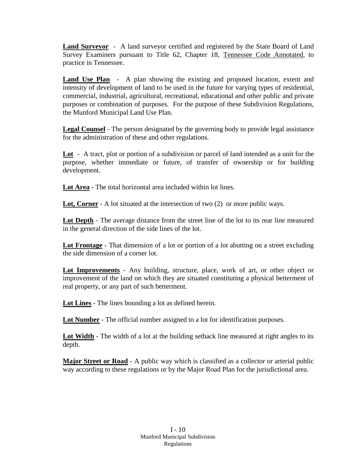**Land Surveyor** - A land surveyor certified and registered by the State Board of Land Survey Examiners pursuant to Title 62, Chapter 18, Tennessee Code Annotated, to practice in Tennessee.

**Land Use Plan** - A plan showing the existing and proposed location, extent and intensity of development of land to be used in the future for varying types of residential, commercial, industrial, agricultural, recreational, educational and other public and private purposes or combination of purposes. For the purpose of these Subdivision Regulations, the Munford Municipal Land Use Plan.

**Legal Counsel** - The person designated by the governing body to provide legal assistance for the administration of these and other regulations.

**Lot** - A tract, plot or portion of a subdivision or parcel of land intended as a unit for the purpose, whether immediate or future, of transfer of ownership or for building development.

**Lot Area** - The total horizontal area included within lot lines.

**Lot, Corner** - A lot situated at the intersection of two (2) or more public ways.

**Lot Depth** - The average distance from the street line of the lot to its rear line measured in the general direction of the side lines of the lot.

**Lot Frontage** - That dimension of a lot or portion of a lot abutting on a street excluding the side dimension of a corner lot.

**Lot Improvements** - Any building, structure, place, work of art, or other object or improvement of the land on which they are situated constituting a physical betterment of real property, or any part of such betterment.

**Lot Lines** - The lines bounding a lot as defined herein.

**Lot Number** - The official number assigned to a lot for identification purposes.

Lot Width - The width of a lot at the building setback line measured at right angles to its depth.

**Major Street or Road** - A public way which is classified as a collector or arterial public way according to these regulations or by the Major Road Plan for the jurisdictional area.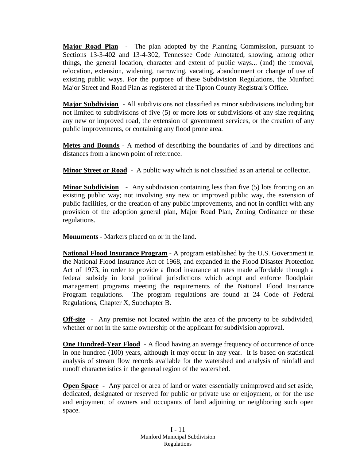**Major Road Plan** - The plan adopted by the Planning Commission, pursuant to Sections 13-3-402 and 13-4-302, Tennessee Code Annotated, showing, among other things, the general location, character and extent of public ways... (and) the removal, relocation, extension, widening, narrowing, vacating, abandonment or change of use of existing public ways. For the purpose of these Subdivision Regulations, the Munford Major Street and Road Plan as registered at the Tipton County Registrar's Office.

**Major Subdivision** - All subdivisions not classified as minor subdivisions including but not limited to subdivisions of five (5) or more lots or subdivisions of any size requiring any new or improved road, the extension of government services, or the creation of any public improvements, or containing any flood prone area.

**Metes and Bounds** - A method of describing the boundaries of land by directions and distances from a known point of reference.

**Minor Street or Road** - A public way which is not classified as an arterial or collector.

**Minor Subdivision** - Any subdivision containing less than five (5) lots fronting on an existing public way; not involving any new or improved public way, the extension of public facilities, or the creation of any public improvements, and not in conflict with any provision of the adoption general plan, Major Road Plan, Zoning Ordinance or these regulations.

**Monuments** - Markers placed on or in the land.

**National Flood Insurance Program** - A program established by the U.S. Government in the National Flood Insurance Act of 1968, and expanded in the Flood Disaster Protection Act of 1973, in order to provide a flood insurance at rates made affordable through a federal subsidy in local political jurisdictions which adopt and enforce floodplain management programs meeting the requirements of the National Flood Insurance Program regulations. The program regulations are found at 24 Code of Federal Regulations, Chapter X, Subchapter B.

**Off-site** - Any premise not located within the area of the property to be subdivided, whether or not in the same ownership of the applicant for subdivision approval.

**One Hundred-Year Flood** - A flood having an average frequency of occurrence of once in one hundred (100) years, although it may occur in any year. It is based on statistical analysis of stream flow records available for the watershed and analysis of rainfall and runoff characteristics in the general region of the watershed.

**Open Space** - Any parcel or area of land or water essentially unimproved and set aside, dedicated, designated or reserved for public or private use or enjoyment, or for the use and enjoyment of owners and occupants of land adjoining or neighboring such open space.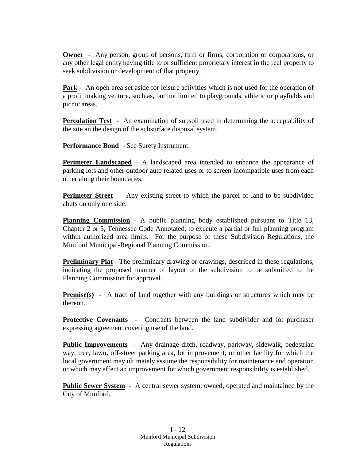**Owner** - Any person, group of persons, firm or firms, corporation or corporations, or any other legal entity having title to or sufficient proprietary interest in the real property to seek subdivision or development of that property.

**Park** - An open area set aside for leisure activities which is not used for the operation of a profit making venture, such as, but not limited to playgrounds, athletic or playfields and picnic areas.

**Percolation Test** - An examination of subsoil used in determining the acceptability of the site an the design of the subsurface disposal system.

**Performance Bond** - See Surety Instrument.

**Perimeter Landscaped** – A landscaped area intended to enhance the appearance of parking lots and other outdoor auto related uses or to screen incompatible uses from each other along their boundaries.

**Perimeter Street** - Any existing street to which the parcel of land to be subdivided abuts on only one side.

**Planning Commission** - A public planning body established pursuant to Title 13, Chapter 2 or 5, Tennessee Code Annotated, to execute a partial or full planning program within authorized area limits. For the purpose of these Subdivision Regulations, the Munford Municipal-Regional Planning Commission.

**Preliminary Plat** - The preliminary drawing or drawings, described in these regulations, indicating the proposed manner of layout of the subdivision to be submitted to the Planning Commission for approval.

**Premise(s)** - A tract of land together with any buildings or structures which may be thereon.

**Protective Covenants** - Contracts between the land subdivider and lot purchaser expressing agreement covering use of the land.

**Public Improvements** - Any drainage ditch, roadway, parkway, sidewalk, pedestrian way, tree, lawn, off-street parking area, lot improvement, or other facility for which the local government may ultimately assume the responsibility for maintenance and operation or which may affect an improvement for which government responsibility is established.

**Public Sewer System** - A central sewer system, owned, operated and maintained by the City of Munford.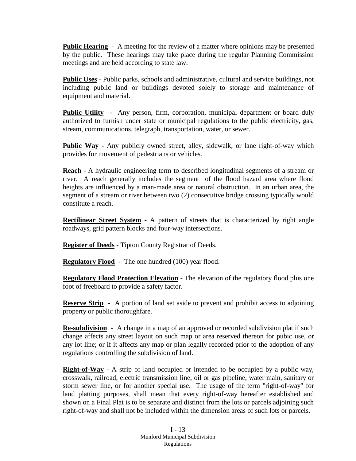**Public Hearing** - A meeting for the review of a matter where opinions may be presented by the public. These hearings may take place during the regular Planning Commission meetings and are held according to state law.

**Public Uses** - Public parks, schools and administrative, cultural and service buildings, not including public land or buildings devoted solely to storage and maintenance of equipment and material.

**Public Utility** - Any person, firm, corporation, municipal department or board duly authorized to furnish under state or municipal regulations to the public electricity, gas, stream, communications, telegraph, transportation, water, or sewer.

**Public Way** - Any publicly owned street, alley, sidewalk, or lane right-of-way which provides for movement of pedestrians or vehicles.

**Reach** - A hydraulic engineering term to described longitudinal segments of a stream or river. A reach generally includes the segment of the flood hazard area where flood heights are influenced by a man-made area or natural obstruction. In an urban area, the segment of a stream or river between two (2) consecutive bridge crossing typically would constitute a reach.

**Rectilinear Street System** - A pattern of streets that is characterized by right angle roadways, grid pattern blocks and four-way intersections.

**Register of Deeds** - Tipton County Registrar of Deeds.

**Regulatory Flood** - The one hundred (100) year flood.

**Regulatory Flood Protection Elevation** - The elevation of the regulatory flood plus one foot of freeboard to provide a safety factor.

**Reserve Strip** - A portion of land set aside to prevent and prohibit access to adjoining property or public thoroughfare.

**Re-subdivision** - A change in a map of an approved or recorded subdivision plat if such change affects any street layout on such map or area reserved thereon for pubic use, or any lot line; or if it affects any map or plan legally recorded prior to the adoption of any regulations controlling the subdivision of land.

**Right-of-Way** - A strip of land occupied or intended to be occupied by a public way, crosswalk, railroad, electric transmission line, oil or gas pipeline, water main, sanitary or storm sewer line, or for another special use. The usage of the term "right-of-way" for land platting purposes, shall mean that every right-of-way hereafter established and shown on a Final Plat is to be separate and distinct from the lots or parcels adjoining such right-of-way and shall not be included within the dimension areas of such lots or parcels.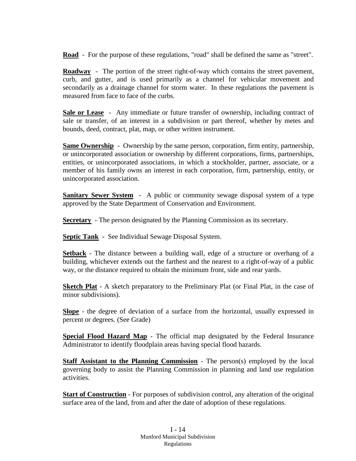**Road** - For the purpose of these regulations, "road" shall be defined the same as "street".

**Roadway** - The portion of the street right-of-way which contains the street pavement, curb, and gutter, and is used primarily as a channel for vehicular movement and secondarily as a drainage channel for storm water. In these regulations the pavement is measured from face to face of the curbs.

**Sale or Lease** - Any immediate or future transfer of ownership, including contract of sale or transfer, of an interest in a subdivision or part thereof, whether by metes and bounds, deed, contract, plat, map, or other written instrument.

**Same Ownership** - Ownership by the same person, corporation, firm entity, partnership, or unincorporated association or ownership by different corporations, firms, partnerships, entities, or unincorporated associations, in which a stockholder, partner, associate, or a member of his family owns an interest in each corporation, firm, partnership, entity, or unincorporated association.

**Sanitary Sewer System** - A public or community sewage disposal system of a type approved by the State Department of Conservation and Environment.

**Secretary** - The person designated by the Planning Commission as its secretary.

**Septic Tank** - See Individual Sewage Disposal System.

**Setback** - The distance between a building wall, edge of a structure or overhang of a building, whichever extends out the farthest and the nearest to a right-of-way of a public way, or the distance required to obtain the minimum front, side and rear yards.

**Sketch Plat** - A sketch preparatory to the Preliminary Plat (or Final Plat, in the case of minor subdivisions).

**Slope** - the degree of deviation of a surface from the horizontal, usually expressed in percent or degrees. (See Grade)

**Special Flood Hazard Map** - The official map designated by the Federal Insurance Administrator to identify floodplain areas having special flood hazards.

**Staff Assistant to the Planning Commission** - The person(s) employed by the local governing body to assist the Planning Commission in planning and land use regulation activities.

**Start of Construction** - For purposes of subdivision control, any alteration of the original surface area of the land, from and after the date of adoption of these regulations.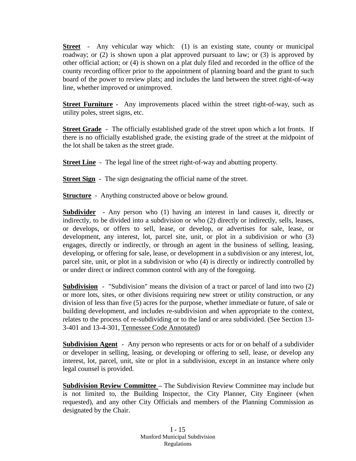**Street** - Any vehicular way which: (1) is an existing state, county or municipal roadway; or (2) is shown upon a plat approved pursuant to law; or (3) is approved by other official action; or (4) is shown on a plat duly filed and recorded in the office of the county recording officer prior to the appointment of planning board and the grant to such board of the power to review plats; and includes the land between the street right-of-way line, whether improved or unimproved.

**Street Furniture** - Any improvements placed within the street right-of-way, such as utility poles, street signs, etc.

**Street Grade** - The officially established grade of the street upon which a lot fronts. If there is no officially established grade, the existing grade of the street at the midpoint of the lot shall be taken as the street grade.

**Street Line** - The legal line of the street right-of-way and abutting property.

**Street Sign** - The sign designating the official name of the street.

**Structure** - Anything constructed above or below ground.

**Subdivider** - Any person who (1) having an interest in land causes it, directly or indirectly, to be divided into a subdivision or who (2) directly or indirectly, sells, leases, or develops, or offers to sell, lease, or develop, or advertises for sale, lease, or development, any interest, lot, parcel site, unit, or plot in a subdivision or who (3) engages, directly or indirectly, or through an agent in the business of selling, leasing, developing, or offering for sale, lease, or development in a subdivision or any interest, lot, parcel site, unit, or plot in a subdivision or who (4) is directly or indirectly controlled by or under direct or indirect common control with any of the foregoing.

**Subdivision** - "Subdivision" means the division of a tract or parcel of land into two (2) or more lots, sites, or other divisions requiring new street or utility construction, or any division of less than five (5) acres for the purpose, whether immediate or future, of sale or building development, and includes re-subdivision and when appropriate to the context, relates to the process of re-subdividing or to the land or area subdivided. (See Section 13- 3-401 and 13-4-301, Tennessee Code Annotated)

**Subdivision Agent** - Any person who represents or acts for or on behalf of a subdivider or developer in selling, leasing, or developing or offering to sell, lease, or develop any interest, lot, parcel, unit, site or plot in a subdivision, except in an instance where only legal counsel is provided.

**Subdivision Review Committee –** The Subdivision Review Committee may include but is not limited to, the Building Inspector, the City Planner, City Engineer (when requested), and any other City Officials and members of the Planning Commission as designated by the Chair.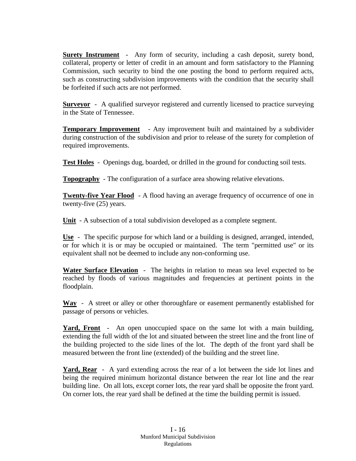**Surety Instrument** - Any form of security, including a cash deposit, surety bond, collateral, property or letter of credit in an amount and form satisfactory to the Planning Commission, such security to bind the one posting the bond to perform required acts, such as constructing subdivision improvements with the condition that the security shall be forfeited if such acts are not performed.

**Surveyor** - A qualified surveyor registered and currently licensed to practice surveying in the State of Tennessee.

**Temporary Improvement** - Any improvement built and maintained by a subdivider during construction of the subdivision and prior to release of the surety for completion of required improvements.

**Test Holes** - Openings dug, boarded, or drilled in the ground for conducting soil tests.

**Topography** - The configuration of a surface area showing relative elevations.

**Twenty-five Year Flood - A flood having an average frequency of occurrence of one in** twenty-five (25) years.

**Unit** - A subsection of a total subdivision developed as a complete segment.

**Use** - The specific purpose for which land or a building is designed, arranged, intended, or for which it is or may be occupied or maintained. The term "permitted use" or its equivalent shall not be deemed to include any non-conforming use.

**Water Surface Elevation** - The heights in relation to mean sea level expected to be reached by floods of various magnitudes and frequencies at pertinent points in the floodplain.

**Way** - A street or alley or other thoroughfare or easement permanently established for passage of persons or vehicles.

**Yard, Front** - An open unoccupied space on the same lot with a main building, extending the full width of the lot and situated between the street line and the front line of the building projected to the side lines of the lot. The depth of the front yard shall be measured between the front line (extended) of the building and the street line.

**Yard, Rear** - A yard extending across the rear of a lot between the side lot lines and being the required minimum horizontal distance between the rear lot line and the rear building line. On all lots, except corner lots, the rear yard shall be opposite the front yard. On corner lots, the rear yard shall be defined at the time the building permit is issued.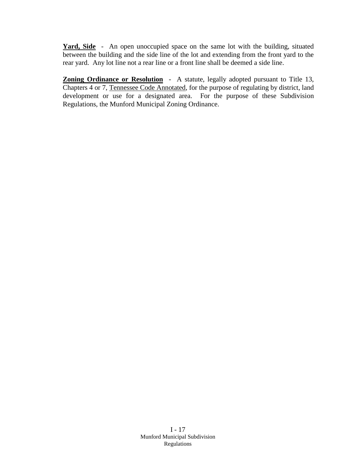**Yard, Side** - An open unoccupied space on the same lot with the building, situated between the building and the side line of the lot and extending from the front yard to the rear yard. Any lot line not a rear line or a front line shall be deemed a side line.

**Zoning Ordinance or Resolution** - A statute, legally adopted pursuant to Title 13, Chapters 4 or 7, Tennessee Code Annotated, for the purpose of regulating by district, land development or use for a designated area. For the purpose of these Subdivision Regulations, the Munford Municipal Zoning Ordinance.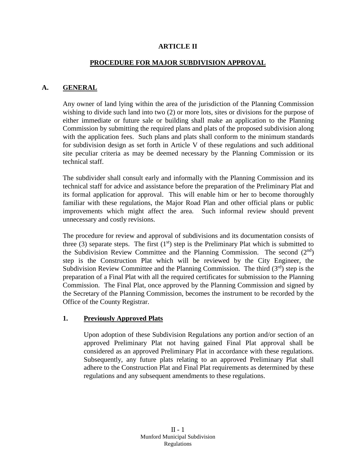#### **ARTICLE II**

#### **PROCEDURE FOR MAJOR SUBDIVISION APPROVAL**

#### **A. GENERAL**

Any owner of land lying within the area of the jurisdiction of the Planning Commission wishing to divide such land into two (2) or more lots, sites or divisions for the purpose of either immediate or future sale or building shall make an application to the Planning Commission by submitting the required plans and plats of the proposed subdivision along with the application fees. Such plans and plats shall conform to the minimum standards for subdivision design as set forth in Article V of these regulations and such additional site peculiar criteria as may be deemed necessary by the Planning Commission or its technical staff.

The subdivider shall consult early and informally with the Planning Commission and its technical staff for advice and assistance before the preparation of the Preliminary Plat and its formal application for approval. This will enable him or her to become thoroughly familiar with these regulations, the Major Road Plan and other official plans or public improvements which might affect the area. Such informal review should prevent unnecessary and costly revisions.

The procedure for review and approval of subdivisions and its documentation consists of three (3) separate steps. The first  $(1<sup>st</sup>)$  step is the Preliminary Plat which is submitted to the Subdivision Review Committee and the Planning Commission. The second  $(2<sup>nd</sup>)$ step is the Construction Plat which will be reviewed by the City Engineer, the Subdivision Review Committee and the Planning Commission. The third  $(3<sup>rd</sup>)$  step is the preparation of a Final Plat with all the required certificates for submission to the Planning Commission. The Final Plat, once approved by the Planning Commission and signed by the Secretary of the Planning Commission, becomes the instrument to be recorded by the Office of the County Registrar.

#### **1. Previously Approved Plats**

Upon adoption of these Subdivision Regulations any portion and/or section of an approved Preliminary Plat not having gained Final Plat approval shall be considered as an approved Preliminary Plat in accordance with these regulations. Subsequently, any future plats relating to an approved Preliminary Plat shall adhere to the Construction Plat and Final Plat requirements as determined by these regulations and any subsequent amendments to these regulations.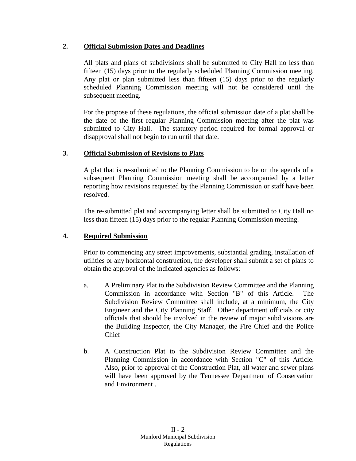# **2. Official Submission Dates and Deadlines**

All plats and plans of subdivisions shall be submitted to City Hall no less than fifteen (15) days prior to the regularly scheduled Planning Commission meeting. Any plat or plan submitted less than fifteen (15) days prior to the regularly scheduled Planning Commission meeting will not be considered until the subsequent meeting.

For the propose of these regulations, the official submission date of a plat shall be the date of the first regular Planning Commission meeting after the plat was submitted to City Hall. The statutory period required for formal approval or disapproval shall not begin to run until that date.

# **3. Official Submission of Revisions to Plats**

A plat that is re-submitted to the Planning Commission to be on the agenda of a subsequent Planning Commission meeting shall be accompanied by a letter reporting how revisions requested by the Planning Commission or staff have been resolved.

The re-submitted plat and accompanying letter shall be submitted to City Hall no less than fifteen (15) days prior to the regular Planning Commission meeting.

# **4. Required Submission**

Prior to commencing any street improvements, substantial grading, installation of utilities or any horizontal construction, the developer shall submit a set of plans to obtain the approval of the indicated agencies as follows:

- a. A Preliminary Plat to the Subdivision Review Committee and the Planning Commission in accordance with Section "B" of this Article. The Subdivision Review Committee shall include, at a minimum, the City Engineer and the City Planning Staff. Other department officials or city officials that should be involved in the review of major subdivisions are the Building Inspector, the City Manager, the Fire Chief and the Police Chief
- b. A Construction Plat to the Subdivision Review Committee and the Planning Commission in accordance with Section "C" of this Article. Also, prior to approval of the Construction Plat, all water and sewer plans will have been approved by the Tennessee Department of Conservation and Environment .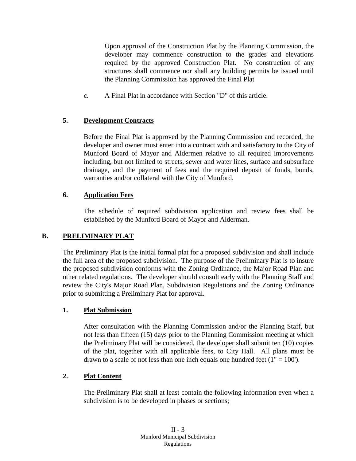Upon approval of the Construction Plat by the Planning Commission, the developer may commence construction to the grades and elevations required by the approved Construction Plat. No construction of any structures shall commence nor shall any building permits be issued until the Planning Commission has approved the Final Plat

c. A Final Plat in accordance with Section "D" of this article.

# **5. Development Contracts**

Before the Final Plat is approved by the Planning Commission and recorded, the developer and owner must enter into a contract with and satisfactory to the City of Munford Board of Mayor and Aldermen relative to all required improvements including, but not limited to streets, sewer and water lines, surface and subsurface drainage, and the payment of fees and the required deposit of funds, bonds, warranties and/or collateral with the City of Munford.

# **6. Application Fees**

The schedule of required subdivision application and review fees shall be established by the Munford Board of Mayor and Alderman.

# **B. PRELIMINARY PLAT**

The Preliminary Plat is the initial formal plat for a proposed subdivision and shall include the full area of the proposed subdivision. The purpose of the Preliminary Plat is to insure the proposed subdivision conforms with the Zoning Ordinance, the Major Road Plan and other related regulations. The developer should consult early with the Planning Staff and review the City's Major Road Plan, Subdivision Regulations and the Zoning Ordinance prior to submitting a Preliminary Plat for approval.

# **1. Plat Submission**

After consultation with the Planning Commission and/or the Planning Staff, but not less than fifteen (15) days prior to the Planning Commission meeting at which the Preliminary Plat will be considered, the developer shall submit ten (10) copies of the plat, together with all applicable fees, to City Hall. All plans must be drawn to a scale of not less than one inch equals one hundred feet  $(1" = 100')$ .

# **2. Plat Content**

The Preliminary Plat shall at least contain the following information even when a subdivision is to be developed in phases or sections;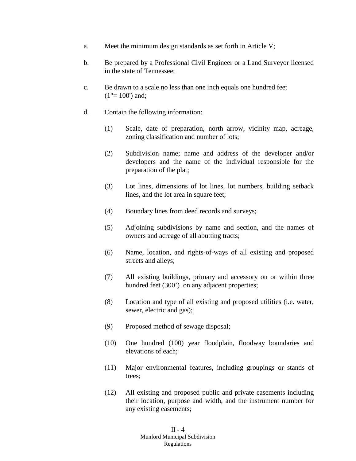- a. Meet the minimum design standards as set forth in Article V;
- b. Be prepared by a Professional Civil Engineer or a Land Surveyor licensed in the state of Tennessee;
- c. Be drawn to a scale no less than one inch equals one hundred feet  $(1" = 100')$  and;
- d. Contain the following information:
	- (1) Scale, date of preparation, north arrow, vicinity map, acreage, zoning classification and number of lots;
	- (2) Subdivision name; name and address of the developer and/or developers and the name of the individual responsible for the preparation of the plat;
	- (3) Lot lines, dimensions of lot lines, lot numbers, building setback lines, and the lot area in square feet;
	- (4) Boundary lines from deed records and surveys;
	- (5) Adjoining subdivisions by name and section, and the names of owners and acreage of all abutting tracts;
	- (6) Name, location, and rights-of-ways of all existing and proposed streets and alleys;
	- (7) All existing buildings, primary and accessory on or within three hundred feet (300<sup>o</sup>) on any adjacent properties;
	- (8) Location and type of all existing and proposed utilities (i.e. water, sewer, electric and gas);
	- (9) Proposed method of sewage disposal;
	- (10) One hundred (100) year floodplain, floodway boundaries and elevations of each;
	- (11) Major environmental features, including groupings or stands of trees;
	- (12) All existing and proposed public and private easements including their location, purpose and width, and the instrument number for any existing easements;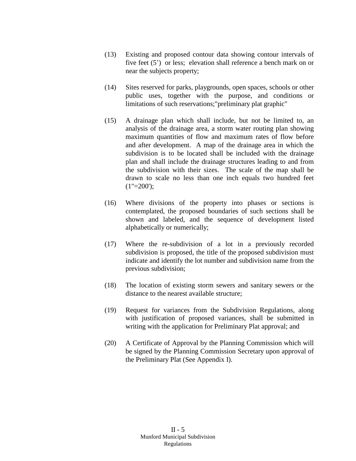- (13) Existing and proposed contour data showing contour intervals of five feet (5') or less; elevation shall reference a bench mark on or near the subjects property;
- (14) Sites reserved for parks, playgrounds, open spaces, schools or other public uses, together with the purpose, and conditions or limitations of such reservations;"preliminary plat graphic"
- (15) A drainage plan which shall include, but not be limited to, an analysis of the drainage area, a storm water routing plan showing maximum quantities of flow and maximum rates of flow before and after development. A map of the drainage area in which the subdivision is to be located shall be included with the drainage plan and shall include the drainage structures leading to and from the subdivision with their sizes. The scale of the map shall be drawn to scale no less than one inch equals two hundred feet  $(1" = 200$ ;
- (16) Where divisions of the property into phases or sections is contemplated, the proposed boundaries of such sections shall be shown and labeled, and the sequence of development listed alphabetically or numerically;
- (17) Where the re-subdivision of a lot in a previously recorded subdivision is proposed, the title of the proposed subdivision must indicate and identify the lot number and subdivision name from the previous subdivision;
- (18) The location of existing storm sewers and sanitary sewers or the distance to the nearest available structure;
- (19) Request for variances from the Subdivision Regulations, along with justification of proposed variances, shall be submitted in writing with the application for Preliminary Plat approval; and
- (20) A Certificate of Approval by the Planning Commission which will be signed by the Planning Commission Secretary upon approval of the Preliminary Plat (See Appendix I).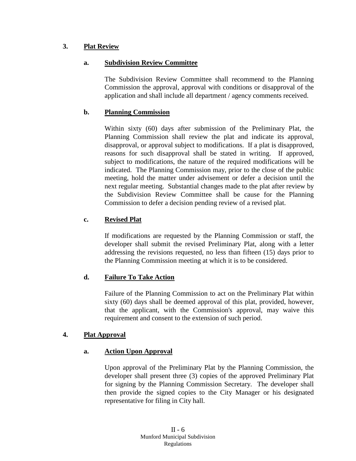# **3. Plat Review**

# **a. Subdivision Review Committee**

The Subdivision Review Committee shall recommend to the Planning Commission the approval, approval with conditions or disapproval of the application and shall include all department / agency comments received.

#### **b. Planning Commission**

Within sixty (60) days after submission of the Preliminary Plat, the Planning Commission shall review the plat and indicate its approval, disapproval, or approval subject to modifications. If a plat is disapproved, reasons for such disapproval shall be stated in writing. If approved, subject to modifications, the nature of the required modifications will be indicated. The Planning Commission may, prior to the close of the public meeting, hold the matter under advisement or defer a decision until the next regular meeting. Substantial changes made to the plat after review by the Subdivision Review Committee shall be cause for the Planning Commission to defer a decision pending review of a revised plat.

#### **c. Revised Plat**

If modifications are requested by the Planning Commission or staff, the developer shall submit the revised Preliminary Plat, along with a letter addressing the revisions requested, no less than fifteen (15) days prior to the Planning Commission meeting at which it is to be considered.

# **d. Failure To Take Action**

Failure of the Planning Commission to act on the Preliminary Plat within sixty (60) days shall be deemed approval of this plat, provided, however, that the applicant, with the Commission's approval, may waive this requirement and consent to the extension of such period.

#### **4. Plat Approval**

#### **a. Action Upon Approval**

Upon approval of the Preliminary Plat by the Planning Commission, the developer shall present three (3) copies of the approved Preliminary Plat for signing by the Planning Commission Secretary. The developer shall then provide the signed copies to the City Manager or his designated representative for filing in City hall.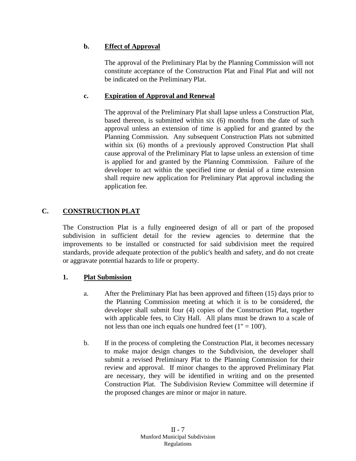# **b. Effect of Approval**

The approval of the Preliminary Plat by the Planning Commission will not constitute acceptance of the Construction Plat and Final Plat and will not be indicated on the Preliminary Plat.

# **c. Expiration of Approval and Renewal**

The approval of the Preliminary Plat shall lapse unless a Construction Plat, based thereon, is submitted within six (6) months from the date of such approval unless an extension of time is applied for and granted by the Planning Commission. Any subsequent Construction Plats not submitted within six (6) months of a previously approved Construction Plat shall cause approval of the Preliminary Plat to lapse unless an extension of time is applied for and granted by the Planning Commission. Failure of the developer to act within the specified time or denial of a time extension shall require new application for Preliminary Plat approval including the application fee.

# **C. CONSTRUCTION PLAT**

The Construction Plat is a fully engineered design of all or part of the proposed subdivision in sufficient detail for the review agencies to determine that the improvements to be installed or constructed for said subdivision meet the required standards, provide adequate protection of the public's health and safety, and do not create or aggravate potential hazards to life or property.

# **1. Plat Submission**

- a. After the Preliminary Plat has been approved and fifteen (15) days prior to the Planning Commission meeting at which it is to be considered, the developer shall submit four (4) copies of the Construction Plat, together with applicable fees, to City Hall. All plans must be drawn to a scale of not less than one inch equals one hundred feet  $(1" = 100')$ .
- b. If in the process of completing the Construction Plat, it becomes necessary to make major design changes to the Subdivision, the developer shall submit a revised Preliminary Plat to the Planning Commission for their review and approval. If minor changes to the approved Preliminary Plat are necessary, they will be identified in writing and on the presented Construction Plat. The Subdivision Review Committee will determine if the proposed changes are minor or major in nature.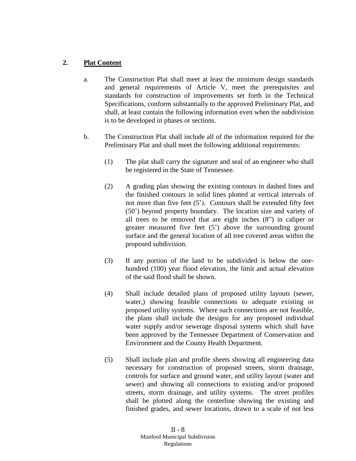# **2. Plat Content**

- a. The Construction Plat shall meet at least the minimum design standards and general requirements of Article V, meet the prerequisites and standards for construction of improvements set forth in the Technical Specifications, conform substantially to the approved Preliminary Plat, and shall, at least contain the following information even when the subdivision is to be developed in phases or sections.
- b. The Construction Plat shall include all of the information required for the Preliminary Plat and shall meet the following additional requirements:
	- (1) The plat shall carry the signature and seal of an engineer who shall be registered in the State of Tennessee.
	- (2) A grading plan showing the existing contours in dashed lines and the finished contours in solid lines plotted at vertical intervals of not more than five feet (5'). Contours shall be extended fifty feet (50') beyond property boundary. The location size and variety of all trees to be removed that are eight inches (8") in caliper or greater measured five feet (5') above the surrounding ground surface and the general location of all tree covered areas within the proposed subdivision.
	- (3) If any portion of the land to be subdivided is below the onehundred (100) year flood elevation, the limit and actual elevation of the said flood shall be shown.
	- (4) Shall include detailed plans of proposed utility layouts (sewer, water,) showing feasible connections to adequate existing or proposed utility systems. Where such connections are not feasible, the plans shall include the designs for any proposed individual water supply and/or sewerage disposal systems which shall have been approved by the Tennessee Department of Conservation and Environment and the County Health Department.
	- (5) Shall include plan and profile sheets showing all engineering data necessary for construction of proposed streets, storm drainage, controls for surface and ground water, and utility layout (water and sewer) and showing all connections to existing and/or proposed streets, storm drainage, and utility systems. The street profiles shall be plotted along the centerline showing the existing and finished grades, and sewer locations, drawn to a scale of not less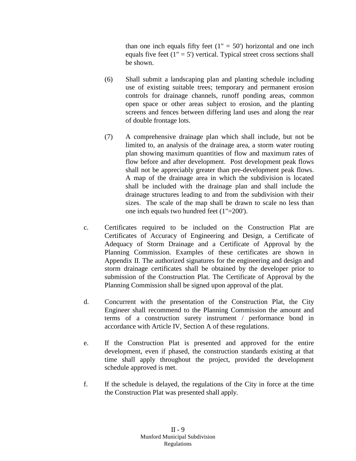than one inch equals fifty feet  $(1<sup>''</sup> = 50<sup>'</sup>)$  horizontal and one inch equals five feet  $(1 - 5)$  vertical. Typical street cross sections shall be shown.

- (6) Shall submit a landscaping plan and planting schedule including use of existing suitable trees; temporary and permanent erosion controls for drainage channels, runoff ponding areas, common open space or other areas subject to erosion, and the planting screens and fences between differing land uses and along the rear of double frontage lots.
- (7) A comprehensive drainage plan which shall include, but not be limited to, an analysis of the drainage area, a storm water routing plan showing maximum quantities of flow and maximum rates of flow before and after development. Post development peak flows shall not be appreciably greater than pre-development peak flows. A map of the drainage area in which the subdivision is located shall be included with the drainage plan and shall include the drainage structures leading to and from the subdivision with their sizes. The scale of the map shall be drawn to scale no less than one inch equals two hundred feet (1"=200').
- c. Certificates required to be included on the Construction Plat are Certificates of Accuracy of Engineering and Design, a Certificate of Adequacy of Storm Drainage and a Certificate of Approval by the Planning Commission. Examples of these certificates are shown in Appendix II. The authorized signatures for the engineering and design and storm drainage certificates shall be obtained by the developer prior to submission of the Construction Plat. The Certificate of Approval by the Planning Commission shall be signed upon approval of the plat.
- d. Concurrent with the presentation of the Construction Plat, the City Engineer shall recommend to the Planning Commission the amount and terms of a construction surety instrument / performance bond in accordance with Article IV, Section A of these regulations.
- e. If the Construction Plat is presented and approved for the entire development, even if phased, the construction standards existing at that time shall apply throughout the project, provided the development schedule approved is met.
- f. If the schedule is delayed, the regulations of the City in force at the time the Construction Plat was presented shall apply.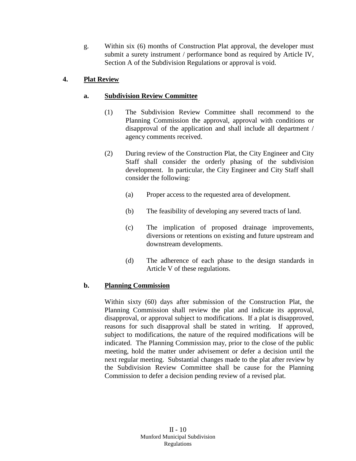g. Within six (6) months of Construction Plat approval, the developer must submit a surety instrument / performance bond as required by Article IV, Section A of the Subdivision Regulations or approval is void.

# **4. Plat Review**

# **a. Subdivision Review Committee**

- (1) The Subdivision Review Committee shall recommend to the Planning Commission the approval, approval with conditions or disapproval of the application and shall include all department / agency comments received.
- (2) During review of the Construction Plat, the City Engineer and City Staff shall consider the orderly phasing of the subdivision development. In particular, the City Engineer and City Staff shall consider the following:
	- (a) Proper access to the requested area of development.
	- (b) The feasibility of developing any severed tracts of land.
	- (c) The implication of proposed drainage improvements, diversions or retentions on existing and future upstream and downstream developments.
	- (d) The adherence of each phase to the design standards in Article V of these regulations.

# **b. Planning Commission**

Within sixty (60) days after submission of the Construction Plat, the Planning Commission shall review the plat and indicate its approval, disapproval, or approval subject to modifications. If a plat is disapproved, reasons for such disapproval shall be stated in writing. If approved, subject to modifications, the nature of the required modifications will be indicated. The Planning Commission may, prior to the close of the public meeting, hold the matter under advisement or defer a decision until the next regular meeting. Substantial changes made to the plat after review by the Subdivision Review Committee shall be cause for the Planning Commission to defer a decision pending review of a revised plat.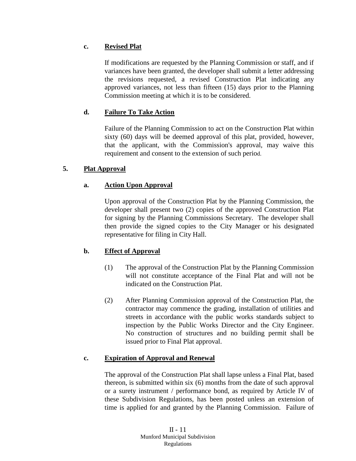# **c. Revised Plat**

If modifications are requested by the Planning Commission or staff, and if variances have been granted, the developer shall submit a letter addressing the revisions requested, a revised Construction Plat indicating any approved variances, not less than fifteen (15) days prior to the Planning Commission meeting at which it is to be considered.

# **d. Failure To Take Action**

Failure of the Planning Commission to act on the Construction Plat within sixty (60) days will be deemed approval of this plat, provided, however, that the applicant, with the Commission's approval, may waive this requirement and consent to the extension of such period.

# **5. Plat Approval**

# **a. Action Upon Approval**

Upon approval of the Construction Plat by the Planning Commission, the developer shall present two (2) copies of the approved Construction Plat for signing by the Planning Commissions Secretary. The developer shall then provide the signed copies to the City Manager or his designated representative for filing in City Hall.

# **b. Effect of Approval**

- (1) The approval of the Construction Plat by the Planning Commission will not constitute acceptance of the Final Plat and will not be indicated on the Construction Plat.
- (2) After Planning Commission approval of the Construction Plat, the contractor may commence the grading, installation of utilities and streets in accordance with the public works standards subject to inspection by the Public Works Director and the City Engineer. No construction of structures and no building permit shall be issued prior to Final Plat approval.

# **c. Expiration of Approval and Renewal**

The approval of the Construction Plat shall lapse unless a Final Plat, based thereon, is submitted within six (6) months from the date of such approval or a surety instrument / performance bond, as required by Article IV of these Subdivision Regulations, has been posted unless an extension of time is applied for and granted by the Planning Commission. Failure of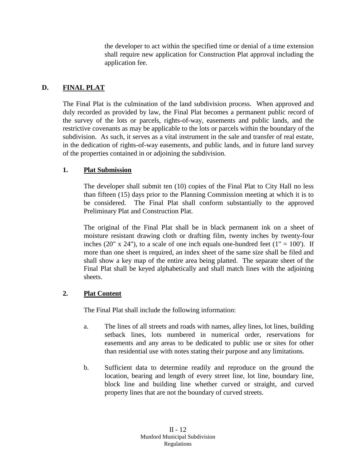the developer to act within the specified time or denial of a time extension shall require new application for Construction Plat approval including the application fee.

# **D. FINAL PLAT**

The Final Plat is the culmination of the land subdivision process. When approved and duly recorded as provided by law, the Final Plat becomes a permanent public record of the survey of the lots or parcels, rights-of-way, easements and public lands, and the restrictive covenants as may be applicable to the lots or parcels within the boundary of the subdivision. As such, it serves as a vital instrument in the sale and transfer of real estate, in the dedication of rights-of-way easements, and public lands, and in future land survey of the properties contained in or adjoining the subdivision.

#### **1. Plat Submission**

The developer shall submit ten (10) copies of the Final Plat to City Hall no less than fifteen (15) days prior to the Planning Commission meeting at which it is to be considered. The Final Plat shall conform substantially to the approved Preliminary Plat and Construction Plat.

The original of the Final Plat shall be in black permanent ink on a sheet of moisture resistant drawing cloth or drafting film, twenty inches by twenty-four inches (20" x 24"), to a scale of one inch equals one-hundred feet ( $1" = 100'$ ). If more than one sheet is required, an index sheet of the same size shall be filed and shall show a key map of the entire area being platted. The separate sheet of the Final Plat shall be keyed alphabetically and shall match lines with the adjoining sheets.

# **2. Plat Content**

The Final Plat shall include the following information:

- a. The lines of all streets and roads with names, alley lines, lot lines, building setback lines, lots numbered in numerical order, reservations for easements and any areas to be dedicated to public use or sites for other than residential use with notes stating their purpose and any limitations.
- b. Sufficient data to determine readily and reproduce on the ground the location, bearing and length of every street line, lot line, boundary line, block line and building line whether curved or straight, and curved property lines that are not the boundary of curved streets.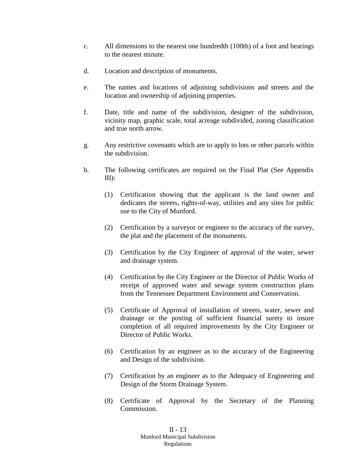- c. All dimensions to the nearest one hundredth (100th) of a foot and bearings to the nearest minute.
- d. Location and description of monuments.
- e. The names and locations of adjoining subdivisions and streets and the location and ownership of adjoining properties.
- f. Date, title and name of the subdivision, designer of the subdivision, vicinity map, graphic scale, total acreage subdivided, zoning classification and true north arrow.
- g. Any restrictive covenants which are to apply to lots or other parcels within the subdivision.
- h. The following certificates are required on the Final Plat (See Appendix III):
	- (1) Certification showing that the applicant is the land owner and dedicates the streets, rights-of-way, utilities and any sites for public use to the City of Munford.
	- (2) Certification by a surveyor or engineer to the accuracy of the survey, the plat and the placement of the monuments.
	- (3) Certification by the City Engineer of approval of the water, sewer and drainage system.
	- (4) Certification by the City Engineer or the Director of Public Works of receipt of approved water and sewage system construction plans from the Tennessee Department Environment and Conservation.
	- (5) Certificate of Approval of installation of streets, water, sewer and drainage or the posting of sufficient financial surety to insure completion of all required improvements by the City Engineer or Director of Public Works.
	- (6) Certification by an engineer as to the accuracy of the Engineering and Design of the subdivision.
	- (7) Certification by an engineer as to the Adequacy of Engineering and Design of the Storm Drainage System.
	- (8) Certificate of Approval by the Secretary of the Planning Commission.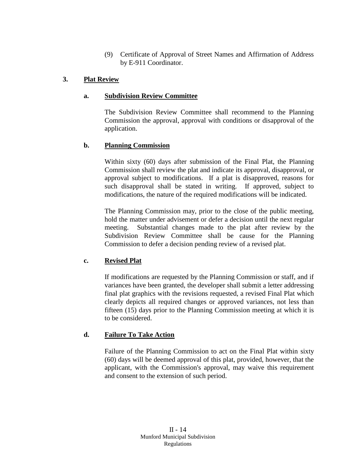(9) Certificate of Approval of Street Names and Affirmation of Address by E-911 Coordinator.

# **3. Plat Review**

# **a. Subdivision Review Committee**

The Subdivision Review Committee shall recommend to the Planning Commission the approval, approval with conditions or disapproval of the application.

# **b. Planning Commission**

Within sixty (60) days after submission of the Final Plat, the Planning Commission shall review the plat and indicate its approval, disapproval, or approval subject to modifications. If a plat is disapproved, reasons for such disapproval shall be stated in writing. If approved, subject to modifications, the nature of the required modifications will be indicated.

The Planning Commission may, prior to the close of the public meeting, hold the matter under advisement or defer a decision until the next regular meeting. Substantial changes made to the plat after review by the Subdivision Review Committee shall be cause for the Planning Commission to defer a decision pending review of a revised plat.

# **c. Revised Plat**

If modifications are requested by the Planning Commission or staff, and if variances have been granted, the developer shall submit a letter addressing final plat graphics with the revisions requested, a revised Final Plat which clearly depicts all required changes or approved variances, not less than fifteen (15) days prior to the Planning Commission meeting at which it is to be considered.

# **d. Failure To Take Action**

Failure of the Planning Commission to act on the Final Plat within sixty (60) days will be deemed approval of this plat, provided, however, that the applicant, with the Commission's approval, may waive this requirement and consent to the extension of such period.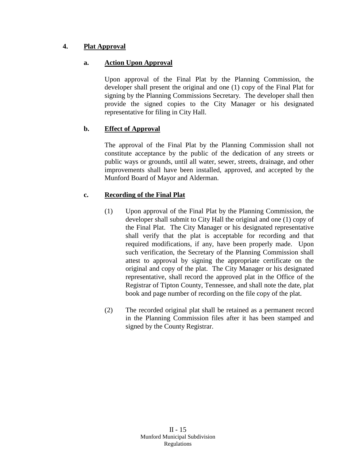# **4. Plat Approval**

# **a. Action Upon Approval**

Upon approval of the Final Plat by the Planning Commission, the developer shall present the original and one (1) copy of the Final Plat for signing by the Planning Commissions Secretary. The developer shall then provide the signed copies to the City Manager or his designated representative for filing in City Hall.

# **b. Effect of Approval**

The approval of the Final Plat by the Planning Commission shall not constitute acceptance by the public of the dedication of any streets or public ways or grounds, until all water, sewer, streets, drainage, and other improvements shall have been installed, approved, and accepted by the Munford Board of Mayor and Alderman.

# **c. Recording of the Final Plat**

- (1) Upon approval of the Final Plat by the Planning Commission, the developer shall submit to City Hall the original and one (1) copy of the Final Plat. The City Manager or his designated representative shall verify that the plat is acceptable for recording and that required modifications, if any, have been properly made. Upon such verification, the Secretary of the Planning Commission shall attest to approval by signing the appropriate certificate on the original and copy of the plat. The City Manager or his designated representative, shall record the approved plat in the Office of the Registrar of Tipton County, Tennessee, and shall note the date, plat book and page number of recording on the file copy of the plat.
- (2) The recorded original plat shall be retained as a permanent record in the Planning Commission files after it has been stamped and signed by the County Registrar.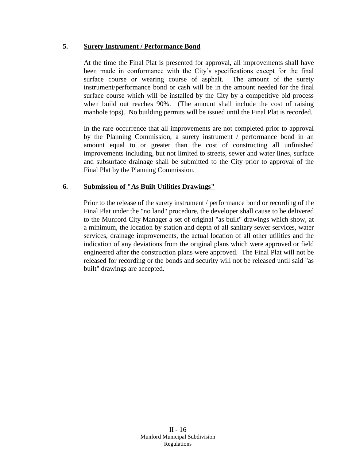#### **5. Surety Instrument / Performance Bond**

At the time the Final Plat is presented for approval, all improvements shall have been made in conformance with the City's specifications except for the final surface course or wearing course of asphalt. The amount of the surety instrument/performance bond or cash will be in the amount needed for the final surface course which will be installed by the City by a competitive bid process when build out reaches 90%. (The amount shall include the cost of raising manhole tops). No building permits will be issued until the Final Plat is recorded.

In the rare occurrence that all improvements are not completed prior to approval by the Planning Commission, a surety instrument / performance bond in an amount equal to or greater than the cost of constructing all unfinished improvements including, but not limited to streets, sewer and water lines, surface and subsurface drainage shall be submitted to the City prior to approval of the Final Plat by the Planning Commission.

#### **6. Submission of "As Built Utilities Drawings"**

Prior to the release of the surety instrument / performance bond or recording of the Final Plat under the "no land" procedure, the developer shall cause to be delivered to the Munford City Manager a set of original "as built" drawings which show, at a minimum, the location by station and depth of all sanitary sewer services, water services, drainage improvements, the actual location of all other utilities and the indication of any deviations from the original plans which were approved or field engineered after the construction plans were approved. The Final Plat will not be released for recording or the bonds and security will not be released until said "as built" drawings are accepted.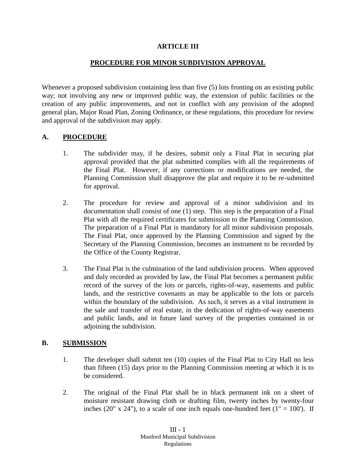#### **ARTICLE III**

#### **PROCEDURE FOR MINOR SUBDIVISION APPROVAL**

Whenever a proposed subdivision containing less than five (5) lots fronting on an existing public way; not involving any new or improved public way, the extension of public facilities or the creation of any public improvements, and not in conflict with any provision of the adopted general plan, Major Road Plan, Zoning Ordinance, or these regulations, this procedure for review and approval of the subdivision may apply.

#### **A. PROCEDURE**

- 1. The subdivider may, if he desires, submit only a Final Plat in securing plat approval provided that the plat submitted complies with all the requirements of the Final Plat. However, if any corrections or modifications are needed, the Planning Commission shall disapprove the plat and require it to be re-submitted for approval.
- 2. The procedure for review and approval of a minor subdivision and its documentation shall consist of one (1) step. This step is the preparation of a Final Plat with all the required certificates for submission to the Planning Commission. The preparation of a Final Plat is mandatory for all minor subdivision proposals. The Final Plat, once approved by the Planning Commission and signed by the Secretary of the Planning Commission, becomes an instrument to be recorded by the Office of the County Registrar.
- 3. The Final Plat is the culmination of the land subdivision process. When approved and duly recorded as provided by law, the Final Plat becomes a permanent public record of the survey of the lots or parcels, rights-of-way, easements and public lands, and the restrictive covenants as may be applicable to the lots or parcels within the boundary of the subdivision. As such, it serves as a vital instrument in the sale and transfer of real estate, in the dedication of rights-of-way easements and public lands, and in future land survey of the properties contained in or adjoining the subdivision.

## **B. SUBMISSION**

- 1. The developer shall submit ten (10) copies of the Final Plat to City Hall no less than fifteen (15) days prior to the Planning Commission meeting at which it is to be considered.
- 2. The original of the Final Plat shall be in black permanent ink on a sheet of moisture resistant drawing cloth or drafting film, twenty inches by twenty-four inches (20" x 24"), to a scale of one inch equals one-hundred feet ( $1" = 100"$ ). If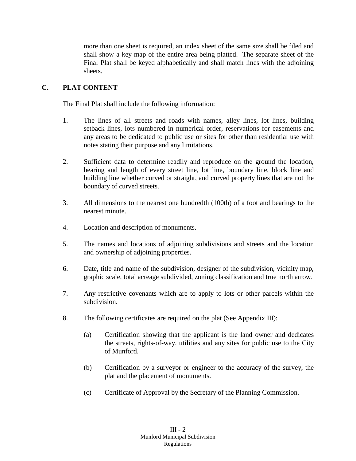more than one sheet is required, an index sheet of the same size shall be filed and shall show a key map of the entire area being platted. The separate sheet of the Final Plat shall be keyed alphabetically and shall match lines with the adjoining sheets.

# **C. PLAT CONTENT**

The Final Plat shall include the following information:

- 1. The lines of all streets and roads with names, alley lines, lot lines, building setback lines, lots numbered in numerical order, reservations for easements and any areas to be dedicated to public use or sites for other than residential use with notes stating their purpose and any limitations.
- 2. Sufficient data to determine readily and reproduce on the ground the location, bearing and length of every street line, lot line, boundary line, block line and building line whether curved or straight, and curved property lines that are not the boundary of curved streets.
- 3. All dimensions to the nearest one hundredth (100th) of a foot and bearings to the nearest minute.
- 4. Location and description of monuments.
- 5. The names and locations of adjoining subdivisions and streets and the location and ownership of adjoining properties.
- 6. Date, title and name of the subdivision, designer of the subdivision, vicinity map, graphic scale, total acreage subdivided, zoning classification and true north arrow.
- 7. Any restrictive covenants which are to apply to lots or other parcels within the subdivision.
- 8. The following certificates are required on the plat (See Appendix III):
	- (a) Certification showing that the applicant is the land owner and dedicates the streets, rights-of-way, utilities and any sites for public use to the City of Munford.
	- (b) Certification by a surveyor or engineer to the accuracy of the survey, the plat and the placement of monuments.
	- (c) Certificate of Approval by the Secretary of the Planning Commission.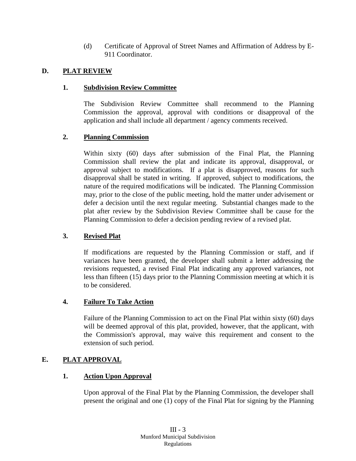(d) Certificate of Approval of Street Names and Affirmation of Address by E-911 Coordinator.

# **D. PLAT REVIEW**

## **1. Subdivision Review Committee**

The Subdivision Review Committee shall recommend to the Planning Commission the approval, approval with conditions or disapproval of the application and shall include all department / agency comments received.

# **2. Planning Commission**

Within sixty (60) days after submission of the Final Plat, the Planning Commission shall review the plat and indicate its approval, disapproval, or approval subject to modifications. If a plat is disapproved, reasons for such disapproval shall be stated in writing. If approved, subject to modifications, the nature of the required modifications will be indicated. The Planning Commission may, prior to the close of the public meeting, hold the matter under advisement or defer a decision until the next regular meeting. Substantial changes made to the plat after review by the Subdivision Review Committee shall be cause for the Planning Commission to defer a decision pending review of a revised plat.

## **3. Revised Plat**

If modifications are requested by the Planning Commission or staff, and if variances have been granted, the developer shall submit a letter addressing the revisions requested, a revised Final Plat indicating any approved variances, not less than fifteen (15) days prior to the Planning Commission meeting at which it is to be considered.

## **4. Failure To Take Action**

Failure of the Planning Commission to act on the Final Plat within sixty (60) days will be deemed approval of this plat, provided, however, that the applicant, with the Commission's approval, may waive this requirement and consent to the extension of such period.

# **E. PLAT APPROVAL**

## **1. Action Upon Approval**

Upon approval of the Final Plat by the Planning Commission, the developer shall present the original and one (1) copy of the Final Plat for signing by the Planning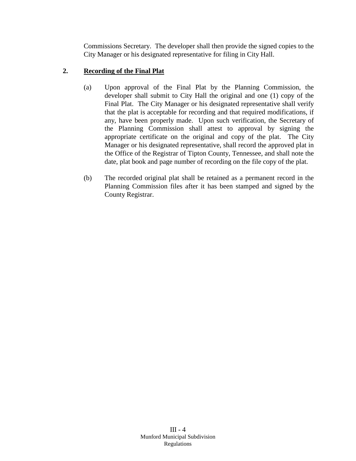Commissions Secretary. The developer shall then provide the signed copies to the City Manager or his designated representative for filing in City Hall.

# **2. Recording of the Final Plat**

- (a) Upon approval of the Final Plat by the Planning Commission, the developer shall submit to City Hall the original and one (1) copy of the Final Plat. The City Manager or his designated representative shall verify that the plat is acceptable for recording and that required modifications, if any, have been properly made. Upon such verification, the Secretary of the Planning Commission shall attest to approval by signing the appropriate certificate on the original and copy of the plat. The City Manager or his designated representative, shall record the approved plat in the Office of the Registrar of Tipton County, Tennessee, and shall note the date, plat book and page number of recording on the file copy of the plat.
- (b) The recorded original plat shall be retained as a permanent record in the Planning Commission files after it has been stamped and signed by the County Registrar.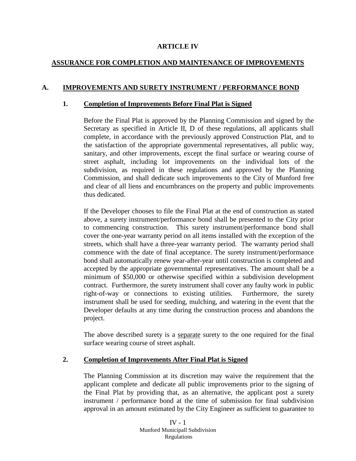#### **ARTICLE IV**

# **ASSURANCE FOR COMPLETION AND MAINTENANCE OF IMPROVEMENTS**

## **A. IMPROVEMENTS AND SURETY INSTRUMENT / PERFORMANCE BOND**

#### **1. Completion of Improvements Before Final Plat is Signed**

Before the Final Plat is approved by the Planning Commission and signed by the Secretary as specified in Article II, D of these regulations, all applicants shall complete, in accordance with the previously approved Construction Plat, and to the satisfaction of the appropriate governmental representatives, all public way, sanitary, and other improvements, except the final surface or wearing course of street asphalt, including lot improvements on the individual lots of the subdivision, as required in these regulations and approved by the Planning Commission, and shall dedicate such improvements to the City of Munford free and clear of all liens and encumbrances on the property and public improvements thus dedicated.

If the Developer chooses to file the Final Plat at the end of construction as stated above, a surety instrument/performance bond shall be presented to the City prior to commencing construction. This surety instrument/performance bond shall cover the one-year warranty period on all items installed with the exception of the streets, which shall have a three-year warranty period. The warranty period shall commence with the date of final acceptance. The surety instrument/performance bond shall automatically renew year-after-year until construction is completed and accepted by the appropriate governmental representatives. The amount shall be a minimum of \$50,000 or otherwise specified within a subdivision development contract. Furthermore, the surety instrument shall cover any faulty work in public right-of-way or connections to existing utilities. Furthermore, the surety instrument shall be used for seeding, mulching, and watering in the event that the Developer defaults at any time during the construction process and abandons the project.

The above described surety is a separate surety to the one required for the final surface wearing course of street asphalt.

## **2. Completion of Improvements After Final Plat is Signed**

The Planning Commission at its discretion may waive the requirement that the applicant complete and dedicate all public improvements prior to the signing of the Final Plat by providing that, as an alternative, the applicant post a surety instrument / performance bond at the time of submission for final subdivision approval in an amount estimated by the City Engineer as sufficient to guarantee to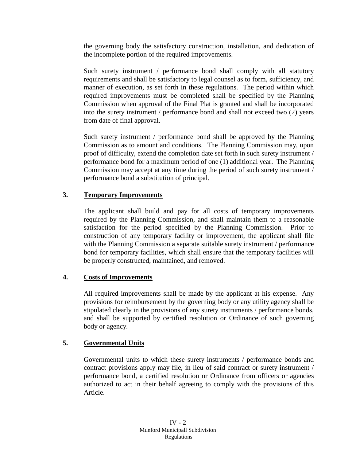the governing body the satisfactory construction, installation, and dedication of the incomplete portion of the required improvements.

Such surety instrument / performance bond shall comply with all statutory requirements and shall be satisfactory to legal counsel as to form, sufficiency, and manner of execution, as set forth in these regulations. The period within which required improvements must be completed shall be specified by the Planning Commission when approval of the Final Plat is granted and shall be incorporated into the surety instrument / performance bond and shall not exceed two (2) years from date of final approval.

Such surety instrument / performance bond shall be approved by the Planning Commission as to amount and conditions. The Planning Commission may, upon proof of difficulty, extend the completion date set forth in such surety instrument / performance bond for a maximum period of one (1) additional year. The Planning Commission may accept at any time during the period of such surety instrument / performance bond a substitution of principal.

# **3. Temporary Improvements**

The applicant shall build and pay for all costs of temporary improvements required by the Planning Commission, and shall maintain them to a reasonable satisfaction for the period specified by the Planning Commission. Prior to construction of any temporary facility or improvement, the applicant shall file with the Planning Commission a separate suitable surety instrument / performance bond for temporary facilities, which shall ensure that the temporary facilities will be properly constructed, maintained, and removed.

## **4. Costs of Improvements**

All required improvements shall be made by the applicant at his expense. Any provisions for reimbursement by the governing body or any utility agency shall be stipulated clearly in the provisions of any surety instruments / performance bonds, and shall be supported by certified resolution or Ordinance of such governing body or agency.

# **5. Governmental Units**

Governmental units to which these surety instruments / performance bonds and contract provisions apply may file, in lieu of said contract or surety instrument / performance bond, a certified resolution or Ordinance from officers or agencies authorized to act in their behalf agreeing to comply with the provisions of this Article.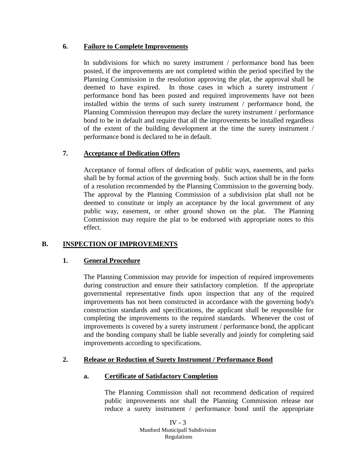#### **6. Failure to Complete Improvements**

In subdivisions for which no surety instrument / performance bond has been posted, if the improvements are not completed within the period specified by the Planning Commission in the resolution approving the plat, the approval shall be deemed to have expired. In those cases in which a surety instrument / performance bond has been posted and required improvements have not been installed within the terms of such surety instrument / performance bond, the Planning Commission thereupon may declare the surety instrument / performance bond to be in default and require that all the improvements be installed regardless of the extent of the building development at the time the surety instrument / performance bond is declared to be in default.

# **7. Acceptance of Dedication Offers**

Acceptance of formal offers of dedication of public ways, easements, and parks shall be by formal action of the governing body. Such action shall be in the form of a resolution recommended by the Planning Commission to the governing body. The approval by the Planning Commission of a subdivision plat shall not be deemed to constitute or imply an acceptance by the local government of any public way, easement, or other ground shown on the plat. The Planning Commission may require the plat to be endorsed with appropriate notes to this effect.

## **B. INSPECTION OF IMPROVEMENTS**

## **1. General Procedure**

The Planning Commission may provide for inspection of required improvements during construction and ensure their satisfactory completion. If the appropriate governmental representative finds upon inspection that any of the required improvements has not been constructed in accordance with the governing body's construction standards and specifications, the applicant shall be responsible for completing the improvements to the required standards. Whenever the cost of improvements is covered by a surety instrument / performance bond, the applicant and the bonding company shall be liable severally and jointly for completing said improvements according to specifications.

## **2. Release or Reduction of Surety Instrument / Performance Bond**

## **a. Certificate of Satisfactory Completion**

The Planning Commission shall not recommend dedication of required public improvements nor shall the Planning Commission release nor reduce a surety instrument / performance bond until the appropriate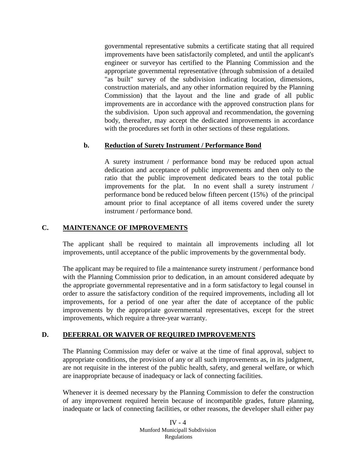governmental representative submits a certificate stating that all required improvements have been satisfactorily completed, and until the applicant's engineer or surveyor has certified to the Planning Commission and the appropriate governmental representative (through submission of a detailed "as built" survey of the subdivision indicating location, dimensions, construction materials, and any other information required by the Planning Commission) that the layout and the line and grade of all public improvements are in accordance with the approved construction plans for the subdivision. Upon such approval and recommendation, the governing body, thereafter, may accept the dedicated improvements in accordance with the procedures set forth in other sections of these regulations.

## **b. Reduction of Surety Instrument / Performance Bond**

A surety instrument / performance bond may be reduced upon actual dedication and acceptance of public improvements and then only to the ratio that the public improvement dedicated bears to the total public improvements for the plat. In no event shall a surety instrument / performance bond be reduced below fifteen percent (15%) of the principal amount prior to final acceptance of all items covered under the surety instrument / performance bond.

#### **C. MAINTENANCE OF IMPROVEMENTS**

The applicant shall be required to maintain all improvements including all lot improvements, until acceptance of the public improvements by the governmental body.

The applicant may be required to file a maintenance surety instrument / performance bond with the Planning Commission prior to dedication, in an amount considered adequate by the appropriate governmental representative and in a form satisfactory to legal counsel in order to assure the satisfactory condition of the required improvements, including all lot improvements, for a period of one year after the date of acceptance of the public improvements by the appropriate governmental representatives, except for the street improvements, which require a three-year warranty.

## **D. DEFERRAL OR WAIVER OF REQUIRED IMPROVEMENTS**

The Planning Commission may defer or waive at the time of final approval, subject to appropriate conditions, the provision of any or all such improvements as, in its judgment, are not requisite in the interest of the public health, safety, and general welfare, or which are inappropriate because of inadequacy or lack of connecting facilities.

Whenever it is deemed necessary by the Planning Commission to defer the construction of any improvement required herein because of incompatible grades, future planning, inadequate or lack of connecting facilities, or other reasons, the developer shall either pay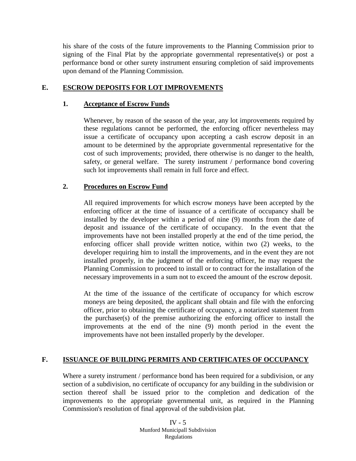his share of the costs of the future improvements to the Planning Commission prior to signing of the Final Plat by the appropriate governmental representative(s) or post a performance bond or other surety instrument ensuring completion of said improvements upon demand of the Planning Commission.

#### **E. ESCROW DEPOSITS FOR LOT IMPROVEMENTS**

#### **1. Acceptance of Escrow Funds**

Whenever, by reason of the season of the year, any lot improvements required by these regulations cannot be performed, the enforcing officer nevertheless may issue a certificate of occupancy upon accepting a cash escrow deposit in an amount to be determined by the appropriate governmental representative for the cost of such improvements; provided, there otherwise is no danger to the health, safety, or general welfare. The surety instrument / performance bond covering such lot improvements shall remain in full force and effect.

#### **2. Procedures on Escrow Fund**

All required improvements for which escrow moneys have been accepted by the enforcing officer at the time of issuance of a certificate of occupancy shall be installed by the developer within a period of nine (9) months from the date of deposit and issuance of the certificate of occupancy. In the event that the improvements have not been installed properly at the end of the time period, the enforcing officer shall provide written notice, within two (2) weeks, to the developer requiring him to install the improvements, and in the event they are not installed properly, in the judgment of the enforcing officer, he may request the Planning Commission to proceed to install or to contract for the installation of the necessary improvements in a sum not to exceed the amount of the escrow deposit.

At the time of the issuance of the certificate of occupancy for which escrow moneys are being deposited, the applicant shall obtain and file with the enforcing officer, prior to obtaining the certificate of occupancy, a notarized statement from the purchaser(s) of the premise authorizing the enforcing officer to install the improvements at the end of the nine (9) month period in the event the improvements have not been installed properly by the developer.

#### **F. ISSUANCE OF BUILDING PERMITS AND CERTIFICATES OF OCCUPANCY**

Where a surety instrument / performance bond has been required for a subdivision, or any section of a subdivision, no certificate of occupancy for any building in the subdivision or section thereof shall be issued prior to the completion and dedication of the improvements to the appropriate governmental unit, as required in the Planning Commission's resolution of final approval of the subdivision plat.

> IV  $-5$ Munford Municipall Subdivision Regulations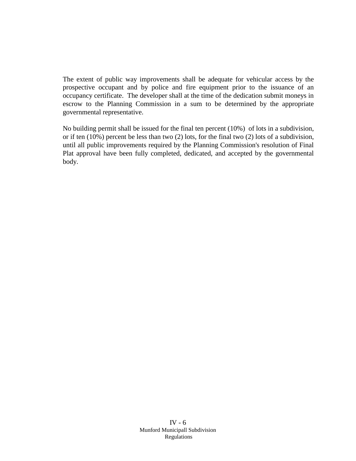The extent of public way improvements shall be adequate for vehicular access by the prospective occupant and by police and fire equipment prior to the issuance of an occupancy certificate. The developer shall at the time of the dedication submit moneys in escrow to the Planning Commission in a sum to be determined by the appropriate governmental representative.

No building permit shall be issued for the final ten percent (10%) of lots in a subdivision, or if ten (10%) percent be less than two (2) lots, for the final two (2) lots of a subdivision, until all public improvements required by the Planning Commission's resolution of Final Plat approval have been fully completed, dedicated, and accepted by the governmental body.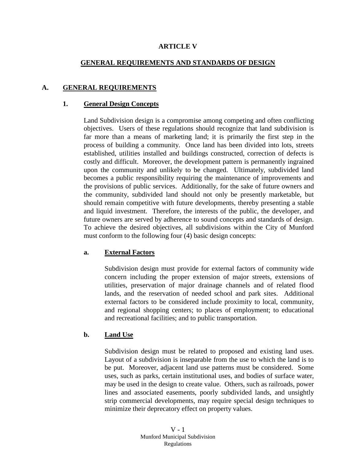#### **ARTICLE V**

#### **GENERAL REQUIREMENTS AND STANDARDS OF DESIGN**

#### **A. GENERAL REQUIREMENTS**

#### **1. General Design Concepts**

Land Subdivision design is a compromise among competing and often conflicting objectives. Users of these regulations should recognize that land subdivision is far more than a means of marketing land; it is primarily the first step in the process of building a community. Once land has been divided into lots, streets established, utilities installed and buildings constructed, correction of defects is costly and difficult. Moreover, the development pattern is permanently ingrained upon the community and unlikely to be changed. Ultimately, subdivided land becomes a public responsibility requiring the maintenance of improvements and the provisions of public services. Additionally, for the sake of future owners and the community, subdivided land should not only be presently marketable, but should remain competitive with future developments, thereby presenting a stable and liquid investment. Therefore, the interests of the public, the developer, and future owners are served by adherence to sound concepts and standards of design. To achieve the desired objectives, all subdivisions within the City of Munford must conform to the following four (4) basic design concepts:

#### **a. External Factors**

Subdivision design must provide for external factors of community wide concern including the proper extension of major streets, extensions of utilities, preservation of major drainage channels and of related flood lands, and the reservation of needed school and park sites. Additional external factors to be considered include proximity to local, community, and regional shopping centers; to places of employment; to educational and recreational facilities; and to public transportation.

#### **b. Land Use**

Subdivision design must be related to proposed and existing land uses. Layout of a subdivision is inseparable from the use to which the land is to be put. Moreover, adjacent land use patterns must be considered. Some uses, such as parks, certain institutional uses, and bodies of surface water, may be used in the design to create value. Others, such as railroads, power lines and associated easements, poorly subdivided lands, and unsightly strip commercial developments, may require special design techniques to minimize their deprecatory effect on property values.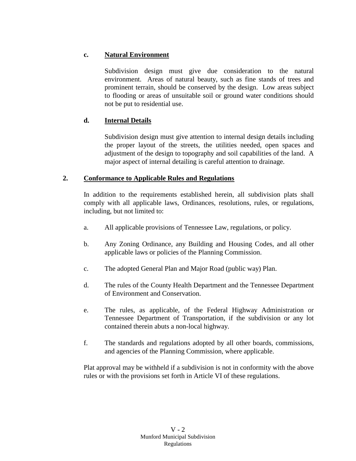# **c. Natural Environment**

Subdivision design must give due consideration to the natural environment. Areas of natural beauty, such as fine stands of trees and prominent terrain, should be conserved by the design. Low areas subject to flooding or areas of unsuitable soil or ground water conditions should not be put to residential use.

# **d. Internal Details**

Subdivision design must give attention to internal design details including the proper layout of the streets, the utilities needed, open spaces and adjustment of the design to topography and soil capabilities of the land. A major aspect of internal detailing is careful attention to drainage.

## **2. Conformance to Applicable Rules and Regulations**

In addition to the requirements established herein, all subdivision plats shall comply with all applicable laws, Ordinances, resolutions, rules, or regulations, including, but not limited to:

- a. All applicable provisions of Tennessee Law, regulations, or policy.
- b. Any Zoning Ordinance, any Building and Housing Codes, and all other applicable laws or policies of the Planning Commission.
- c. The adopted General Plan and Major Road (public way) Plan.
- d. The rules of the County Health Department and the Tennessee Department of Environment and Conservation.
- e. The rules, as applicable, of the Federal Highway Administration or Tennessee Department of Transportation, if the subdivision or any lot contained therein abuts a non-local highway.
- f. The standards and regulations adopted by all other boards, commissions, and agencies of the Planning Commission, where applicable.

Plat approval may be withheld if a subdivision is not in conformity with the above rules or with the provisions set forth in Article VI of these regulations.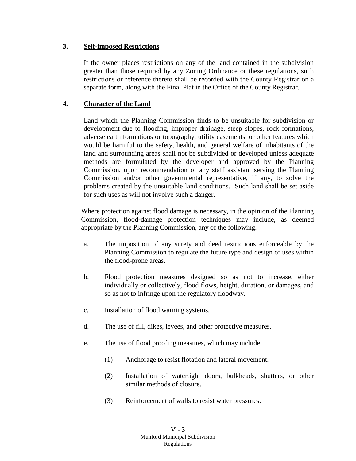## **3. Self-imposed Restrictions**

If the owner places restrictions on any of the land contained in the subdivision greater than those required by any Zoning Ordinance or these regulations, such restrictions or reference thereto shall be recorded with the County Registrar on a separate form, along with the Final Plat in the Office of the County Registrar.

# **4. Character of the Land**

Land which the Planning Commission finds to be unsuitable for subdivision or development due to flooding, improper drainage, steep slopes, rock formations, adverse earth formations or topography, utility easements, or other features which would be harmful to the safety, health, and general welfare of inhabitants of the land and surrounding areas shall not be subdivided or developed unless adequate methods are formulated by the developer and approved by the Planning Commission, upon recommendation of any staff assistant serving the Planning Commission and/or other governmental representative, if any, to solve the problems created by the unsuitable land conditions. Such land shall be set aside for such uses as will not involve such a danger.

Where protection against flood damage is necessary, in the opinion of the Planning Commission, flood-damage protection techniques may include, as deemed appropriate by the Planning Commission, any of the following.

- a. The imposition of any surety and deed restrictions enforceable by the Planning Commission to regulate the future type and design of uses within the flood-prone areas.
- b. Flood protection measures designed so as not to increase, either individually or collectively, flood flows, height, duration, or damages, and so as not to infringe upon the regulatory floodway.
- c. Installation of flood warning systems.
- d. The use of fill, dikes, levees, and other protective measures.
- e. The use of flood proofing measures, which may include:
	- (1) Anchorage to resist flotation and lateral movement.
	- (2) Installation of watertight doors, bulkheads, shutters, or other similar methods of closure.
	- (3) Reinforcement of walls to resist water pressures.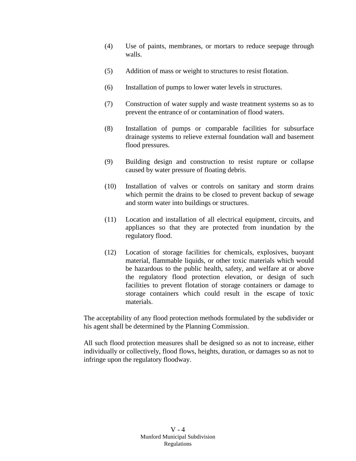- (4) Use of paints, membranes, or mortars to reduce seepage through walls.
- (5) Addition of mass or weight to structures to resist flotation.
- (6) Installation of pumps to lower water levels in structures.
- (7) Construction of water supply and waste treatment systems so as to prevent the entrance of or contamination of flood waters.
- (8) Installation of pumps or comparable facilities for subsurface drainage systems to relieve external foundation wall and basement flood pressures.
- (9) Building design and construction to resist rupture or collapse caused by water pressure of floating debris.
- (10) Installation of valves or controls on sanitary and storm drains which permit the drains to be closed to prevent backup of sewage and storm water into buildings or structures.
- (11) Location and installation of all electrical equipment, circuits, and appliances so that they are protected from inundation by the regulatory flood.
- (12) Location of storage facilities for chemicals, explosives, buoyant material, flammable liquids, or other toxic materials which would be hazardous to the public health, safety, and welfare at or above the regulatory flood protection elevation, or design of such facilities to prevent flotation of storage containers or damage to storage containers which could result in the escape of toxic materials.

The acceptability of any flood protection methods formulated by the subdivider or his agent shall be determined by the Planning Commission.

All such flood protection measures shall be designed so as not to increase, either individually or collectively, flood flows, heights, duration, or damages so as not to infringe upon the regulatory floodway.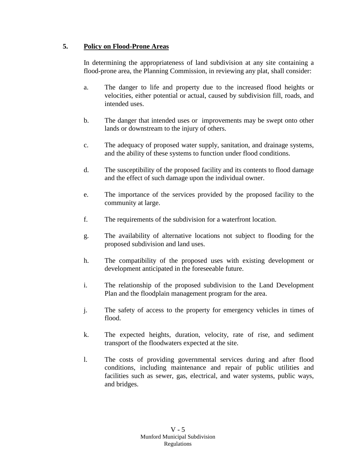# **5. Policy on Flood-Prone Areas**

In determining the appropriateness of land subdivision at any site containing a flood-prone area, the Planning Commission, in reviewing any plat, shall consider:

- a. The danger to life and property due to the increased flood heights or velocities, either potential or actual, caused by subdivision fill, roads, and intended uses.
- b. The danger that intended uses or improvements may be swept onto other lands or downstream to the injury of others.
- c. The adequacy of proposed water supply, sanitation, and drainage systems, and the ability of these systems to function under flood conditions.
- d. The susceptibility of the proposed facility and its contents to flood damage and the effect of such damage upon the individual owner.
- e. The importance of the services provided by the proposed facility to the community at large.
- f. The requirements of the subdivision for a waterfront location.
- g. The availability of alternative locations not subject to flooding for the proposed subdivision and land uses.
- h. The compatibility of the proposed uses with existing development or development anticipated in the foreseeable future.
- i. The relationship of the proposed subdivision to the Land Development Plan and the floodplain management program for the area.
- j. The safety of access to the property for emergency vehicles in times of flood.
- k. The expected heights, duration, velocity, rate of rise, and sediment transport of the floodwaters expected at the site.
- l. The costs of providing governmental services during and after flood conditions, including maintenance and repair of public utilities and facilities such as sewer, gas, electrical, and water systems, public ways, and bridges.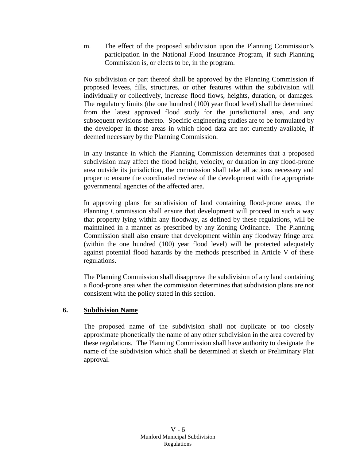m. The effect of the proposed subdivision upon the Planning Commission's participation in the National Flood Insurance Program, if such Planning Commission is, or elects to be, in the program.

No subdivision or part thereof shall be approved by the Planning Commission if proposed levees, fills, structures, or other features within the subdivision will individually or collectively, increase flood flows, heights, duration, or damages. The regulatory limits (the one hundred (100) year flood level) shall be determined from the latest approved flood study for the jurisdictional area, and any subsequent revisions thereto. Specific engineering studies are to be formulated by the developer in those areas in which flood data are not currently available, if deemed necessary by the Planning Commission.

In any instance in which the Planning Commission determines that a proposed subdivision may affect the flood height, velocity, or duration in any flood-prone area outside its jurisdiction, the commission shall take all actions necessary and proper to ensure the coordinated review of the development with the appropriate governmental agencies of the affected area.

In approving plans for subdivision of land containing flood-prone areas, the Planning Commission shall ensure that development will proceed in such a way that property lying within any floodway, as defined by these regulations, will be maintained in a manner as prescribed by any Zoning Ordinance. The Planning Commission shall also ensure that development within any floodway fringe area (within the one hundred (100) year flood level) will be protected adequately against potential flood hazards by the methods prescribed in Article V of these regulations.

The Planning Commission shall disapprove the subdivision of any land containing a flood-prone area when the commission determines that subdivision plans are not consistent with the policy stated in this section.

## **6. Subdivision Name**

The proposed name of the subdivision shall not duplicate or too closely approximate phonetically the name of any other subdivision in the area covered by these regulations. The Planning Commission shall have authority to designate the name of the subdivision which shall be determined at sketch or Preliminary Plat approval.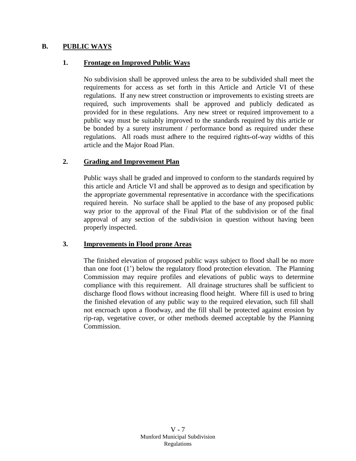#### **B. PUBLIC WAYS**

#### **1. Frontage on Improved Public Ways**

No subdivision shall be approved unless the area to be subdivided shall meet the requirements for access as set forth in this Article and Article VI of these regulations. If any new street construction or improvements to existing streets are required, such improvements shall be approved and publicly dedicated as provided for in these regulations. Any new street or required improvement to a public way must be suitably improved to the standards required by this article or be bonded by a surety instrument / performance bond as required under these regulations. All roads must adhere to the required rights-of-way widths of this article and the Major Road Plan.

## **2. Grading and Improvement Plan**

Public ways shall be graded and improved to conform to the standards required by this article and Article VI and shall be approved as to design and specification by the appropriate governmental representative in accordance with the specifications required herein. No surface shall be applied to the base of any proposed public way prior to the approval of the Final Plat of the subdivision or of the final approval of any section of the subdivision in question without having been properly inspected.

#### **3. Improvements in Flood prone Areas**

The finished elevation of proposed public ways subject to flood shall be no more than one foot (1') below the regulatory flood protection elevation. The Planning Commission may require profiles and elevations of public ways to determine compliance with this requirement. All drainage structures shall be sufficient to discharge flood flows without increasing flood height. Where fill is used to bring the finished elevation of any public way to the required elevation, such fill shall not encroach upon a floodway, and the fill shall be protected against erosion by rip-rap, vegetative cover, or other methods deemed acceptable by the Planning Commission.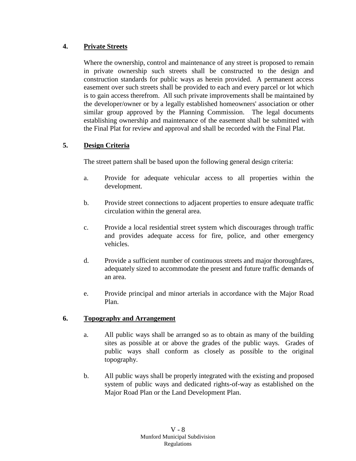# **4. Private Streets**

Where the ownership, control and maintenance of any street is proposed to remain in private ownership such streets shall be constructed to the design and construction standards for public ways as herein provided. A permanent access easement over such streets shall be provided to each and every parcel or lot which is to gain access therefrom. All such private improvements shall be maintained by the developer/owner or by a legally established homeowners' association or other similar group approved by the Planning Commission. The legal documents establishing ownership and maintenance of the easement shall be submitted with the Final Plat for review and approval and shall be recorded with the Final Plat.

## **5. Design Criteria**

The street pattern shall be based upon the following general design criteria:

- a. Provide for adequate vehicular access to all properties within the development.
- b. Provide street connections to adjacent properties to ensure adequate traffic circulation within the general area.
- c. Provide a local residential street system which discourages through traffic and provides adequate access for fire, police, and other emergency vehicles.
- d. Provide a sufficient number of continuous streets and major thoroughfares, adequately sized to accommodate the present and future traffic demands of an area.
- e. Provide principal and minor arterials in accordance with the Major Road Plan.

## **6. Topography and Arrangement**

- a. All public ways shall be arranged so as to obtain as many of the building sites as possible at or above the grades of the public ways. Grades of public ways shall conform as closely as possible to the original topography.
- b. All public ways shall be properly integrated with the existing and proposed system of public ways and dedicated rights-of-way as established on the Major Road Plan or the Land Development Plan.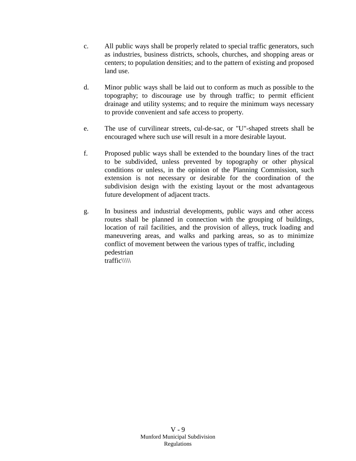- c. All public ways shall be properly related to special traffic generators, such as industries, business districts, schools, churches, and shopping areas or centers; to population densities; and to the pattern of existing and proposed land use.
- d. Minor public ways shall be laid out to conform as much as possible to the topography; to discourage use by through traffic; to permit efficient drainage and utility systems; and to require the minimum ways necessary to provide convenient and safe access to property.
- e. The use of curvilinear streets, cul-de-sac, or "U"-shaped streets shall be encouraged where such use will result in a more desirable layout.
- f. Proposed public ways shall be extended to the boundary lines of the tract to be subdivided, unless prevented by topography or other physical conditions or unless, in the opinion of the Planning Commission, such extension is not necessary or desirable for the coordination of the subdivision design with the existing layout or the most advantageous future development of adjacent tracts.
- g. In business and industrial developments, public ways and other access routes shall be planned in connection with the grouping of buildings, location of rail facilities, and the provision of alleys, truck loading and maneuvering areas, and walks and parking areas, so as to minimize conflict of movement between the various types of traffic, including pedestrian traffic\\\\\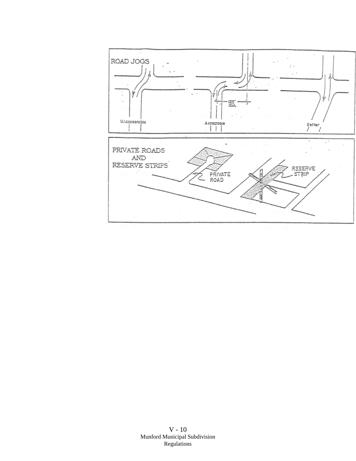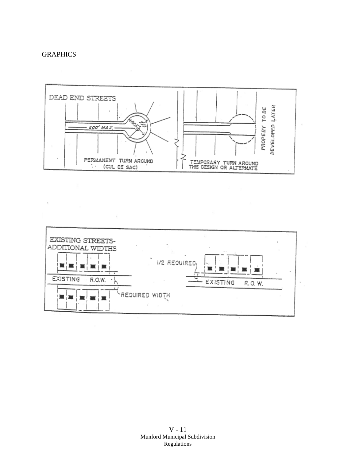#### **GRAPHICS**



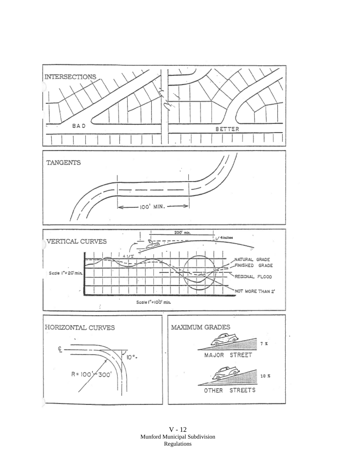

V - 12 Munford Municipal Subdivision Regulations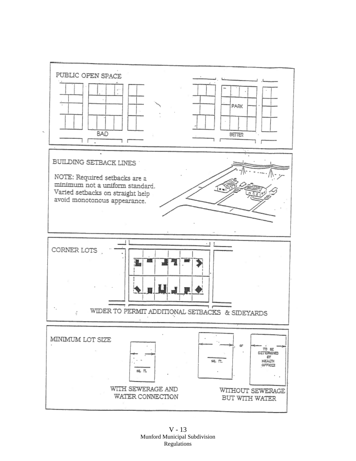

V - 13 Munford Municipal Subdivision Regulations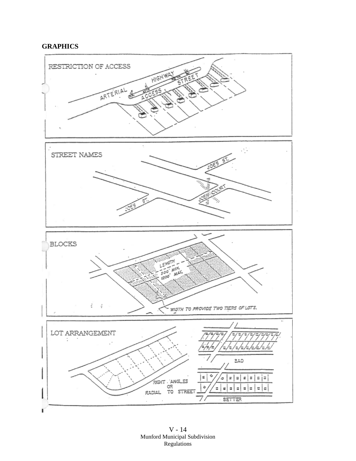# **GRAPHICS**



V - 14 Munford Municipal Subdivision Regulations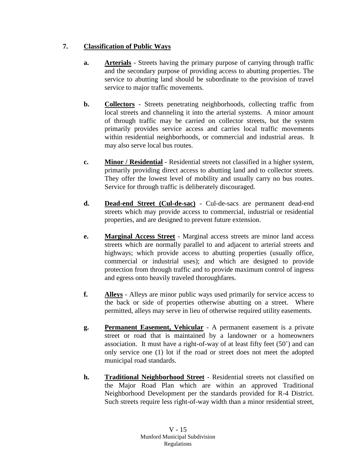# **7. Classification of Public Ways**

- **a. Arterials** Streets having the primary purpose of carrying through traffic and the secondary purpose of providing access to abutting properties. The service to abutting land should be subordinate to the provision of travel service to major traffic movements.
- **b. Collectors** Streets penetrating neighborhoods, collecting traffic from local streets and channeling it into the arterial systems. A minor amount of through traffic may be carried on collector streets, but the system primarily provides service access and carries local traffic movements within residential neighborhoods, or commercial and industrial areas. It may also serve local bus routes.
- **c. Minor / Residential** Residential streets not classified in a higher system, primarily providing direct access to abutting land and to collector streets. They offer the lowest level of mobility and usually carry no bus routes. Service for through traffic is deliberately discouraged.
- **d. Dead-end Street (Cul-de-sac)** Cul-de-sacs are permanent dead-end streets which may provide access to commercial, industrial or residential properties, and are designed to prevent future extension.
- **e. Marginal Access Street** Marginal access streets are minor land access streets which are normally parallel to and adjacent to arterial streets and highways; which provide access to abutting properties (usually office, commercial or industrial uses); and which are designed to provide protection from through traffic and to provide maximum control of ingress and egress onto heavily traveled thoroughfares.
- **f. Alleys** Alleys are minor public ways used primarily for service access to the back or side of properties otherwise abutting on a street. Where permitted, alleys may serve in lieu of otherwise required utility easements.
- **g. Permanent Easement, Vehicular** A permanent easement is a private street or road that is maintained by a landowner or a homeowners association. It must have a right-of-way of at least fifty feet (50') and can only service one (1) lot if the road or street does not meet the adopted municipal road standards.
- **h. Traditional Neighborhood Street** Residential streets not classified on the Major Road Plan which are within an approved Traditional Neighborhood Development per the standards provided for R-4 District. Such streets require less right-of-way width than a minor residential street,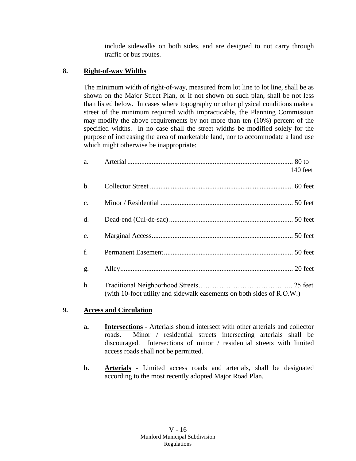include sidewalks on both sides, and are designed to not carry through traffic or bus routes.

# **8. Right-of-way Widths**

The minimum width of right-of-way, measured from lot line to lot line, shall be as shown on the Major Street Plan, or if not shown on such plan, shall be not less than listed below. In cases where topography or other physical conditions make a street of the minimum required width impracticable, the Planning Commission may modify the above requirements by not more than ten (10%) percent of the specified widths. In no case shall the street widths be modified solely for the purpose of increasing the area of marketable land, nor to accommodate a land use which might otherwise be inappropriate:

| a.             |                                                                       | 140 feet |
|----------------|-----------------------------------------------------------------------|----------|
| $b$ .          |                                                                       |          |
| $\mathbf{c}$ . |                                                                       |          |
| d.             |                                                                       |          |
| e.             |                                                                       |          |
| f.             |                                                                       |          |
| g.             |                                                                       |          |
| h.             | (with 10-foot utility and sidewalk easements on both sides of R.O.W.) |          |

## **9. Access and Circulation**

- **a. Intersections** Arterials should intersect with other arterials and collector roads. Minor / residential streets intersecting arterials shall be discouraged. Intersections of minor / residential streets with limited access roads shall not be permitted.
- **b. Arterials** Limited access roads and arterials, shall be designated according to the most recently adopted Major Road Plan.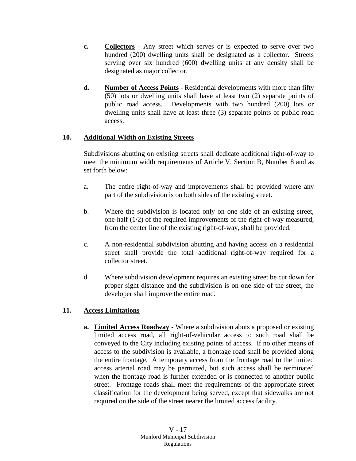- **c. Collectors** Any street which serves or is expected to serve over two hundred (200) dwelling units shall be designated as a collector. Streets serving over six hundred (600) dwelling units at any density shall be designated as major collector.
- **d. Number of Access Points** Residential developments with more than fifty (50) lots or dwelling units shall have at least two (2) separate points of public road access. Developments with two hundred (200) lots or dwelling units shall have at least three (3) separate points of public road access.

#### **10. Additional Width on Existing Streets**

Subdivisions abutting on existing streets shall dedicate additional right-of-way to meet the minimum width requirements of Article V, Section B, Number 8 and as set forth below:

- a. The entire right-of-way and improvements shall be provided where any part of the subdivision is on both sides of the existing street.
- b. Where the subdivision is located only on one side of an existing street, one-half (1/2) of the required improvements of the right-of-way measured, from the center line of the existing right-of-way, shall be provided.
- c. A non-residential subdivision abutting and having access on a residential street shall provide the total additional right-of-way required for a collector street.
- d. Where subdivision development requires an existing street be cut down for proper sight distance and the subdivision is on one side of the street, the developer shall improve the entire road.

## **11. Access Limitations**

**a. Limited Access Roadway** - Where a subdivision abuts a proposed or existing limited access road, all right-of-vehicular access to such road shall be conveyed to the City including existing points of access. If no other means of access to the subdivision is available, a frontage road shall be provided along the entire frontage. A temporary access from the frontage road to the limited access arterial road may be permitted, but such access shall be terminated when the frontage road is further extended or is connected to another public street. Frontage roads shall meet the requirements of the appropriate street classification for the development being served, except that sidewalks are not required on the side of the street nearer the limited access facility.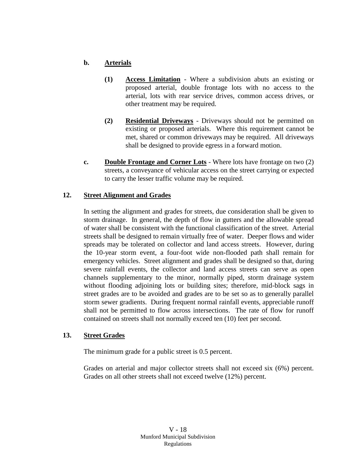# **b. Arterials**

- **(1) Access Limitation** Where a subdivision abuts an existing or proposed arterial, double frontage lots with no access to the arterial, lots with rear service drives, common access drives, or other treatment may be required.
- **(2) Residential Driveways** Driveways should not be permitted on existing or proposed arterials. Where this requirement cannot be met, shared or common driveways may be required. All driveways shall be designed to provide egress in a forward motion.
- **c. Double Frontage and Corner Lots** Where lots have frontage on two (2) streets, a conveyance of vehicular access on the street carrying or expected to carry the lesser traffic volume may be required.

## **12. Street Alignment and Grades**

In setting the alignment and grades for streets, due consideration shall be given to storm drainage. In general, the depth of flow in gutters and the allowable spread of water shall be consistent with the functional classification of the street. Arterial streets shall be designed to remain virtually free of water. Deeper flows and wider spreads may be tolerated on collector and land access streets. However, during the 10-year storm event, a four-foot wide non-flooded path shall remain for emergency vehicles. Street alignment and grades shall be designed so that, during severe rainfall events, the collector and land access streets can serve as open channels supplementary to the minor, normally piped, storm drainage system without flooding adjoining lots or building sites; therefore, mid-block sags in street grades are to be avoided and grades are to be set so as to generally parallel storm sewer gradients. During frequent normal rainfall events, appreciable runoff shall not be permitted to flow across intersections. The rate of flow for runoff contained on streets shall not normally exceed ten (10) feet per second.

#### **13. Street Grades**

The minimum grade for a public street is 0.5 percent.

Grades on arterial and major collector streets shall not exceed six (6%) percent. Grades on all other streets shall not exceed twelve (12%) percent.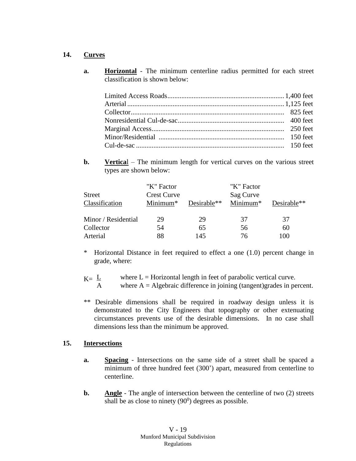#### **14. Curves**

**a. Horizontal** - The minimum centerline radius permitted for each street classification is shown below:

**b. Vertical** – The minimum length for vertical curves on the various street types are shown below:

|                     | "K" Factor           |             | "K" Factor |             |
|---------------------|----------------------|-------------|------------|-------------|
| <b>Street</b>       | <b>Crest Curve</b>   |             | Sag Curve  |             |
| Classification      | Minimum <sup>*</sup> | Desirable** | Minimum*   | Desirable** |
|                     |                      |             |            |             |
| Minor / Residential | 29                   | 29          | 37         | 37          |
| Collector           | 54                   | 65          | 56         | 60          |
| Arterial            | 88                   | 145         | 76         | 100         |

- \* Horizontal Distance in feet required to effect a one (1.0) percent change in grade, where:
- $K = L$  where  $L =$  Horizontal length in feet of parabolic vertical curve.<br>A where  $A =$  Algebraic difference in joining (tangent)grades in per
	- where  $A =$  Algebraic difference in joining (tangent)grades in percent.
- \*\* Desirable dimensions shall be required in roadway design unless it is demonstrated to the City Engineers that topography or other extenuating circumstances prevents use of the desirable dimensions. In no case shall dimensions less than the minimum be approved.

## **15. Intersections**

- **a. Spacing** Intersections on the same side of a street shall be spaced a minimum of three hundred feet (300') apart, measured from centerline to centerline.
- **b. Angle** The angle of intersection between the centerline of two (2) streets shall be as close to ninety  $(90^0)$  degrees as possible.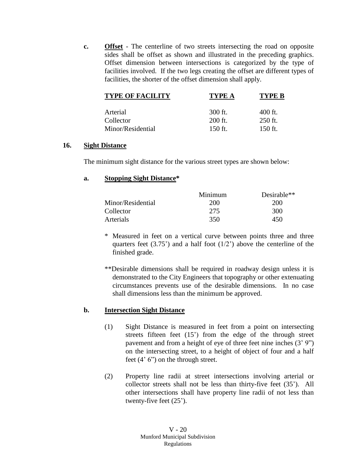**c. Offset** - The centerline of two streets intersecting the road on opposite sides shall be offset as shown and illustrated in the preceding graphics. Offset dimension between intersections is categorized by the type of facilities involved. If the two legs creating the offset are different types of facilities, the shorter of the offset dimension shall apply.

| <b>TYPE OF FACILITY</b> | TYPE A    | TYPE B    |
|-------------------------|-----------|-----------|
| Arterial                | $300$ ft. | $400$ ft. |
| Collector               | $200$ ft. | $250$ ft. |
| Minor/Residential       | 150 ft.   | $150$ ft. |

#### **16. Sight Distance**

The minimum sight distance for the various street types are shown below:

#### **a. Stopping Sight Distance\***

|                   | Minimum | Desirable** |
|-------------------|---------|-------------|
| Minor/Residential | 200     | 200         |
| Collector         | 275     | 300         |
| Arterials         | 350     | 450         |

- \* Measured in feet on a vertical curve between points three and three quarters feet  $(3.75)$  and a half foot  $(1/2)$  above the centerline of the finished grade.
- \*\*Desirable dimensions shall be required in roadway design unless it is demonstrated to the City Engineers that topography or other extenuating circumstances prevents use of the desirable dimensions. In no case shall dimensions less than the minimum be approved.

#### **b. Intersection Sight Distance**

- (1) Sight Distance is measured in feet from a point on intersecting streets fifteen feet (15') from the edge of the through street pavement and from a height of eye of three feet nine inches (3' 9") on the intersecting street, to a height of object of four and a half feet (4' 6") on the through street.
- (2) Property line radii at street intersections involving arterial or collector streets shall not be less than thirty-five feet (35'). All other intersections shall have property line radii of not less than twenty-five feet (25').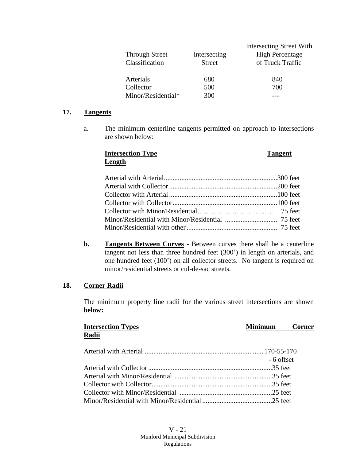| <b>Through Street</b><br>Classification | Intersecting<br><b>Street</b> | Intersecting Street With<br><b>High Percentage</b><br>of Truck Traffic |
|-----------------------------------------|-------------------------------|------------------------------------------------------------------------|
| Arterials                               | 680                           | 840                                                                    |
| Collector                               | 500                           | 700                                                                    |
| Minor/Residential*                      | 300                           |                                                                        |

#### **17. Tangents**

a. The minimum centerline tangents permitted on approach to intersections are shown below:

#### **Intersection Type Tangent Length**

**b. Tangents Between Curves** - Between curves there shall be a centerline tangent not less than three hundred feet (300') in length on arterials, and one hundred feet (100') on all collector streets. No tangent is required on minor/residential streets or cul-de-sac streets.

#### **18. Corner Radii**

The minimum property line radii for the various street intersections are shown **below:**

| <b>Intersection Types</b> | <b>Minimum</b> Corner |  |
|---------------------------|-----------------------|--|
| Radii                     |                       |  |
|                           |                       |  |
|                           | - 6 offset            |  |
|                           |                       |  |
|                           |                       |  |
|                           |                       |  |
|                           |                       |  |
|                           |                       |  |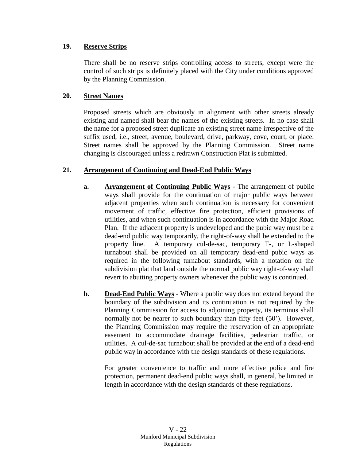# **19. Reserve Strips**

There shall be no reserve strips controlling access to streets, except were the control of such strips is definitely placed with the City under conditions approved by the Planning Commission.

# **20. Street Names**

Proposed streets which are obviously in alignment with other streets already existing and named shall bear the names of the existing streets. In no case shall the name for a proposed street duplicate an existing street name irrespective of the suffix used, i.e., street, avenue, boulevard, drive, parkway, cove, court, or place. Street names shall be approved by the Planning Commission. Street name changing is discouraged unless a redrawn Construction Plat is submitted.

# **21. Arrangement of Continuing and Dead-End Public Ways**

- **a. Arrangement of Continuing Public Ways** The arrangement of public ways shall provide for the continuation of major public ways between adjacent properties when such continuation is necessary for convenient movement of traffic, effective fire protection, efficient provisions of utilities, and when such continuation is in accordance with the Major Road Plan. If the adjacent property is undeveloped and the pubic way must be a dead-end public way temporarily, the right-of-way shall be extended to the property line. A temporary cul-de-sac, temporary T-, or L-shaped turnabout shall be provided on all temporary dead-end pubic ways as required in the following turnabout standards, with a notation on the subdivision plat that land outside the normal public way right-of-way shall revert to abutting property owners whenever the public way is continued.
- **b. Dead-End Public Ways** Where a public way does not extend beyond the boundary of the subdivision and its continuation is not required by the Planning Commission for access to adjoining property, its terminus shall normally not be nearer to such boundary than fifty feet (50'). However, the Planning Commission may require the reservation of an appropriate easement to accommodate drainage facilities, pedestrian traffic, or utilities. A cul-de-sac turnabout shall be provided at the end of a dead-end public way in accordance with the design standards of these regulations.

For greater convenience to traffic and more effective police and fire protection, permanent dead-end public ways shall, in general, be limited in length in accordance with the design standards of these regulations.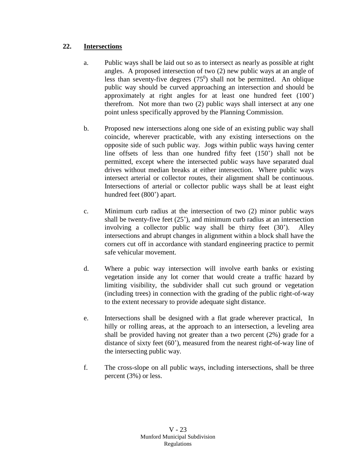# **22. Intersections**

- a. Public ways shall be laid out so as to intersect as nearly as possible at right angles. A proposed intersection of two (2) new public ways at an angle of less than seventy-five degrees  $(75^0)$  shall not be permitted. An oblique public way should be curved approaching an intersection and should be approximately at right angles for at least one hundred feet (100') therefrom. Not more than two (2) public ways shall intersect at any one point unless specifically approved by the Planning Commission.
- b. Proposed new intersections along one side of an existing public way shall coincide, wherever practicable, with any existing intersections on the opposite side of such public way. Jogs within public ways having center line offsets of less than one hundred fifty feet (150') shall not be permitted, except where the intersected public ways have separated dual drives without median breaks at either intersection. Where public ways intersect arterial or collector routes, their alignment shall be continuous. Intersections of arterial or collector public ways shall be at least eight hundred feet (800') apart.
- c. Minimum curb radius at the intersection of two (2) minor public ways shall be twenty-five feet (25'), and minimum curb radius at an intersection involving a collector public way shall be thirty feet (30'). Alley intersections and abrupt changes in alignment within a block shall have the corners cut off in accordance with standard engineering practice to permit safe vehicular movement.
- d. Where a pubic way intersection will involve earth banks or existing vegetation inside any lot corner that would create a traffic hazard by limiting visibility, the subdivider shall cut such ground or vegetation (including trees) in connection with the grading of the public right-of-way to the extent necessary to provide adequate sight distance.
- e. Intersections shall be designed with a flat grade wherever practical, In hilly or rolling areas, at the approach to an intersection, a leveling area shall be provided having not greater than a two percent (2%) grade for a distance of sixty feet (60'), measured from the nearest right-of-way line of the intersecting public way.
- f. The cross-slope on all public ways, including intersections, shall be three percent (3%) or less.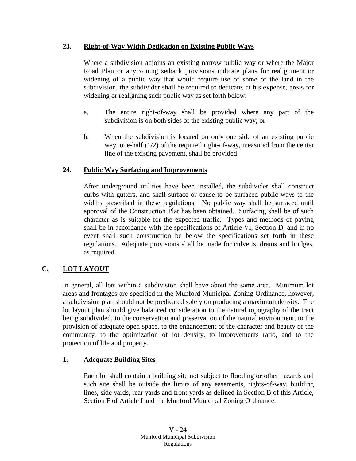## **23. Right-of-Way Width Dedication on Existing Public Ways**

Where a subdivision adjoins an existing narrow public way or where the Major Road Plan or any zoning setback provisions indicate plans for realignment or widening of a public way that would require use of some of the land in the subdivision, the subdivider shall be required to dedicate, at his expense, areas for widening or realigning such public way as set forth below:

- a. The entire right-of-way shall be provided where any part of the subdivision is on both sides of the existing public way; or
- b. When the subdivision is located on only one side of an existing public way, one-half (1/2) of the required right-of-way, measured from the center line of the existing pavement, shall be provided.

# **24. Public Way Surfacing and Improvements**

After underground utilities have been installed, the subdivider shall construct curbs with gutters, and shall surface or cause to be surfaced public ways to the widths prescribed in these regulations. No public way shall be surfaced until approval of the Construction Plat has been obtained. Surfacing shall be of such character as is suitable for the expected traffic. Types and methods of paving shall be in accordance with the specifications of Article VI, Section D, and in no event shall such construction be below the specifications set forth in these regulations. Adequate provisions shall be made for culverts, drains and bridges, as required.

# **C. LOT LAYOUT**

In general, all lots within a subdivision shall have about the same area. Minimum lot areas and frontages are specified in the Munford Municipal Zoning Ordinance, however, a subdivision plan should not be predicated solely on producing a maximum density. The lot layout plan should give balanced consideration to the natural topography of the tract being subdivided, to the conservation and preservation of the natural environment, to the provision of adequate open space, to the enhancement of the character and beauty of the community, to the optimization of lot density, to improvements ratio, and to the protection of life and property.

## **1. Adequate Building Sites**

Each lot shall contain a building site not subject to flooding or other hazards and such site shall be outside the limits of any easements, rights-of-way, building lines, side yards, rear yards and front yards as defined in Section B of this Article, Section F of Article I and the Munford Municipal Zoning Ordinance.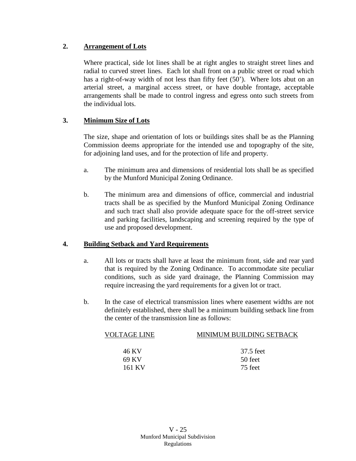# **2. Arrangement of Lots**

Where practical, side lot lines shall be at right angles to straight street lines and radial to curved street lines. Each lot shall front on a public street or road which has a right-of-way width of not less than fifty feet (50'). Where lots abut on an arterial street, a marginal access street, or have double frontage, acceptable arrangements shall be made to control ingress and egress onto such streets from the individual lots.

# **3. Minimum Size of Lots**

The size, shape and orientation of lots or buildings sites shall be as the Planning Commission deems appropriate for the intended use and topography of the site, for adjoining land uses, and for the protection of life and property.

- a. The minimum area and dimensions of residential lots shall be as specified by the Munford Municipal Zoning Ordinance.
- b. The minimum area and dimensions of office, commercial and industrial tracts shall be as specified by the Munford Municipal Zoning Ordinance and such tract shall also provide adequate space for the off-street service and parking facilities, landscaping and screening required by the type of use and proposed development.

## **4. Building Setback and Yard Requirements**

- a. All lots or tracts shall have at least the minimum front, side and rear yard that is required by the Zoning Ordinance. To accommodate site peculiar conditions, such as side yard drainage, the Planning Commission may require increasing the yard requirements for a given lot or tract.
- b. In the case of electrical transmission lines where easement widths are not definitely established, there shall be a minimum building setback line from the center of the transmission line as follows:

| VOLTAGE LINE | MINIMUM BUILDING SETBACK |
|--------------|--------------------------|
|              |                          |
| 46 KV        | 37.5 feet                |
| 69 KV        | 50 feet                  |
| 161 KV       | 75 feet                  |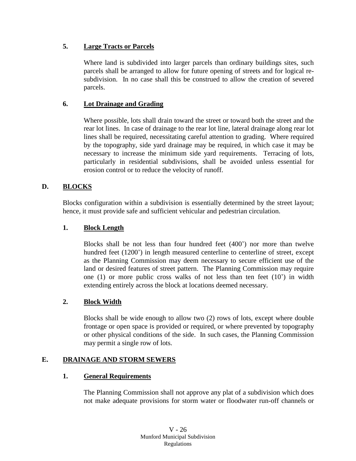# **5. Large Tracts or Parcels**

Where land is subdivided into larger parcels than ordinary buildings sites, such parcels shall be arranged to allow for future opening of streets and for logical resubdivision. In no case shall this be construed to allow the creation of severed parcels.

# **6. Lot Drainage and Grading**

Where possible, lots shall drain toward the street or toward both the street and the rear lot lines. In case of drainage to the rear lot line, lateral drainage along rear lot lines shall be required, necessitating careful attention to grading. Where required by the topography, side yard drainage may be required, in which case it may be necessary to increase the minimum side yard requirements. Terracing of lots, particularly in residential subdivisions, shall be avoided unless essential for erosion control or to reduce the velocity of runoff.

# **D. BLOCKS**

Blocks configuration within a subdivision is essentially determined by the street layout; hence, it must provide safe and sufficient vehicular and pedestrian circulation.

## **1. Block Length**

Blocks shall be not less than four hundred feet (400') nor more than twelve hundred feet (1200') in length measured centerline to centerline of street, except as the Planning Commission may deem necessary to secure efficient use of the land or desired features of street pattern. The Planning Commission may require one (1) or more public cross walks of not less than ten feet (10') in width extending entirely across the block at locations deemed necessary.

## **2. Block Width**

Blocks shall be wide enough to allow two (2) rows of lots, except where double frontage or open space is provided or required, or where prevented by topography or other physical conditions of the side. In such cases, the Planning Commission may permit a single row of lots.

## **E. DRAINAGE AND STORM SEWERS**

#### **1. General Requirements**

The Planning Commission shall not approve any plat of a subdivision which does not make adequate provisions for storm water or floodwater run-off channels or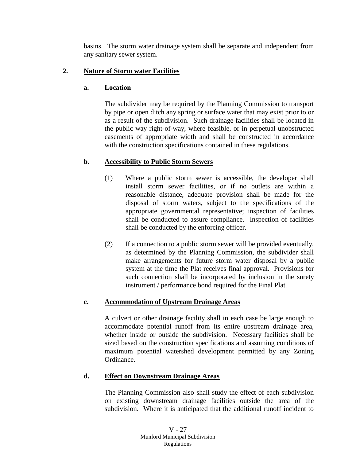basins. The storm water drainage system shall be separate and independent from any sanitary sewer system.

## **2. Nature of Storm water Facilities**

## **a. Location**

The subdivider may be required by the Planning Commission to transport by pipe or open ditch any spring or surface water that may exist prior to or as a result of the subdivision. Such drainage facilities shall be located in the public way right-of-way, where feasible, or in perpetual unobstructed easements of appropriate width and shall be constructed in accordance with the construction specifications contained in these regulations.

## **b. Accessibility to Public Storm Sewers**

- (1) Where a public storm sewer is accessible, the developer shall install storm sewer facilities, or if no outlets are within a reasonable distance, adequate provision shall be made for the disposal of storm waters, subject to the specifications of the appropriate governmental representative; inspection of facilities shall be conducted to assure compliance. Inspection of facilities shall be conducted by the enforcing officer.
- (2) If a connection to a public storm sewer will be provided eventually, as determined by the Planning Commission, the subdivider shall make arrangements for future storm water disposal by a public system at the time the Plat receives final approval. Provisions for such connection shall be incorporated by inclusion in the surety instrument / performance bond required for the Final Plat.

## **c. Accommodation of Upstream Drainage Areas**

A culvert or other drainage facility shall in each case be large enough to accommodate potential runoff from its entire upstream drainage area, whether inside or outside the subdivision. Necessary facilities shall be sized based on the construction specifications and assuming conditions of maximum potential watershed development permitted by any Zoning Ordinance.

# **d. Effect on Downstream Drainage Areas**

The Planning Commission also shall study the effect of each subdivision on existing downstream drainage facilities outside the area of the subdivision. Where it is anticipated that the additional runoff incident to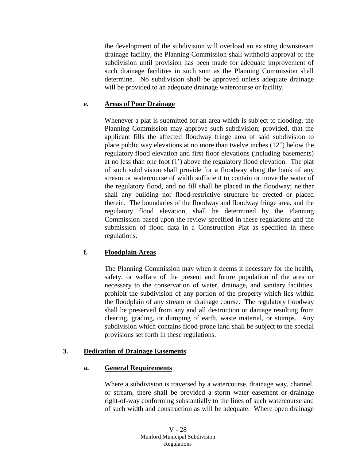the development of the subdivision will overload an existing downstream drainage facility, the Planning Commission shall withhold approval of the subdivision until provision has been made for adequate improvement of such drainage facilities in such sum as the Planning Commission shall determine. No subdivision shall be approved unless adequate drainage will be provided to an adequate drainage watercourse or facility.

#### **e. Areas of Poor Drainage**

Whenever a plat is submitted for an area which is subject to flooding, the Planning Commission may approve such subdivision; provided, that the applicant fills the affected floodway fringe area of said subdivision to place public way elevations at no more than twelve inches (12") below the regulatory flood elevation and first floor elevations (including basements) at no less than one foot (1') above the regulatory flood elevation. The plat of such subdivision shall provide for a floodway along the bank of any stream or watercourse of width sufficient to contain or move the water of the regulatory flood, and no fill shall be placed in the floodway; neither shall any building nor flood-restrictive structure be erected or placed therein. The boundaries of the floodway and floodway fringe area, and the regulatory flood elevation, shall be determined by the Planning Commission based upon the review specified in these regulations and the submission of flood data in a Construction Plat as specified in these regulations.

## **f. Floodplain Areas**

The Planning Commission may when it deems it necessary for the health, safety, or welfare of the present and future population of the area or necessary to the conservation of water, drainage, and sanitary facilities, prohibit the subdivision of any portion of the property which lies within the floodplain of any stream or drainage course. The regulatory floodway shall be preserved from any and all destruction or damage resulting from clearing, grading, or dumping of earth, waste material, or stumps. Any subdivision which contains flood-prone land shall be subject to the special provisions set forth in these regulations.

## **3. Dedication of Drainage Easements**

## **a. General Requirements**

Where a subdivision is traversed by a watercourse, drainage way, channel, or stream, there shall be provided a storm water easement or drainage right-of-way conforming substantially to the lines of such watercourse and of such width and construction as will be adequate. Where open drainage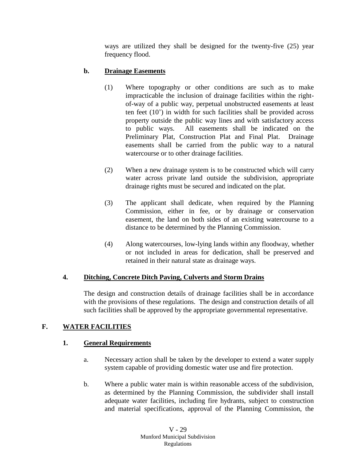ways are utilized they shall be designed for the twenty-five (25) year frequency flood.

# **b. Drainage Easements**

- (1) Where topography or other conditions are such as to make impracticable the inclusion of drainage facilities within the rightof-way of a public way, perpetual unobstructed easements at least ten feet (10') in width for such facilities shall be provided across property outside the public way lines and with satisfactory access to public ways. All easements shall be indicated on the Preliminary Plat, Construction Plat and Final Plat. Drainage easements shall be carried from the public way to a natural watercourse or to other drainage facilities.
- (2) When a new drainage system is to be constructed which will carry water across private land outside the subdivision, appropriate drainage rights must be secured and indicated on the plat.
- (3) The applicant shall dedicate, when required by the Planning Commission, either in fee, or by drainage or conservation easement, the land on both sides of an existing watercourse to a distance to be determined by the Planning Commission.
- (4) Along watercourses, low-lying lands within any floodway, whether or not included in areas for dedication, shall be preserved and retained in their natural state as drainage ways.

## **4. Ditching, Concrete Ditch Paving, Culverts and Storm Drains**

The design and construction details of drainage facilities shall be in accordance with the provisions of these regulations. The design and construction details of all such facilities shall be approved by the appropriate governmental representative.

## **F. WATER FACILITIES**

## **1. General Requirements**

- a. Necessary action shall be taken by the developer to extend a water supply system capable of providing domestic water use and fire protection.
- b. Where a public water main is within reasonable access of the subdivision, as determined by the Planning Commission, the subdivider shall install adequate water facilities, including fire hydrants, subject to construction and material specifications, approval of the Planning Commission, the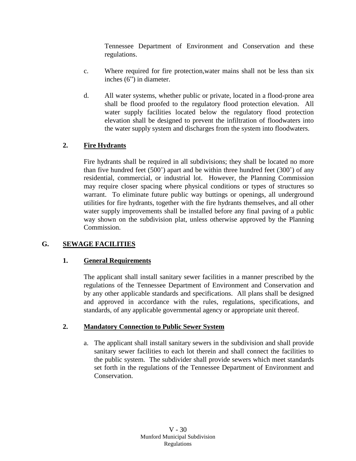Tennessee Department of Environment and Conservation and these regulations.

- c. Where required for fire protection,water mains shall not be less than six inches (6") in diameter.
- d. All water systems, whether public or private, located in a flood-prone area shall be flood proofed to the regulatory flood protection elevation. All water supply facilities located below the regulatory flood protection elevation shall be designed to prevent the infiltration of floodwaters into the water supply system and discharges from the system into floodwaters.

# **2. Fire Hydrants**

Fire hydrants shall be required in all subdivisions; they shall be located no more than five hundred feet (500') apart and be within three hundred feet (300') of any residential, commercial, or industrial lot. However, the Planning Commission may require closer spacing where physical conditions or types of structures so warrant. To eliminate future public way buttings or openings, all underground utilities for fire hydrants, together with the fire hydrants themselves, and all other water supply improvements shall be installed before any final paving of a public way shown on the subdivision plat, unless otherwise approved by the Planning Commission.

## **G. SEWAGE FACILITIES**

## **1. General Requirements**

The applicant shall install sanitary sewer facilities in a manner prescribed by the regulations of the Tennessee Department of Environment and Conservation and by any other applicable standards and specifications. All plans shall be designed and approved in accordance with the rules, regulations, specifications, and standards, of any applicable governmental agency or appropriate unit thereof.

## **2. Mandatory Connection to Public Sewer System**

a. The applicant shall install sanitary sewers in the subdivision and shall provide sanitary sewer facilities to each lot therein and shall connect the facilities to the public system. The subdivider shall provide sewers which meet standards set forth in the regulations of the Tennessee Department of Environment and Conservation.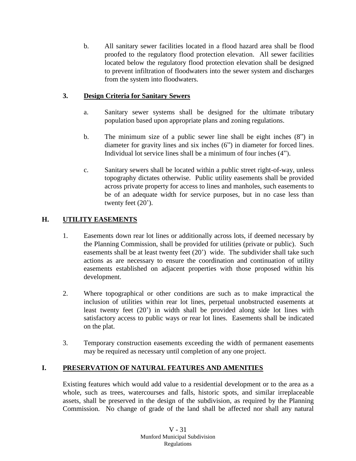b. All sanitary sewer facilities located in a flood hazard area shall be flood proofed to the regulatory flood protection elevation. All sewer facilities located below the regulatory flood protection elevation shall be designed to prevent infiltration of floodwaters into the sewer system and discharges from the system into floodwaters.

# **3. Design Criteria for Sanitary Sewers**

- a. Sanitary sewer systems shall be designed for the ultimate tributary population based upon appropriate plans and zoning regulations.
- b. The minimum size of a public sewer line shall be eight inches (8") in diameter for gravity lines and six inches (6") in diameter for forced lines. Individual lot service lines shall be a minimum of four inches (4").
- c. Sanitary sewers shall be located within a public street right-of-way, unless topography dictates otherwise. Public utility easements shall be provided across private property for access to lines and manholes, such easements to be of an adequate width for service purposes, but in no case less than twenty feet (20').

## **H. UTILITY EASEMENTS**

- 1. Easements down rear lot lines or additionally across lots, if deemed necessary by the Planning Commission, shall be provided for utilities (private or public). Such easements shall be at least twenty feet (20') wide. The subdivider shall take such actions as are necessary to ensure the coordination and continuation of utility easements established on adjacent properties with those proposed within his development.
- 2. Where topographical or other conditions are such as to make impractical the inclusion of utilities within rear lot lines, perpetual unobstructed easements at least twenty feet (20') in width shall be provided along side lot lines with satisfactory access to public ways or rear lot lines. Easements shall be indicated on the plat.
- 3. Temporary construction easements exceeding the width of permanent easements may be required as necessary until completion of any one project.

## **I. PRESERVATION OF NATURAL FEATURES AND AMENITIES**

Existing features which would add value to a residential development or to the area as a whole, such as trees, watercourses and falls, historic spots, and similar irreplaceable assets, shall be preserved in the design of the subdivision, as required by the Planning Commission. No change of grade of the land shall be affected nor shall any natural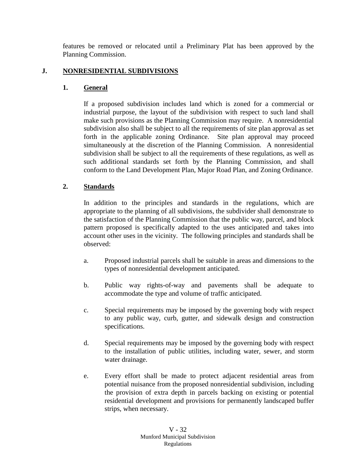features be removed or relocated until a Preliminary Plat has been approved by the Planning Commission.

### **J. NONRESIDENTIAL SUBDIVISIONS**

#### **1. General**

If a proposed subdivision includes land which is zoned for a commercial or industrial purpose, the layout of the subdivision with respect to such land shall make such provisions as the Planning Commission may require. A nonresidential subdivision also shall be subject to all the requirements of site plan approval as set forth in the applicable zoning Ordinance. Site plan approval may proceed simultaneously at the discretion of the Planning Commission. A nonresidential subdivision shall be subject to all the requirements of these regulations, as well as such additional standards set forth by the Planning Commission, and shall conform to the Land Development Plan, Major Road Plan, and Zoning Ordinance.

### **2. Standards**

In addition to the principles and standards in the regulations, which are appropriate to the planning of all subdivisions, the subdivider shall demonstrate to the satisfaction of the Planning Commission that the public way, parcel, and block pattern proposed is specifically adapted to the uses anticipated and takes into account other uses in the vicinity. The following principles and standards shall be observed:

- a. Proposed industrial parcels shall be suitable in areas and dimensions to the types of nonresidential development anticipated.
- b. Public way rights-of-way and pavements shall be adequate to accommodate the type and volume of traffic anticipated.
- c. Special requirements may be imposed by the governing body with respect to any public way, curb, gutter, and sidewalk design and construction specifications.
- d. Special requirements may be imposed by the governing body with respect to the installation of public utilities, including water, sewer, and storm water drainage.
- e. Every effort shall be made to protect adjacent residential areas from potential nuisance from the proposed nonresidential subdivision, including the provision of extra depth in parcels backing on existing or potential residential development and provisions for permanently landscaped buffer strips, when necessary.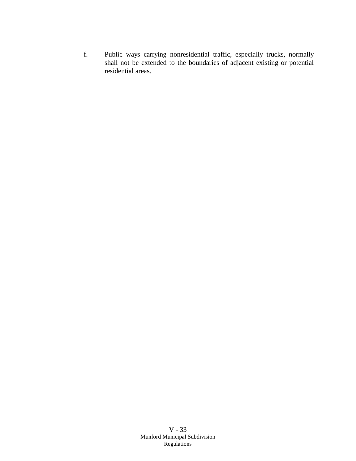f. Public ways carrying nonresidential traffic, especially trucks, normally shall not be extended to the boundaries of adjacent existing or potential residential areas.

> V - 33 Munford Municipal Subdivision Regulations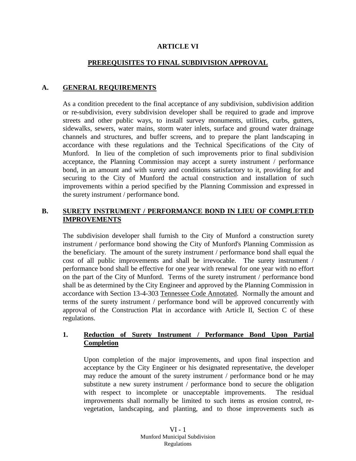#### **ARTICLE VI**

### **PREREQUISITES TO FINAL SUBDIVISION APPROVAL**

### **A. GENERAL REQUIREMENTS**

As a condition precedent to the final acceptance of any subdivision, subdivision addition or re-subdivision, every subdivision developer shall be required to grade and improve streets and other public ways, to install survey monuments, utilities, curbs, gutters, sidewalks, sewers, water mains, storm water inlets, surface and ground water drainage channels and structures, and buffer screens, and to prepare the plant landscaping in accordance with these regulations and the Technical Specifications of the City of Munford. In lieu of the completion of such improvements prior to final subdivision acceptance, the Planning Commission may accept a surety instrument / performance bond, in an amount and with surety and conditions satisfactory to it, providing for and securing to the City of Munford the actual construction and installation of such improvements within a period specified by the Planning Commission and expressed in the surety instrument / performance bond.

### **B. SURETY INSTRUMENT / PERFORMANCE BOND IN LIEU OF COMPLETED IMPROVEMENTS**

The subdivision developer shall furnish to the City of Munford a construction surety instrument / performance bond showing the City of Munford's Planning Commission as the beneficiary. The amount of the surety instrument / performance bond shall equal the cost of all public improvements and shall be irrevocable. The surety instrument / performance bond shall be effective for one year with renewal for one year with no effort on the part of the City of Munford. Terms of the surety instrument / performance bond shall be as determined by the City Engineer and approved by the Planning Commission in accordance with Section 13-4-303 Tennessee Code Annotated. Normally the amount and terms of the surety instrument / performance bond will be approved concurrently with approval of the Construction Plat in accordance with Article II, Section C of these regulations.

### **1. Reduction of Surety Instrument / Performance Bond Upon Partial Completion**

Upon completion of the major improvements, and upon final inspection and acceptance by the City Engineer or his designated representative, the developer may reduce the amount of the surety instrument / performance bond or he may substitute a new surety instrument / performance bond to secure the obligation with respect to incomplete or unacceptable improvements. The residual improvements shall normally be limited to such items as erosion control, revegetation, landscaping, and planting, and to those improvements such as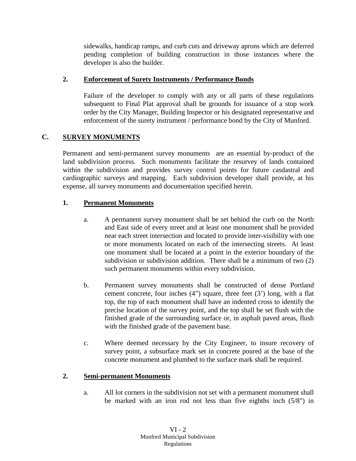sidewalks, handicap ramps, and curb cuts and driveway aprons which are deferred pending completion of building construction in those instances where the developer is also the builder.

## **2. Enforcement of Surety Instruments / Performance Bonds**

Failure of the developer to comply with any or all parts of these regulations subsequent to Final Plat approval shall be grounds for issuance of a stop work order by the City Manager, Building Inspector or his designated representative and enforcement of the surety instrument / performance bond by the City of Munford.

## **C. SURVEY MONUMENTS**

Permanent and semi-permanent survey monuments are an essential by-product of the land subdivision process. Such monuments facilitate the resurvey of lands contained within the subdivision and provides survey control points for future casdastral and cardiographic surveys and mapping. Each subdivision developer shall provide, at his expense, all survey monuments and documentation specified herein.

## **1. Permanent Monuments**

- a. A permanent survey monument shall be set behind the curb on the North and East side of every street and at least one monument shall be provided near each street intersection and located to provide inter-visibility with one or more monuments located on each of the intersecting streets. At least one monument shall be located at a point in the exterior boundary of the subdivision or subdivision addition. There shall be a minimum of two (2) such permanent monuments within every subdivision.
- b. Permanent survey monuments shall be constructed of dense Portland cement concrete, four inches (4") square, three feet (3') long, with a flat top, the top of each monument shall have an indented cross to identify the precise location of the survey point, and the top shall be set flush with the finished grade of the surrounding surface or, in asphalt paved areas, flush with the finished grade of the pavement base.
- c. Where deemed necessary by the City Engineer, to insure recovery of survey point, a subsurface mark set in concrete poured at the base of the concrete monument and plumbed to the surface mark shall be required.

## **2. Semi-permanent Monuments**

a. All lot corners in the subdivision not set with a permanent monument shall be marked with an iron rod not less than five eighths inch (5/8") in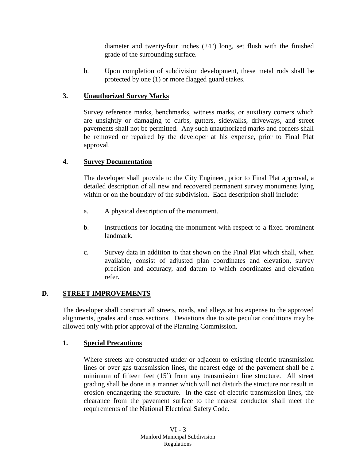diameter and twenty-four inches (24") long, set flush with the finished grade of the surrounding surface.

b. Upon completion of subdivision development, these metal rods shall be protected by one (1) or more flagged guard stakes.

# **3. Unauthorized Survey Marks**

Survey reference marks, benchmarks, witness marks, or auxiliary corners which are unsightly or damaging to curbs, gutters, sidewalks, driveways, and street pavements shall not be permitted. Any such unauthorized marks and corners shall be removed or repaired by the developer at his expense, prior to Final Plat approval.

## **4. Survey Documentation**

The developer shall provide to the City Engineer, prior to Final Plat approval, a detailed description of all new and recovered permanent survey monuments lying within or on the boundary of the subdivision. Each description shall include:

- a. A physical description of the monument.
- b. Instructions for locating the monument with respect to a fixed prominent landmark.
- c. Survey data in addition to that shown on the Final Plat which shall, when available, consist of adjusted plan coordinates and elevation, survey precision and accuracy, and datum to which coordinates and elevation refer.

# **D. STREET IMPROVEMENTS**

The developer shall construct all streets, roads, and alleys at his expense to the approved alignments, grades and cross sections. Deviations due to site peculiar conditions may be allowed only with prior approval of the Planning Commission.

## **1. Special Precautions**

Where streets are constructed under or adjacent to existing electric transmission lines or over gas transmission lines, the nearest edge of the pavement shall be a minimum of fifteen feet (15') from any transmission line structure. All street grading shall be done in a manner which will not disturb the structure nor result in erosion endangering the structure. In the case of electric transmission lines, the clearance from the pavement surface to the nearest conductor shall meet the requirements of the National Electrical Safety Code.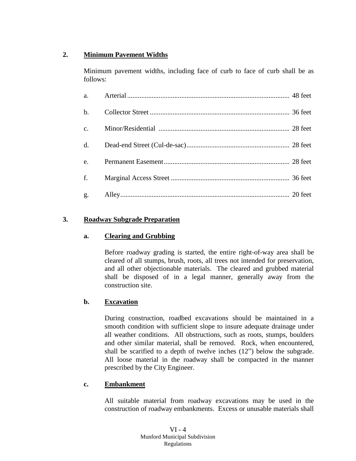# **2. Minimum Pavement Widths**

Minimum pavement widths, including face of curb to face of curb shall be as follows:

| a.             |  |
|----------------|--|
| $\mathbf{b}$ . |  |
| c.             |  |
| d.             |  |
| $\mathbf{e}$ . |  |
| f.             |  |
|                |  |

## **3. Roadway Subgrade Preparation**

## **a. Clearing and Grubbing**

Before roadway grading is started, the entire right-of-way area shall be cleared of all stumps, brush, roots, all trees not intended for preservation, and all other objectionable materials. The cleared and grubbed material shall be disposed of in a legal manner, generally away from the construction site.

## **b. Excavation**

During construction, roadbed excavations should be maintained in a smooth condition with sufficient slope to insure adequate drainage under all weather conditions. All obstructions, such as roots, stumps, boulders and other similar material, shall be removed. Rock, when encountered, shall be scarified to a depth of twelve inches (12") below the subgrade. All loose material in the roadway shall be compacted in the manner prescribed by the City Engineer.

## **c. Embankment**

All suitable material from roadway excavations may be used in the construction of roadway embankments. Excess or unusable materials shall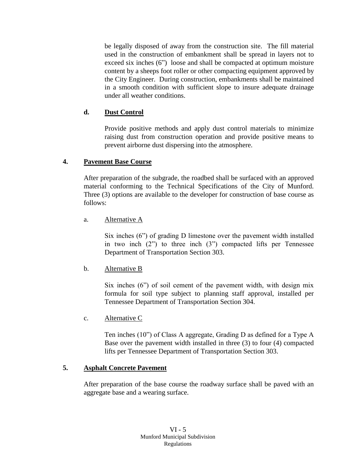be legally disposed of away from the construction site. The fill material used in the construction of embankment shall be spread in layers not to exceed six inches (6") loose and shall be compacted at optimum moisture content by a sheeps foot roller or other compacting equipment approved by the City Engineer. During construction, embankments shall be maintained in a smooth condition with sufficient slope to insure adequate drainage under all weather conditions.

### **d. Dust Control**

Provide positive methods and apply dust control materials to minimize raising dust from construction operation and provide positive means to prevent airborne dust dispersing into the atmosphere.

### **4. Pavement Base Course**

After preparation of the subgrade, the roadbed shall be surfaced with an approved material conforming to the Technical Specifications of the City of Munford. Three (3) options are available to the developer for construction of base course as follows:

a. Alternative A

Six inches (6") of grading D limestone over the pavement width installed in two inch (2") to three inch (3") compacted lifts per Tennessee Department of Transportation Section 303.

## b. Alternative B

Six inches (6") of soil cement of the pavement width, with design mix formula for soil type subject to planning staff approval, installed per Tennessee Department of Transportation Section 304.

c. Alternative C

Ten inches (10") of Class A aggregate, Grading D as defined for a Type A Base over the pavement width installed in three (3) to four (4) compacted lifts per Tennessee Department of Transportation Section 303.

## **5. Asphalt Concrete Pavement**

After preparation of the base course the roadway surface shall be paved with an aggregate base and a wearing surface.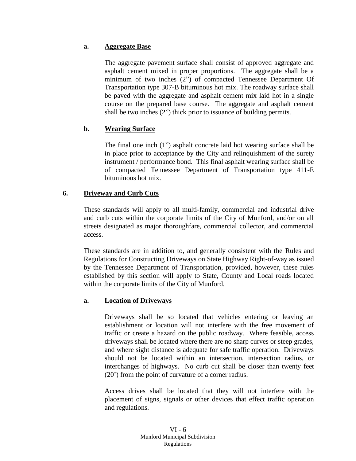### **a. Aggregate Base**

The aggregate pavement surface shall consist of approved aggregate and asphalt cement mixed in proper proportions. The aggregate shall be a minimum of two inches (2") of compacted Tennessee Department Of Transportation type 307-B bituminous hot mix. The roadway surface shall be paved with the aggregate and asphalt cement mix laid hot in a single course on the prepared base course. The aggregate and asphalt cement shall be two inches (2") thick prior to issuance of building permits.

## **b. Wearing Surface**

The final one inch (1") asphalt concrete laid hot wearing surface shall be in place prior to acceptance by the City and relinquishment of the surety instrument / performance bond. This final asphalt wearing surface shall be of compacted Tennessee Department of Transportation type 411-E bituminous hot mix.

## **6. Driveway and Curb Cuts**

These standards will apply to all multi-family, commercial and industrial drive and curb cuts within the corporate limits of the City of Munford, and/or on all streets designated as major thoroughfare, commercial collector, and commercial access.

These standards are in addition to, and generally consistent with the Rules and Regulations for Constructing Driveways on State Highway Right-of-way as issued by the Tennessee Department of Transportation, provided, however, these rules established by this section will apply to State, County and Local roads located within the corporate limits of the City of Munford.

## **a. Location of Driveways**

Driveways shall be so located that vehicles entering or leaving an establishment or location will not interfere with the free movement of traffic or create a hazard on the public roadway. Where feasible, access driveways shall be located where there are no sharp curves or steep grades, and where sight distance is adequate for safe traffic operation. Driveways should not be located within an intersection, intersection radius, or interchanges of highways. No curb cut shall be closer than twenty feet (20') from the point of curvature of a corner radius.

Access drives shall be located that they will not interfere with the placement of signs, signals or other devices that effect traffic operation and regulations.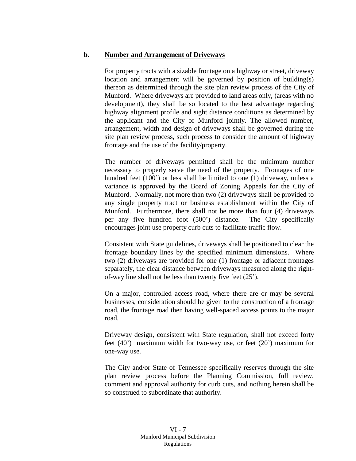#### **b. Number and Arrangement of Driveways**

For property tracts with a sizable frontage on a highway or street, driveway location and arrangement will be governed by position of building(s) thereon as determined through the site plan review process of the City of Munford. Where driveways are provided to land areas only, (areas with no development), they shall be so located to the best advantage regarding highway alignment profile and sight distance conditions as determined by the applicant and the City of Munford jointly. The allowed number, arrangement, width and design of driveways shall be governed during the site plan review process, such process to consider the amount of highway frontage and the use of the facility/property.

The number of driveways permitted shall be the minimum number necessary to properly serve the need of the property. Frontages of one hundred feet (100<sup>'</sup>) or less shall be limited to one (1) driveway, unless a variance is approved by the Board of Zoning Appeals for the City of Munford. Normally, not more than two (2) driveways shall be provided to any single property tract or business establishment within the City of Munford. Furthermore, there shall not be more than four (4) driveways per any five hundred foot (500') distance. The City specifically encourages joint use property curb cuts to facilitate traffic flow.

Consistent with State guidelines, driveways shall be positioned to clear the frontage boundary lines by the specified minimum dimensions. Where two (2) driveways are provided for one (1) frontage or adjacent frontages separately, the clear distance between driveways measured along the rightof-way line shall not be less than twenty five feet (25').

On a major, controlled access road, where there are or may be several businesses, consideration should be given to the construction of a frontage road, the frontage road then having well-spaced access points to the major road.

Driveway design, consistent with State regulation, shall not exceed forty feet (40') maximum width for two-way use, or feet (20') maximum for one-way use.

The City and/or State of Tennessee specifically reserves through the site plan review process before the Planning Commission, full review, comment and approval authority for curb cuts, and nothing herein shall be so construed to subordinate that authority.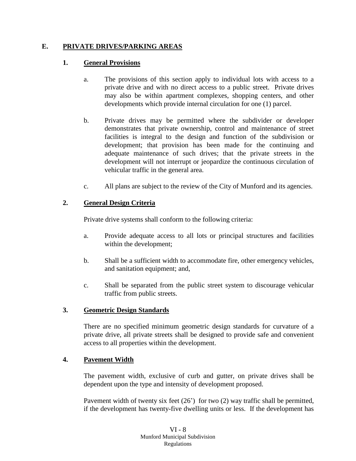### **E. PRIVATE DRIVES/PARKING AREAS**

### **1. General Provisions**

- a. The provisions of this section apply to individual lots with access to a private drive and with no direct access to a public street. Private drives may also be within apartment complexes, shopping centers, and other developments which provide internal circulation for one (1) parcel.
- b. Private drives may be permitted where the subdivider or developer demonstrates that private ownership, control and maintenance of street facilities is integral to the design and function of the subdivision or development; that provision has been made for the continuing and adequate maintenance of such drives; that the private streets in the development will not interrupt or jeopardize the continuous circulation of vehicular traffic in the general area.
- c. All plans are subject to the review of the City of Munford and its agencies.

### **2. General Design Criteria**

Private drive systems shall conform to the following criteria:

- a. Provide adequate access to all lots or principal structures and facilities within the development;
- b. Shall be a sufficient width to accommodate fire, other emergency vehicles, and sanitation equipment; and,
- c. Shall be separated from the public street system to discourage vehicular traffic from public streets.

#### **3. Geometric Design Standards**

There are no specified minimum geometric design standards for curvature of a private drive, all private streets shall be designed to provide safe and convenient access to all properties within the development.

#### **4. Pavement Width**

The pavement width, exclusive of curb and gutter, on private drives shall be dependent upon the type and intensity of development proposed.

Pavement width of twenty six feet  $(26')$  for two  $(2)$  way traffic shall be permitted, if the development has twenty-five dwelling units or less. If the development has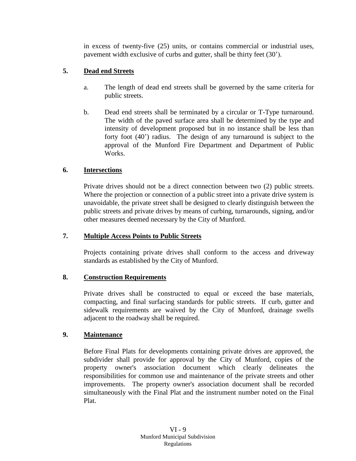in excess of twenty-five (25) units, or contains commercial or industrial uses, pavement width exclusive of curbs and gutter, shall be thirty feet (30').

## **5. Dead end Streets**

- a. The length of dead end streets shall be governed by the same criteria for public streets.
- b. Dead end streets shall be terminated by a circular or T-Type turnaround. The width of the paved surface area shall be determined by the type and intensity of development proposed but in no instance shall be less than forty foot (40') radius. The design of any turnaround is subject to the approval of the Munford Fire Department and Department of Public Works.

## **6. Intersections**

Private drives should not be a direct connection between two (2) public streets. Where the projection or connection of a public street into a private drive system is unavoidable, the private street shall be designed to clearly distinguish between the public streets and private drives by means of curbing, turnarounds, signing, and/or other measures deemed necessary by the City of Munford.

## **7. Multiple Access Points to Public Streets**

Projects containing private drives shall conform to the access and driveway standards as established by the City of Munford.

## **8. Construction Requirements**

Private drives shall be constructed to equal or exceed the base materials, compacting, and final surfacing standards for public streets. If curb, gutter and sidewalk requirements are waived by the City of Munford, drainage swells adjacent to the roadway shall be required.

## **9. Maintenance**

Before Final Plats for developments containing private drives are approved, the subdivider shall provide for approval by the City of Munford, copies of the property owner's association document which clearly delineates the responsibilities for common use and maintenance of the private streets and other improvements. The property owner's association document shall be recorded simultaneously with the Final Plat and the instrument number noted on the Final Plat.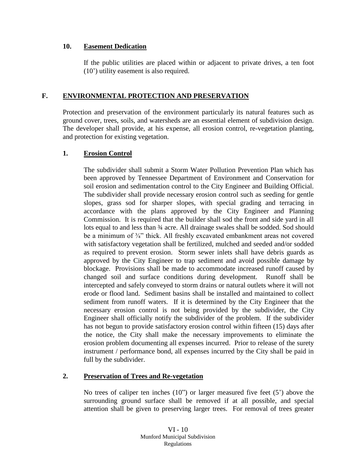#### **10. Easement Dedication**

If the public utilities are placed within or adjacent to private drives, a ten foot (10') utility easement is also required.

## **F. ENVIRONMENTAL PROTECTION AND PRESERVATION**

Protection and preservation of the environment particularly its natural features such as ground cover, trees, soils, and watersheds are an essential element of subdivision design. The developer shall provide, at his expense, all erosion control, re-vegetation planting, and protection for existing vegetation.

## **1. Erosion Control**

The subdivider shall submit a Storm Water Pollution Prevention Plan which has been approved by Tennessee Department of Environment and Conservation for soil erosion and sedimentation control to the City Engineer and Building Official. The subdivider shall provide necessary erosion control such as seeding for gentle slopes, grass sod for sharper slopes, with special grading and terracing in accordance with the plans approved by the City Engineer and Planning Commission. It is required that the builder shall sod the front and side yard in all lots equal to and less than  $\frac{3}{4}$  acre. All drainage swales shall be sodded. Sod should be a minimum of  $\frac{3}{4}$ " thick. All freshly excavated embankment areas not covered with satisfactory vegetation shall be fertilized, mulched and seeded and/or sodded as required to prevent erosion. Storm sewer inlets shall have debris guards as approved by the City Engineer to trap sediment and avoid possible damage by blockage. Provisions shall be made to accommodate increased runoff caused by changed soil and surface conditions during development. Runoff shall be intercepted and safely conveyed to storm drains or natural outlets where it will not erode or flood land. Sediment basins shall be installed and maintained to collect sediment from runoff waters. If it is determined by the City Engineer that the necessary erosion control is not being provided by the subdivider, the City Engineer shall officially notify the subdivider of the problem. If the subdivider has not begun to provide satisfactory erosion control within fifteen (15) days after the notice, the City shall make the necessary improvements to eliminate the erosion problem documenting all expenses incurred. Prior to release of the surety instrument / performance bond, all expenses incurred by the City shall be paid in full by the subdivider.

# **2. Preservation of Trees and Re-vegetation**

No trees of caliper ten inches (10") or larger measured five feet (5') above the surrounding ground surface shall be removed if at all possible, and special attention shall be given to preserving larger trees. For removal of trees greater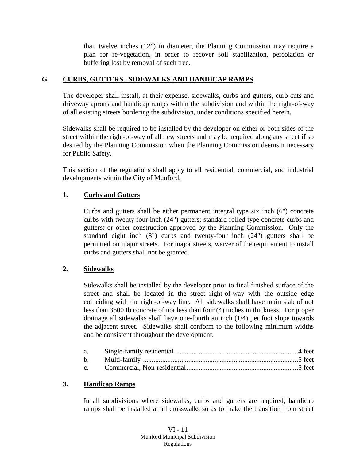than twelve inches (12") in diameter, the Planning Commission may require a plan for re-vegetation, in order to recover soil stabilization, percolation or buffering lost by removal of such tree.

### **G. CURBS, GUTTERS , SIDEWALKS AND HANDICAP RAMPS**

The developer shall install, at their expense, sidewalks, curbs and gutters, curb cuts and driveway aprons and handicap ramps within the subdivision and within the right-of-way of all existing streets bordering the subdivision, under conditions specified herein.

Sidewalks shall be required to be installed by the developer on either or both sides of the street within the right-of-way of all new streets and may be required along any street if so desired by the Planning Commission when the Planning Commission deems it necessary for Public Safety.

This section of the regulations shall apply to all residential, commercial, and industrial developments within the City of Munford.

## **1. Curbs and Gutters**

Curbs and gutters shall be either permanent integral type six inch (6") concrete curbs with twenty four inch (24") gutters; standard rolled type concrete curbs and gutters; or other construction approved by the Planning Commission. Only the standard eight inch (8") curbs and twenty-four inch (24") gutters shall be permitted on major streets. For major streets, waiver of the requirement to install curbs and gutters shall not be granted.

## **2. Sidewalks**

Sidewalks shall be installed by the developer prior to final finished surface of the street and shall be located in the street right-of-way with the outside edge coinciding with the right-of-way line. All sidewalks shall have main slab of not less than 3500 Ib concrete of not less than four (4) inches in thickness. For proper drainage all sidewalks shall have one-fourth an inch (1/4) per foot slope towards the adjacent street. Sidewalks shall conform to the following minimum widths and be consistent throughout the development:

#### **3. Handicap Ramps**

In all subdivisions where sidewalks, curbs and gutters are required, handicap ramps shall be installed at all crosswalks so as to make the transition from street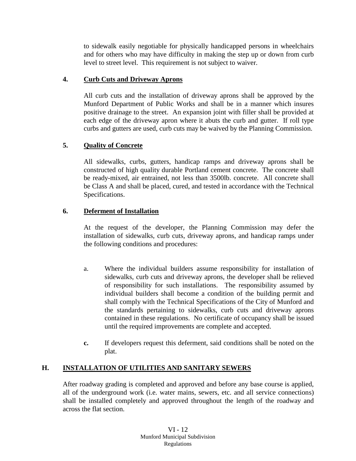to sidewalk easily negotiable for physically handicapped persons in wheelchairs and for others who may have difficulty in making the step up or down from curb level to street level. This requirement is not subject to waiver.

## **4. Curb Cuts and Driveway Aprons**

All curb cuts and the installation of driveway aprons shall be approved by the Munford Department of Public Works and shall be in a manner which insures positive drainage to the street. An expansion joint with filler shall be provided at each edge of the driveway apron where it abuts the curb and gutter. If roll type curbs and gutters are used, curb cuts may be waived by the Planning Commission.

# **5. Quality of Concrete**

All sidewalks, curbs, gutters, handicap ramps and driveway aprons shall be constructed of high quality durable Portland cement concrete. The concrete shall be ready-mixed, air entrained, not less than 3500lb. concrete. All concrete shall be Class A and shall be placed, cured, and tested in accordance with the Technical Specifications.

## **6. Deferment of Installation**

At the request of the developer, the Planning Commission may defer the installation of sidewalks, curb cuts, driveway aprons, and handicap ramps under the following conditions and procedures:

- a. Where the individual builders assume responsibility for installation of sidewalks, curb cuts and driveway aprons, the developer shall be relieved of responsibility for such installations. The responsibility assumed by individual builders shall become a condition of the building permit and shall comply with the Technical Specifications of the City of Munford and the standards pertaining to sidewalks, curb cuts and driveway aprons contained in these regulations. No certificate of occupancy shall be issued until the required improvements are complete and accepted.
- **c.** If developers request this deferment, said conditions shall be noted on the plat.

## **H. INSTALLATION OF UTILITIES AND SANITARY SEWERS**

After roadway grading is completed and approved and before any base course is applied, all of the underground work (i.e. water mains, sewers, etc. and all service connections) shall be installed completely and approved throughout the length of the roadway and across the flat section.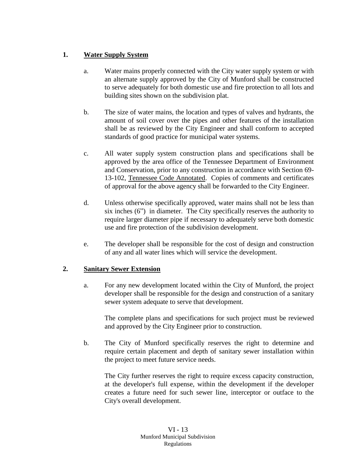# **1. Water Supply System**

- a. Water mains properly connected with the City water supply system or with an alternate supply approved by the City of Munford shall be constructed to serve adequately for both domestic use and fire protection to all lots and building sites shown on the subdivision plat.
- b. The size of water mains, the location and types of valves and hydrants, the amount of soil cover over the pipes and other features of the installation shall be as reviewed by the City Engineer and shall conform to accepted standards of good practice for municipal water systems.
- c. All water supply system construction plans and specifications shall be approved by the area office of the Tennessee Department of Environment and Conservation, prior to any construction in accordance with Section 69- 13-102, Tennessee Code Annotated. Copies of comments and certificates of approval for the above agency shall be forwarded to the City Engineer.
- d. Unless otherwise specifically approved, water mains shall not be less than six inches (6") in diameter. The City specifically reserves the authority to require larger diameter pipe if necessary to adequately serve both domestic use and fire protection of the subdivision development.
- e. The developer shall be responsible for the cost of design and construction of any and all water lines which will service the development.

# **2. Sanitary Sewer Extension**

a. For any new development located within the City of Munford, the project developer shall be responsible for the design and construction of a sanitary sewer system adequate to serve that development.

The complete plans and specifications for such project must be reviewed and approved by the City Engineer prior to construction.

b. The City of Munford specifically reserves the right to determine and require certain placement and depth of sanitary sewer installation within the project to meet future service needs.

The City further reserves the right to require excess capacity construction, at the developer's full expense, within the development if the developer creates a future need for such sewer line, interceptor or outface to the City's overall development.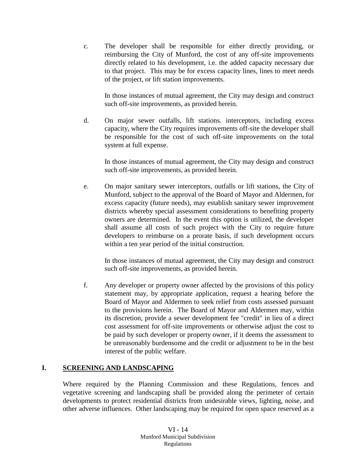c. The developer shall be responsible for either directly providing, or reimbursing the City of Munford, the cost of any off-site improvements directly related to his development, i.e. the added capacity necessary due to that project. This may be for excess capacity lines, lines to meet needs of the project, or lift station improvements.

In those instances of mutual agreement, the City may design and construct such off-site improvements, as provided herein.

d. On major sewer outfalls, lift stations. interceptors, including excess capacity, where the City requires improvements off-site the developer shall be responsible for the cost of such off-site improvements on the total system at full expense.

In those instances of mutual agreement, the City may design and construct such off-site improvements, as provided herein.

e. On major sanitary sewer interceptors, outfalls or lift stations, the City of Munford, subject to the approval of the Board of Mayor and Aldermen, for excess capacity (future needs), may establish sanitary sewer improvement districts whereby special assessment considerations to benefiting property owners are determined. In the event this option is utilized, the developer shall assume all costs of such project with the City to require future developers to reimburse on a prorate basis, if such development occurs within a ten year period of the initial construction.

In those instances of mutual agreement, the City may design and construct such off-site improvements, as provided herein.

f. Any developer or property owner affected by the provisions of this policy statement may, by appropriate application, request a hearing before the Board of Mayor and Aldermen to seek relief from costs assessed pursuant to the provisions herein. The Board of Mayor and Aldermen may, within its discretion, provide a sewer development fee "credit" in lieu of a direct cost assessment for off-site improvements or otherwise adjust the cost to be paid by such developer or property owner, if it deems the assessment to be unreasonably burdensome and the credit or adjustment to be in the best interest of the public welfare.

## **I. SCREENING AND LANDSCAPING**

Where required by the Planning Commission and these Regulations, fences and vegetative screening and landscaping shall be provided along the perimeter of certain developments to protect residential districts from undesirable views, lighting, noise, and other adverse influences. Other landscaping may be required for open space reserved as a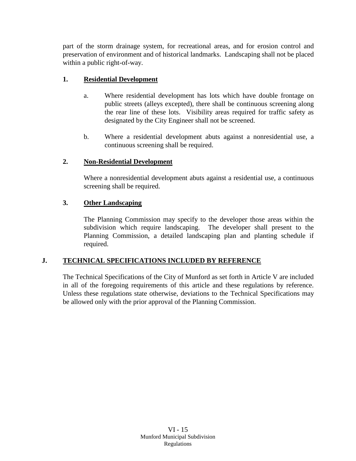part of the storm drainage system, for recreational areas, and for erosion control and preservation of environment and of historical landmarks. Landscaping shall not be placed within a public right-of-way.

# **1. Residential Development**

- a. Where residential development has lots which have double frontage on public streets (alleys excepted), there shall be continuous screening along the rear line of these lots. Visibility areas required for traffic safety as designated by the City Engineer shall not be screened.
- b. Where a residential development abuts against a nonresidential use, a continuous screening shall be required.

## **2. Non-Residential Development**

Where a nonresidential development abuts against a residential use, a continuous screening shall be required.

## **3. Other Landscaping**

The Planning Commission may specify to the developer those areas within the subdivision which require landscaping. The developer shall present to the Planning Commission, a detailed landscaping plan and planting schedule if required.

## **J. TECHNICAL SPECIFICATIONS INCLUDED BY REFERENCE**

The Technical Specifications of the City of Munford as set forth in Article V are included in all of the foregoing requirements of this article and these regulations by reference. Unless these regulations state otherwise, deviations to the Technical Specifications may be allowed only with the prior approval of the Planning Commission.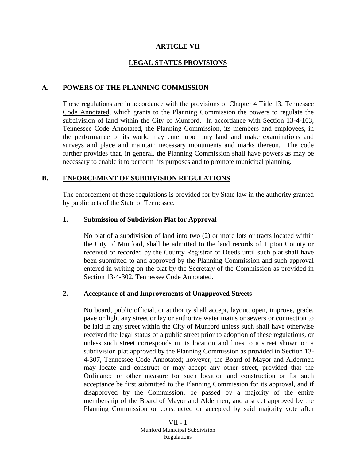#### **ARTICLE VII**

## **LEGAL STATUS PROVISIONS**

#### **A. POWERS OF THE PLANNING COMMISSION**

These regulations are in accordance with the provisions of Chapter 4 Title 13, Tennessee Code Annotated, which grants to the Planning Commission the powers to regulate the subdivision of land within the City of Munford. In accordance with Section 13-4-103, Tennessee Code Annotated, the Planning Commission, its members and employees, in the performance of its work, may enter upon any land and make examinations and surveys and place and maintain necessary monuments and marks thereon. The code further provides that, in general, the Planning Commission shall have powers as may be necessary to enable it to perform its purposes and to promote municipal planning.

#### **B. ENFORCEMENT OF SUBDIVISION REGULATIONS**

The enforcement of these regulations is provided for by State law in the authority granted by public acts of the State of Tennessee.

#### **1. Submission of Subdivision Plat for Approval**

No plat of a subdivision of land into two (2) or more lots or tracts located within the City of Munford, shall be admitted to the land records of Tipton County or received or recorded by the County Registrar of Deeds until such plat shall have been submitted to and approved by the Planning Commission and such approval entered in writing on the plat by the Secretary of the Commission as provided in Section 13-4-302, Tennessee Code Annotated.

#### **2. Acceptance of and Improvements of Unapproved Streets**

No board, public official, or authority shall accept, layout, open, improve, grade, pave or light any street or lay or authorize water mains or sewers or connection to be laid in any street within the City of Munford unless such shall have otherwise received the legal status of a public street prior to adoption of these regulations, or unless such street corresponds in its location and lines to a street shown on a subdivision plat approved by the Planning Commission as provided in Section 13- 4-307, Tennessee Code Annotated; however, the Board of Mayor and Aldermen may locate and construct or may accept any other street, provided that the Ordinance or other measure for such location and construction or for such acceptance be first submitted to the Planning Commission for its approval, and if disapproved by the Commission, be passed by a majority of the entire membership of the Board of Mayor and Aldermen; and a street approved by the Planning Commission or constructed or accepted by said majority vote after

> VII - 1 Munford Municipal Subdivision Regulations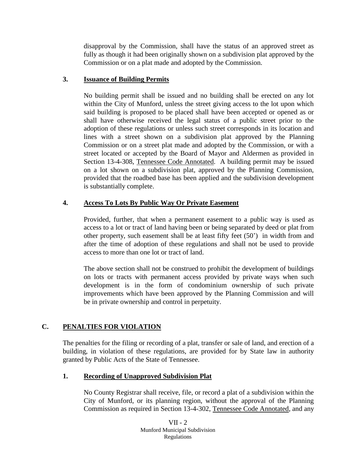disapproval by the Commission, shall have the status of an approved street as fully as though it had been originally shown on a subdivision plat approved by the Commission or on a plat made and adopted by the Commission.

## **3. Issuance of Building Permits**

No building permit shall be issued and no building shall be erected on any lot within the City of Munford, unless the street giving access to the lot upon which said building is proposed to be placed shall have been accepted or opened as or shall have otherwise received the legal status of a public street prior to the adoption of these regulations or unless such street corresponds in its location and lines with a street shown on a subdivision plat approved by the Planning Commission or on a street plat made and adopted by the Commission, or with a street located or accepted by the Board of Mayor and Aldermen as provided in Section 13-4-308, Tennessee Code Annotated. A building permit may be issued on a lot shown on a subdivision plat, approved by the Planning Commission, provided that the roadbed base has been applied and the subdivision development is substantially complete.

# **4. Access To Lots By Public Way Or Private Easement**

Provided, further, that when a permanent easement to a public way is used as access to a lot or tract of land having been or being separated by deed or plat from other property, such easement shall be at least fifty feet (50') in width from and after the time of adoption of these regulations and shall not be used to provide access to more than one lot or tract of land.

The above section shall not be construed to prohibit the development of buildings on lots or tracts with permanent access provided by private ways when such development is in the form of condominium ownership of such private improvements which have been approved by the Planning Commission and will be in private ownership and control in perpetuity.

# **C. PENALTIES FOR VIOLATION**

The penalties for the filing or recording of a plat, transfer or sale of land, and erection of a building, in violation of these regulations, are provided for by State law in authority granted by Public Acts of the State of Tennessee.

# **1. Recording of Unapproved Subdivision Plat**

No County Registrar shall receive, file, or record a plat of a subdivision within the City of Munford, or its planning region, without the approval of the Planning Commission as required in Section 13-4-302, Tennessee Code Annotated, and any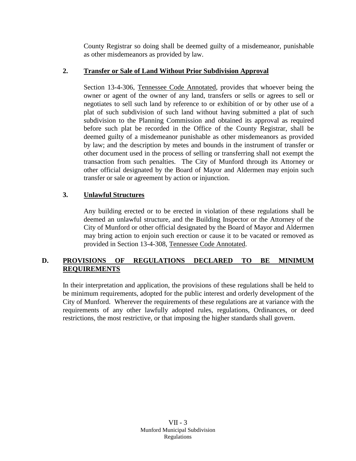County Registrar so doing shall be deemed guilty of a misdemeanor, punishable as other misdemeanors as provided by law.

## **2. Transfer or Sale of Land Without Prior Subdivision Approval**

Section 13-4-306, Tennessee Code Annotated, provides that whoever being the owner or agent of the owner of any land, transfers or sells or agrees to sell or negotiates to sell such land by reference to or exhibition of or by other use of a plat of such subdivision of such land without having submitted a plat of such subdivision to the Planning Commission and obtained its approval as required before such plat be recorded in the Office of the County Registrar, shall be deemed guilty of a misdemeanor punishable as other misdemeanors as provided by law; and the description by metes and bounds in the instrument of transfer or other document used in the process of selling or transferring shall not exempt the transaction from such penalties. The City of Munford through its Attorney or other official designated by the Board of Mayor and Aldermen may enjoin such transfer or sale or agreement by action or injunction.

## **3. Unlawful Structures**

Any building erected or to be erected in violation of these regulations shall be deemed an unlawful structure, and the Building Inspector or the Attorney of the City of Munford or other official designated by the Board of Mayor and Aldermen may bring action to enjoin such erection or cause it to be vacated or removed as provided in Section 13-4-308, Tennessee Code Annotated.

# **D. PROVISIONS OF REGULATIONS DECLARED TO BE MINIMUM REQUIREMENTS**

In their interpretation and application, the provisions of these regulations shall be held to be minimum requirements, adopted for the public interest and orderly development of the City of Munford. Wherever the requirements of these regulations are at variance with the requirements of any other lawfully adopted rules, regulations, Ordinances, or deed restrictions, the most restrictive, or that imposing the higher standards shall govern.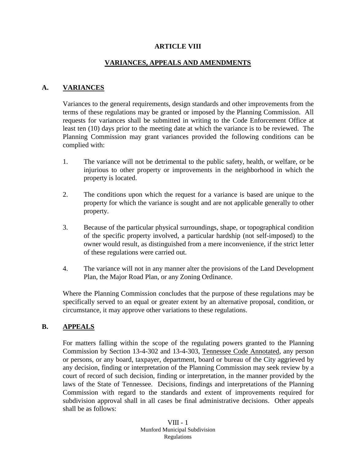#### **ARTICLE VIII**

### **VARIANCES, APPEALS AND AMENDMENTS**

#### **A. VARIANCES**

Variances to the general requirements, design standards and other improvements from the terms of these regulations may be granted or imposed by the Planning Commission. All requests for variances shall be submitted in writing to the Code Enforcement Office at least ten (10) days prior to the meeting date at which the variance is to be reviewed. The Planning Commission may grant variances provided the following conditions can be complied with:

- 1. The variance will not be detrimental to the public safety, health, or welfare, or be injurious to other property or improvements in the neighborhood in which the property is located.
- 2. The conditions upon which the request for a variance is based are unique to the property for which the variance is sought and are not applicable generally to other property.
- 3. Because of the particular physical surroundings, shape, or topographical condition of the specific property involved, a particular hardship (not self-imposed) to the owner would result, as distinguished from a mere inconvenience, if the strict letter of these regulations were carried out.
- 4. The variance will not in any manner alter the provisions of the Land Development Plan, the Major Road Plan, or any Zoning Ordinance.

Where the Planning Commission concludes that the purpose of these regulations may be specifically served to an equal or greater extent by an alternative proposal, condition, or circumstance, it may approve other variations to these regulations.

#### **B. APPEALS**

For matters falling within the scope of the regulating powers granted to the Planning Commission by Section 13-4-302 and 13-4-303, Tennessee Code Annotated, any person or persons, or any board, taxpayer, department, board or bureau of the City aggrieved by any decision, finding or interpretation of the Planning Commission may seek review by a court of record of such decision, finding or interpretation, in the manner provided by the laws of the State of Tennessee. Decisions, findings and interpretations of the Planning Commission with regard to the standards and extent of improvements required for subdivision approval shall in all cases be final administrative decisions. Other appeals shall be as follows: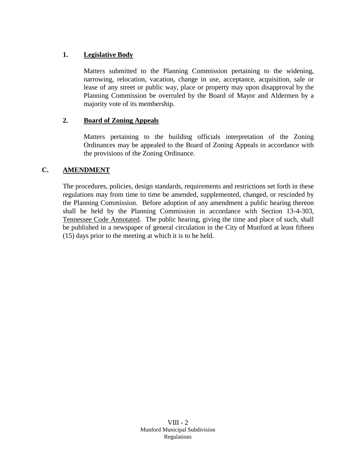## **1. Legislative Body**

Matters submitted to the Planning Commission pertaining to the widening, narrowing, relocation, vacation, change in use, acceptance, acquisition, sale or lease of any street or public way, place or property may upon disapproval by the Planning Commission be overruled by the Board of Mayor and Aldermen by a majority vote of its membership.

## **2. Board of Zoning Appeals**

Matters pertaining to the building officials interpretation of the Zoning Ordinances may be appealed to the Board of Zoning Appeals in accordance with the provisions of the Zoning Ordinance.

## **C. AMENDMENT**

The procedures, policies, design standards, requirements and restrictions set forth in these regulations may from time to time be amended, supplemented, changed, or rescinded by the Planning Commission. Before adoption of any amendment a public hearing thereon shall be held by the Planning Commission in accordance with Section 13-4-303, Tennessee Code Annotated. The public hearing, giving the time and place of such, shall be published in a newspaper of general circulation in the City of Munford at least fifteen (15) days prior to the meeting at which it is to be held.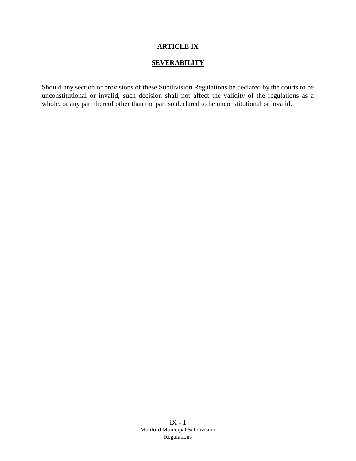## **ARTICLE IX**

## **SEVERABILITY**

Should any section or provisions of these Subdivision Regulations be declared by the courts to be unconstitutional or invalid, such decision shall not affect the validity of the regulations as a whole, or any part thereof other than the part so declared to be unconstitutional or invalid.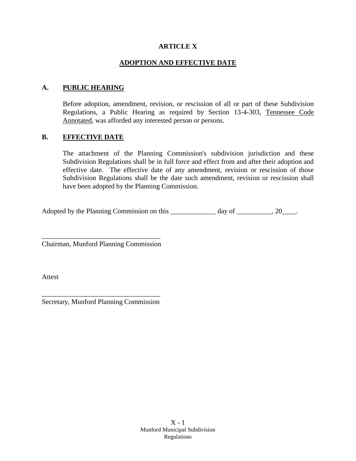### **ARTICLE X**

### **ADOPTION AND EFFECTIVE DATE**

### **A. PUBLIC HEARING**

Before adoption, amendment, revision, or rescission of all or part of these Subdivision Regulations, a Public Hearing as required by Section 13-4-303, Tennessee Code Annotated, was afforded any interested person or persons.

#### **B. EFFECTIVE DATE**

The attachment of the Planning Commission's subdivision jurisdiction and these Subdivision Regulations shall be in full force and effect from and after their adoption and effective date. The effective date of any amendment, revision or rescission of those Subdivision Regulations shall be the date such amendment, revision or rescission shall have been adopted by the Planning Commission.

Adopted by the Planning Commission on this \_\_\_\_\_\_\_\_\_\_\_\_ day of \_\_\_\_\_\_\_\_, 20\_\_\_\_.

\_\_\_\_\_\_\_\_\_\_\_\_\_\_\_\_\_\_\_\_\_\_\_\_\_\_\_\_\_\_\_\_\_\_ Chairman, Munford Planning Commission

Attest

\_\_\_\_\_\_\_\_\_\_\_\_\_\_\_\_\_\_\_\_\_\_\_\_\_\_\_\_\_\_\_\_\_\_ Secretary, Munford Planning Commission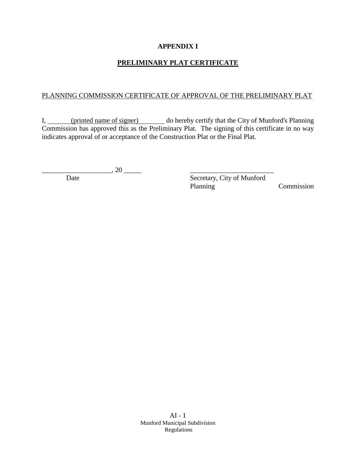## **APPENDIX I**

# **PRELIMINARY PLAT CERTIFICATE**

### PLANNING COMMISSION CERTIFICATE OF APPROVAL OF THE PRELIMINARY PLAT

I, (printed name of signer) do hereby certify that the City of Munford's Planning Commission has approved this as the Preliminary Plat. The signing of this certificate in no way indicates approval of or acceptance of the Construction Plat or the Final Plat.

 $\frac{1}{20}$ 

Date Secretary, City of Munford Planning Commission

AI - 1 Munford Municipal Subdivision Regulations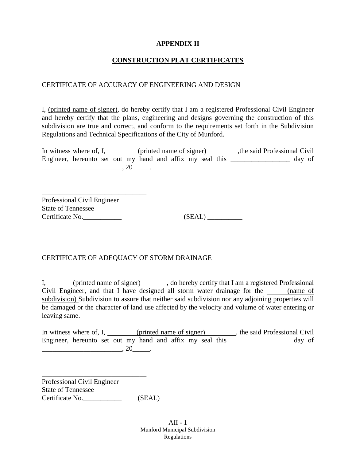### **APPENDIX II**

### **CONSTRUCTION PLAT CERTIFICATES**

#### CERTIFICATE OF ACCURACY OF ENGINEERING AND DESIGN

I, (printed name of signer), do hereby certify that I am a registered Professional Civil Engineer and hereby certify that the plans, engineering and designs governing the construction of this subdivision are true and correct, and conform to the requirements set forth in the Subdivision Regulations and Technical Specifications of the City of Munford.

In witness where of, I, (printed name of signer) ,the said Professional Civil Engineer, hereunto set out my hand and affix my seal this \_\_\_\_\_\_\_\_\_\_\_\_\_\_\_ day of  $\Box$ , 20 $\Box$ .

Professional Civil Engineer State of Tennessee Certificate No.\_\_\_\_\_\_\_\_\_\_\_ (SEAL) \_\_\_\_\_\_\_\_\_\_

\_\_\_\_\_\_\_\_\_\_\_\_\_\_\_\_\_\_\_\_\_\_\_\_\_\_\_\_\_\_

## CERTIFICATE OF ADEQUACY OF STORM DRAINAGE

I, (printed name of signer), do hereby certify that I am a registered Professional Civil Engineer, and that I have designed all storm water drainage for the (name of subdivision) Subdivision to assure that neither said subdivision nor any adjoining properties will be damaged or the character of land use affected by the velocity and volume of water entering or leaving same.

\_\_\_\_\_\_\_\_\_\_\_\_\_\_\_\_\_\_\_\_\_\_\_\_\_\_\_\_\_\_\_\_\_\_\_\_\_\_\_\_\_\_\_\_\_\_\_\_\_\_\_\_\_\_\_\_\_\_\_\_\_\_\_\_\_\_\_\_\_\_\_\_\_\_\_\_\_\_

In witness where of, I, (printed name of signer), the said Professional Civil Engineer, hereunto set out my hand and affix my seal this \_\_\_\_\_\_\_\_\_\_\_\_\_\_\_ day of  $\overline{\phantom{a}}$  , 20  $\overline{\phantom{a}}$ .

Professional Civil Engineer State of Tennessee Certificate No. (SEAL)

\_\_\_\_\_\_\_\_\_\_\_\_\_\_\_\_\_\_\_\_\_\_\_\_\_\_\_\_\_\_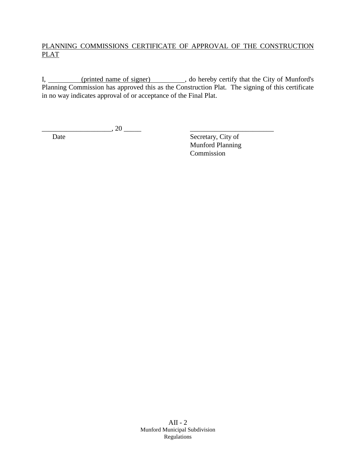# PLANNING COMMISSIONS CERTIFICATE OF APPROVAL OF THE CONSTRUCTION PLAT

I, (printed name of signer) (b) do hereby certify that the City of Munford's Planning Commission has approved this as the Construction Plat. The signing of this certificate in no way indicates approval of or acceptance of the Final Plat.

 $\frac{1}{20}$ , 20  $\frac{1}{20}$ 

Date Secretary, City of Munford Planning Commission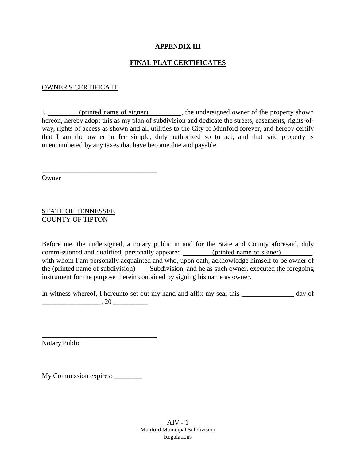### **APPENDIX III**

## **FINAL PLAT CERTIFICATES**

#### OWNER'S CERTIFICATE

I, (printed name of signer), the undersigned owner of the property shown hereon, hereby adopt this as my plan of subdivision and dedicate the streets, easements, rights-ofway, rights of access as shown and all utilities to the City of Munford forever, and hereby certify that I am the owner in fee simple, duly authorized so to act, and that said property is unencumbered by any taxes that have become due and payable.

Owner

### STATE OF TENNESSEE COUNTY OF TIPTON

\_\_\_\_\_\_\_\_\_\_\_\_\_\_\_\_\_\_\_\_\_\_\_\_\_\_\_\_\_\_\_\_\_

Before me, the undersigned, a notary public in and for the State and County aforesaid, duly commissioned and qualified, personally appeared (printed name of signer) with whom I am personally acquainted and who, upon oath, acknowledge himself to be owner of the (printed name of subdivision) Subdivision, and he as such owner, executed the foregoing instrument for the purpose therein contained by signing his name as owner.

In witness whereof, I hereunto set out my hand and affix my seal this \_\_\_\_\_\_\_\_\_\_\_\_\_\_ day of  $, 20$   $.$ 

Notary Public

My Commission expires:

\_\_\_\_\_\_\_\_\_\_\_\_\_\_\_\_\_\_\_\_\_\_\_\_\_\_\_\_\_\_\_\_\_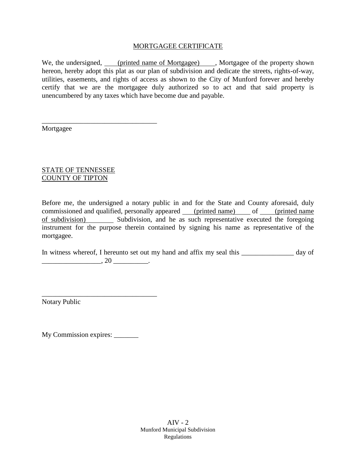### MORTGAGEE CERTIFICATE

We, the undersigned, (printed name of Mortgagee), Mortgagee of the property shown hereon, hereby adopt this plat as our plan of subdivision and dedicate the streets, rights-of-way, utilities, easements, and rights of access as shown to the City of Munford forever and hereby certify that we are the mortgagee duly authorized so to act and that said property is unencumbered by any taxes which have become due and payable.

Mortgagee

## STATE OF TENNESSEE COUNTY OF TIPTON

\_\_\_\_\_\_\_\_\_\_\_\_\_\_\_\_\_\_\_\_\_\_\_\_\_\_\_\_\_\_\_\_\_

Before me, the undersigned a notary public in and for the State and County aforesaid, duly commissioned and qualified, personally appeared (printed name) of (printed name of subdivision) Subdivision, and he as such representative executed the foregoing instrument for the purpose therein contained by signing his name as representative of the mortgagee.

In witness whereof, I hereunto set out my hand and affix my seal this \_\_\_\_\_\_\_\_\_\_\_\_\_ day of  $\frac{1}{20}$  , 20  $\frac{1}{20}$ .

Notary Public

My Commission expires: \_\_\_\_\_\_\_\_

\_\_\_\_\_\_\_\_\_\_\_\_\_\_\_\_\_\_\_\_\_\_\_\_\_\_\_\_\_\_\_\_\_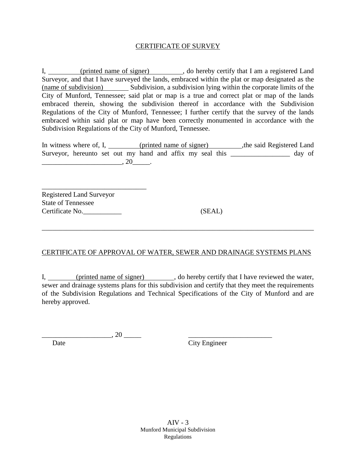#### CERTIFICATE OF SURVEY

I, (printed name of signer), do hereby certify that I am a registered Land Surveyor, and that I have surveyed the lands, embraced within the plat or map designated as the (name of subdivision) Subdivision, a subdivision lying within the corporate limits of the City of Munford, Tennessee; said plat or map is a true and correct plat or map of the lands embraced therein, showing the subdivision thereof in accordance with the Subdivision Regulations of the City of Munford, Tennessee; I further certify that the survey of the lands embraced within said plat or map have been correctly monumented in accordance with the Subdivision Regulations of the City of Munford, Tennessee.

In witness where of, I, (printed name of signer), the said Registered Land Surveyor, hereunto set out my hand and affix my seal this \_\_\_\_\_\_\_\_\_\_\_\_\_\_\_ day of \_\_\_\_\_\_\_\_\_\_\_\_\_\_\_\_\_\_\_\_\_\_\_, 20\_\_\_\_\_.

\_\_\_\_\_\_\_\_\_\_\_\_\_\_\_\_\_\_\_\_\_\_\_\_\_\_\_\_\_\_ Registered Land Surveyor State of Tennessee Certificate No.\_\_\_\_\_\_\_\_\_\_\_ (SEAL)

## CERTIFICATE OF APPROVAL OF WATER, SEWER AND DRAINAGE SYSTEMS PLANS

\_\_\_\_\_\_\_\_\_\_\_\_\_\_\_\_\_\_\_\_\_\_\_\_\_\_\_\_\_\_\_\_\_\_\_\_\_\_\_\_\_\_\_\_\_\_\_\_\_\_\_\_\_\_\_\_\_\_\_\_\_\_\_\_\_\_\_\_\_\_\_\_\_\_\_\_\_\_

I, (printed name of signer), do hereby certify that I have reviewed the water, sewer and drainage systems plans for this subdivision and certify that they meet the requirements of the Subdivision Regulations and Technical Specifications of the City of Munford and are hereby approved.

 $\frac{1}{20}$ Date City Engineer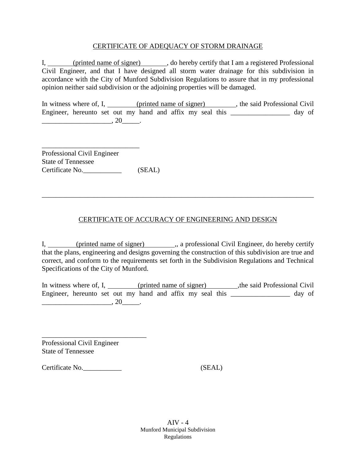#### CERTIFICATE OF ADEQUACY OF STORM DRAINAGE

I, (printed name of signer), do hereby certify that I am a registered Professional Civil Engineer, and that I have designed all storm water drainage for this subdivision in accordance with the City of Munford Subdivision Regulations to assure that in my professional opinion neither said subdivision or the adjoining properties will be damaged.

In witness where of, I, (printed name of signer), the said Professional Civil Engineer, hereunto set out my hand and affix my seal this \_\_\_\_\_\_\_\_\_\_\_\_\_\_\_\_ day of  $\frac{1}{2}$  , 20  $\frac{1}{2}$ .

\_\_\_\_\_\_\_\_\_\_\_\_\_\_\_\_\_\_\_\_\_\_\_\_\_\_\_\_ Professional Civil Engineer State of Tennessee Certificate No. (SEAL)

## CERTIFICATE OF ACCURACY OF ENGINEERING AND DESIGN

\_\_\_\_\_\_\_\_\_\_\_\_\_\_\_\_\_\_\_\_\_\_\_\_\_\_\_\_\_\_\_\_\_\_\_\_\_\_\_\_\_\_\_\_\_\_\_\_\_\_\_\_\_\_\_\_\_\_\_\_\_\_\_\_\_\_\_\_\_\_\_\_\_\_\_\_\_\_

I, (printed name of signer) ,, a professional Civil Engineer, do hereby certify that the plans, engineering and designs governing the construction of this subdivision are true and correct, and conform to the requirements set forth in the Subdivision Regulations and Technical Specifications of the City of Munford.

In witness where of, I, (printed name of signer), the said Professional Civil Engineer, hereunto set out my hand and affix my seal this \_\_\_\_\_\_\_\_\_\_\_\_\_\_\_\_\_ day of  $, 20$ 

Professional Civil Engineer State of Tennessee

\_\_\_\_\_\_\_\_\_\_\_\_\_\_\_\_\_\_\_\_\_\_\_\_\_\_\_\_\_\_

Certificate No.\_\_\_\_\_\_\_\_\_\_\_ (SEAL)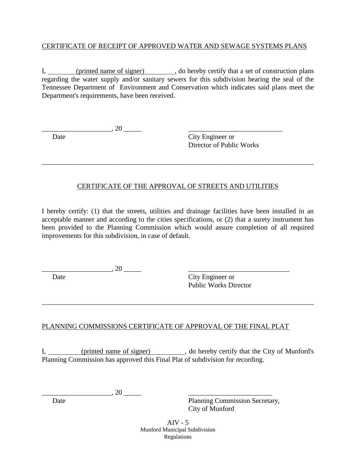## CERTIFICATE OF RECEIPT OF APPROVED WATER AND SEWAGE SYSTEMS PLANS

I, (printed name of signer), do hereby certify that a set of construction plans regarding the water supply and/or sanitary sewers for this subdivision bearing the seal of the Tennessee Department of Environment and Conservation which indicates said plans meet the Department's requirements, have been received.

Date City Engineer or Director of Public Works

## CERTIFICATE OF THE APPROVAL OF STREETS AND UTILITIES

\_\_\_\_\_\_\_\_\_\_\_\_\_\_\_\_\_\_\_\_\_\_\_\_\_\_\_\_\_\_\_\_\_\_\_\_\_\_\_\_\_\_\_\_\_\_\_\_\_\_\_\_\_\_\_\_\_\_\_\_\_\_\_\_\_\_\_\_\_\_\_\_\_\_\_\_\_\_

I hereby certify: (1) that the streets, utilities and drainage facilities have been installed in an acceptable manner and according to the cities specifications, or (2) that a surety instrument has been provided to the Planning Commission which would assure completion of all required improvements for this subdivision, in case of default.

 $\lambda$  20

 $\cdot$  20  $\cdot$ 

Date City Engineer or Public Works Director

## PLANNING COMMISSIONS CERTIFICATE OF APPROVAL OF THE FINAL PLAT

I, (printed name of signer), do hereby certify that the City of Munford's Planning Commission has approved this Final Plat of subdivision for recording.

\_\_\_\_\_\_\_\_\_\_\_\_\_\_\_\_\_\_\_\_\_\_\_\_\_\_\_\_\_\_\_\_\_\_\_\_\_\_\_\_\_\_\_\_\_\_\_\_\_\_\_\_\_\_\_\_\_\_\_\_\_\_\_\_\_\_\_\_\_\_\_\_\_\_\_\_\_\_

 $\cdot$  20

Date Planning Commission Secretary, City of Munford

> AIV - 5 Munford Municipal Subdivision Regulations